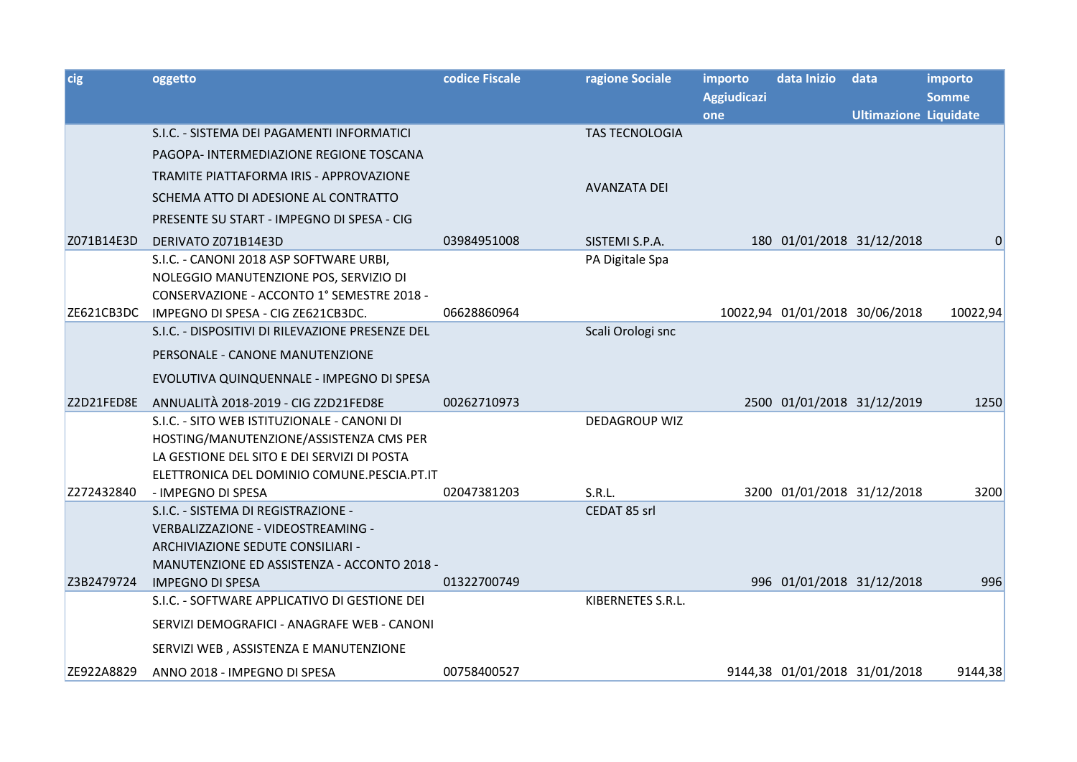| $ {\rm cig} $ | oggetto                                          | codice Fiscale | ragione Sociale       | importo<br><b>Aggiudicazi</b> | data Inizio                    | data                         | importo<br><b>Somme</b> |
|---------------|--------------------------------------------------|----------------|-----------------------|-------------------------------|--------------------------------|------------------------------|-------------------------|
|               |                                                  |                |                       | one                           |                                | <b>Ultimazione Liquidate</b> |                         |
|               | S.I.C. - SISTEMA DEI PAGAMENTI INFORMATICI       |                | <b>TAS TECNOLOGIA</b> |                               |                                |                              |                         |
|               | PAGOPA- INTERMEDIAZIONE REGIONE TOSCANA          |                |                       |                               |                                |                              |                         |
|               | TRAMITE PIATTAFORMA IRIS - APPROVAZIONE          |                |                       |                               |                                |                              |                         |
|               | SCHEMA ATTO DI ADESIONE AL CONTRATTO             |                | <b>AVANZATA DEI</b>   |                               |                                |                              |                         |
|               | PRESENTE SU START - IMPEGNO DI SPESA - CIG       |                |                       |                               |                                |                              |                         |
| Z071B14E3D    | DERIVATO Z071B14E3D                              | 03984951008    | SISTEMI S.P.A.        |                               | 180 01/01/2018 31/12/2018      |                              |                         |
|               | S.I.C. - CANONI 2018 ASP SOFTWARE URBI,          |                | PA Digitale Spa       |                               |                                |                              |                         |
|               | NOLEGGIO MANUTENZIONE POS, SERVIZIO DI           |                |                       |                               |                                |                              |                         |
|               | CONSERVAZIONE - ACCONTO 1° SEMESTRE 2018 -       |                |                       |                               |                                |                              |                         |
| ZE621CB3DC    | IMPEGNO DI SPESA - CIG ZE621CB3DC.               | 06628860964    |                       |                               | 10022,94 01/01/2018 30/06/2018 |                              | 10022,94                |
|               | S.I.C. - DISPOSITIVI DI RILEVAZIONE PRESENZE DEL |                | Scali Orologi snc     |                               |                                |                              |                         |
|               | PERSONALE - CANONE MANUTENZIONE                  |                |                       |                               |                                |                              |                         |
|               | EVOLUTIVA QUINQUENNALE - IMPEGNO DI SPESA        |                |                       |                               |                                |                              |                         |
| Z2D21FED8E    | ANNUALITÀ 2018-2019 - CIG Z2D21FED8E             | 00262710973    |                       |                               | 2500 01/01/2018 31/12/2019     |                              | 1250                    |
|               | S.I.C. - SITO WEB ISTITUZIONALE - CANONI DI      |                | <b>DEDAGROUP WIZ</b>  |                               |                                |                              |                         |
|               | HOSTING/MANUTENZIONE/ASSISTENZA CMS PER          |                |                       |                               |                                |                              |                         |
|               | LA GESTIONE DEL SITO E DEI SERVIZI DI POSTA      |                |                       |                               |                                |                              |                         |
|               | ELETTRONICA DEL DOMINIO COMUNE.PESCIA.PT.IT      |                |                       |                               |                                |                              |                         |
| Z272432840    | - IMPEGNO DI SPESA                               | 02047381203    | S.R.L.                |                               | 3200 01/01/2018 31/12/2018     |                              | 3200                    |
|               | S.I.C. - SISTEMA DI REGISTRAZIONE -              |                | CEDAT 85 srl          |                               |                                |                              |                         |
|               | VERBALIZZAZIONE - VIDEOSTREAMING -               |                |                       |                               |                                |                              |                         |
|               | ARCHIVIAZIONE SEDUTE CONSILIARI -                |                |                       |                               |                                |                              |                         |
|               | MANUTENZIONE ED ASSISTENZA - ACCONTO 2018 -      |                |                       |                               |                                |                              |                         |
| Z3B2479724    | <b>IMPEGNO DI SPESA</b>                          | 01322700749    |                       |                               | 996 01/01/2018 31/12/2018      |                              | 996                     |
|               | S.I.C. - SOFTWARE APPLICATIVO DI GESTIONE DEI    |                | KIBERNETES S.R.L.     |                               |                                |                              |                         |
|               | SERVIZI DEMOGRAFICI - ANAGRAFE WEB - CANONI      |                |                       |                               |                                |                              |                         |
|               | SERVIZI WEB, ASSISTENZA E MANUTENZIONE           |                |                       |                               |                                |                              |                         |
| ZE922A8829    | ANNO 2018 - IMPEGNO DI SPESA                     | 00758400527    |                       |                               | 9144,38 01/01/2018 31/01/2018  |                              | 9144,38                 |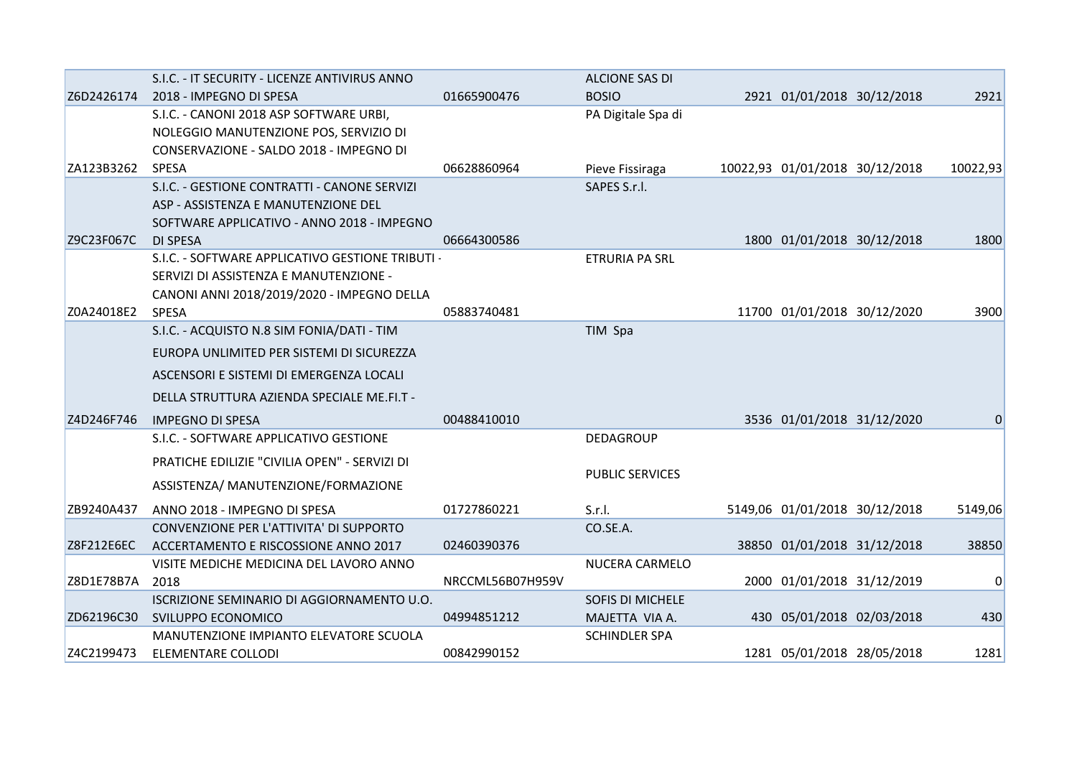|            | S.I.C. - IT SECURITY - LICENZE ANTIVIRUS ANNO    |                  | ALCIONE SAS DI         |                                |                |
|------------|--------------------------------------------------|------------------|------------------------|--------------------------------|----------------|
| Z6D2426174 | 2018 - IMPEGNO DI SPESA                          | 01665900476      | <b>BOSIO</b>           | 2921 01/01/2018 30/12/2018     | 2921           |
|            | S.I.C. - CANONI 2018 ASP SOFTWARE URBI,          |                  | PA Digitale Spa di     |                                |                |
|            | NOLEGGIO MANUTENZIONE POS, SERVIZIO DI           |                  |                        |                                |                |
|            | CONSERVAZIONE - SALDO 2018 - IMPEGNO DI          |                  |                        |                                |                |
| ZA123B3262 | <b>SPESA</b>                                     | 06628860964      | Pieve Fissiraga        | 10022,93 01/01/2018 30/12/2018 | 10022,93       |
|            | S.I.C. - GESTIONE CONTRATTI - CANONE SERVIZI     |                  | SAPES S.r.l.           |                                |                |
|            | ASP - ASSISTENZA E MANUTENZIONE DEL              |                  |                        |                                |                |
|            | SOFTWARE APPLICATIVO - ANNO 2018 - IMPEGNO       |                  |                        |                                |                |
| Z9C23F067C | <b>DI SPESA</b>                                  | 06664300586      |                        | 1800 01/01/2018 30/12/2018     | 1800           |
|            | S.I.C. - SOFTWARE APPLICATIVO GESTIONE TRIBUTI - |                  | ETRURIA PA SRL         |                                |                |
|            | SERVIZI DI ASSISTENZA E MANUTENZIONE -           |                  |                        |                                |                |
|            | CANONI ANNI 2018/2019/2020 - IMPEGNO DELLA       |                  |                        |                                |                |
| Z0A24018E2 | <b>SPESA</b>                                     | 05883740481      |                        | 11700 01/01/2018 30/12/2020    | 3900           |
|            | S.I.C. - ACQUISTO N.8 SIM FONIA/DATI - TIM       |                  | TIM Spa                |                                |                |
|            | EUROPA UNLIMITED PER SISTEMI DI SICUREZZA        |                  |                        |                                |                |
|            | ASCENSORI E SISTEMI DI EMERGENZA LOCALI          |                  |                        |                                |                |
|            | DELLA STRUTTURA AZIENDA SPECIALE ME.FI.T -       |                  |                        |                                |                |
| Z4D246F746 | <b>IMPEGNO DI SPESA</b>                          | 00488410010      |                        | 3536 01/01/2018 31/12/2020     |                |
|            | S.I.C. - SOFTWARE APPLICATIVO GESTIONE           |                  | DEDAGROUP              |                                |                |
|            | PRATICHE EDILIZIE "CIVILIA OPEN" - SERVIZI DI    |                  | <b>PUBLIC SERVICES</b> |                                |                |
|            | ASSISTENZA/ MANUTENZIONE/FORMAZIONE              |                  |                        |                                |                |
| ZB9240A437 | ANNO 2018 - IMPEGNO DI SPESA                     | 01727860221      | S.r.l.                 | 5149,06 01/01/2018 30/12/2018  | 5149,06        |
|            | CONVENZIONE PER L'ATTIVITA' DI SUPPORTO          |                  | CO.SE.A.               |                                |                |
| Z8F212E6EC | ACCERTAMENTO E RISCOSSIONE ANNO 2017             | 02460390376      |                        | 38850 01/01/2018 31/12/2018    | 38850          |
|            | VISITE MEDICHE MEDICINA DEL LAVORO ANNO          |                  | NUCERA CARMELO         |                                |                |
| Z8D1E78B7A | 2018                                             | NRCCML56B07H959V |                        | 2000 01/01/2018 31/12/2019     | $\overline{0}$ |
|            | ISCRIZIONE SEMINARIO DI AGGIORNAMENTO U.O.       |                  | SOFIS DI MICHELE       |                                |                |
|            | ZD62196C30 SVILUPPO ECONOMICO                    | 04994851212      | MAJETTA VIA A.         | 430 05/01/2018 02/03/2018      | 430            |
|            | MANUTENZIONE IMPIANTO ELEVATORE SCUOLA           |                  | <b>SCHINDLER SPA</b>   |                                |                |
| Z4C2199473 | ELEMENTARE COLLODI                               | 00842990152      |                        | 1281 05/01/2018 28/05/2018     | 1281           |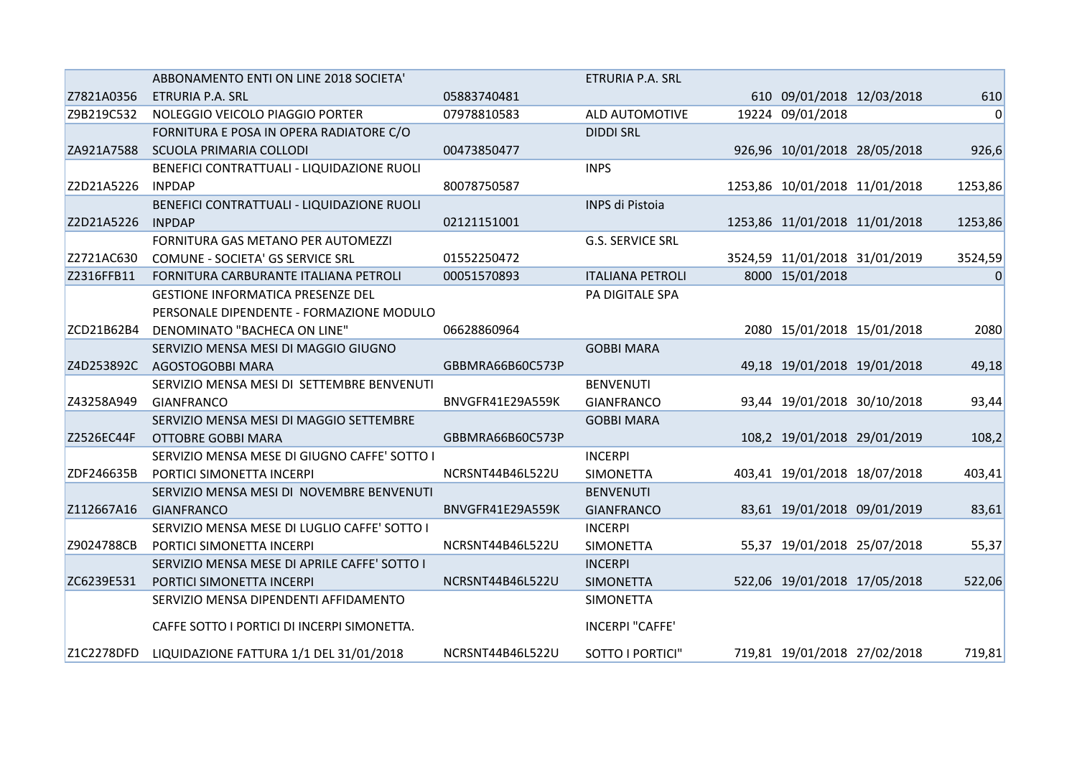|            | ABBONAMENTO ENTI ON LINE 2018 SOCIETA'       |                  | ETRURIA P.A. SRL        |                               |                  |
|------------|----------------------------------------------|------------------|-------------------------|-------------------------------|------------------|
| Z7821A0356 | ETRURIA P.A. SRL                             | 05883740481      |                         | 610 09/01/2018 12/03/2018     | 610              |
| Z9B219C532 | NOLEGGIO VEICOLO PIAGGIO PORTER              | 07978810583      | ALD AUTOMOTIVE          | 19224 09/01/2018              | 0                |
|            | FORNITURA E POSA IN OPERA RADIATORE C/O      |                  | <b>DIDDI SRL</b>        |                               |                  |
| ZA921A7588 | SCUOLA PRIMARIA COLLODI                      | 00473850477      |                         | 926,96 10/01/2018 28/05/2018  | 926,6            |
|            | BENEFICI CONTRATTUALI - LIQUIDAZIONE RUOLI   |                  | <b>INPS</b>             |                               |                  |
| Z2D21A5226 | <b>INPDAP</b>                                | 80078750587      |                         | 1253,86 10/01/2018 11/01/2018 | 1253,86          |
|            | BENEFICI CONTRATTUALI - LIQUIDAZIONE RUOLI   |                  | <b>INPS di Pistoia</b>  |                               |                  |
| Z2D21A5226 | <b>INPDAP</b>                                | 02121151001      |                         | 1253,86 11/01/2018 11/01/2018 | 1253,86          |
|            | FORNITURA GAS METANO PER AUTOMEZZI           |                  | <b>G.S. SERVICE SRL</b> |                               |                  |
| Z2721AC630 | COMUNE - SOCIETA' GS SERVICE SRL             | 01552250472      |                         | 3524,59 11/01/2018 31/01/2019 | 3524,59          |
| Z2316FFB11 | FORNITURA CARBURANTE ITALIANA PETROLI        | 00051570893      | <b>ITALIANA PETROLI</b> | 8000 15/01/2018               | $\boldsymbol{0}$ |
|            | <b>GESTIONE INFORMATICA PRESENZE DEL</b>     |                  | PA DIGITALE SPA         |                               |                  |
|            | PERSONALE DIPENDENTE - FORMAZIONE MODULO     |                  |                         |                               |                  |
| ZCD21B62B4 | DENOMINATO "BACHECA ON LINE"                 | 06628860964      |                         | 2080 15/01/2018 15/01/2018    | 2080             |
|            | SERVIZIO MENSA MESI DI MAGGIO GIUGNO         |                  | <b>GOBBI MARA</b>       |                               |                  |
| Z4D253892C | <b>AGOSTOGOBBI MARA</b>                      | GBBMRA66B60C573P |                         | 49,18 19/01/2018 19/01/2018   | 49,18            |
|            | SERVIZIO MENSA MESI DI SETTEMBRE BENVENUTI   |                  | <b>BENVENUTI</b>        |                               |                  |
| Z43258A949 | GIANFRANCO                                   | BNVGFR41E29A559K | <b>GIANFRANCO</b>       | 93,44 19/01/2018 30/10/2018   | 93,44            |
|            | SERVIZIO MENSA MESI DI MAGGIO SETTEMBRE      |                  | <b>GOBBI MARA</b>       |                               |                  |
| Z2526EC44F | <b>OTTOBRE GOBBI MARA</b>                    | GBBMRA66B60C573P |                         | 108,2 19/01/2018 29/01/2019   | 108,2            |
|            | SERVIZIO MENSA MESE DI GIUGNO CAFFE' SOTTO I |                  | <b>INCERPI</b>          |                               |                  |
| ZDF246635B | PORTICI SIMONETTA INCERPI                    | NCRSNT44B46L522U | <b>SIMONETTA</b>        | 403,41 19/01/2018 18/07/2018  | 403,41           |
|            | SERVIZIO MENSA MESI DI NOVEMBRE BENVENUTI    |                  | <b>BENVENUTI</b>        |                               |                  |
| Z112667A16 | <b>GIANFRANCO</b>                            | BNVGFR41E29A559K | <b>GIANFRANCO</b>       | 83,61 19/01/2018 09/01/2019   | 83,61            |
|            | SERVIZIO MENSA MESE DI LUGLIO CAFFE' SOTTO I |                  | <b>INCERPI</b>          |                               |                  |
| Z9024788CB | PORTICI SIMONETTA INCERPI                    | NCRSNT44B46L522U | <b>SIMONETTA</b>        | 55,37 19/01/2018 25/07/2018   | 55,37            |
|            | SERVIZIO MENSA MESE DI APRILE CAFFE' SOTTO I |                  | <b>INCERPI</b>          |                               |                  |
| ZC6239E531 | PORTICI SIMONETTA INCERPI                    | NCRSNT44B46L522U | <b>SIMONETTA</b>        | 522,06 19/01/2018 17/05/2018  | 522,06           |
|            | SERVIZIO MENSA DIPENDENTI AFFIDAMENTO        |                  | <b>SIMONETTA</b>        |                               |                  |
|            | CAFFE SOTTO I PORTICI DI INCERPI SIMONETTA.  |                  | INCERPI "CAFFE'         |                               |                  |
| Z1C2278DFD | LIQUIDAZIONE FATTURA 1/1 DEL 31/01/2018      | NCRSNT44B46L522U | SOTTO I PORTICI"        | 719,81 19/01/2018 27/02/2018  | 719,81           |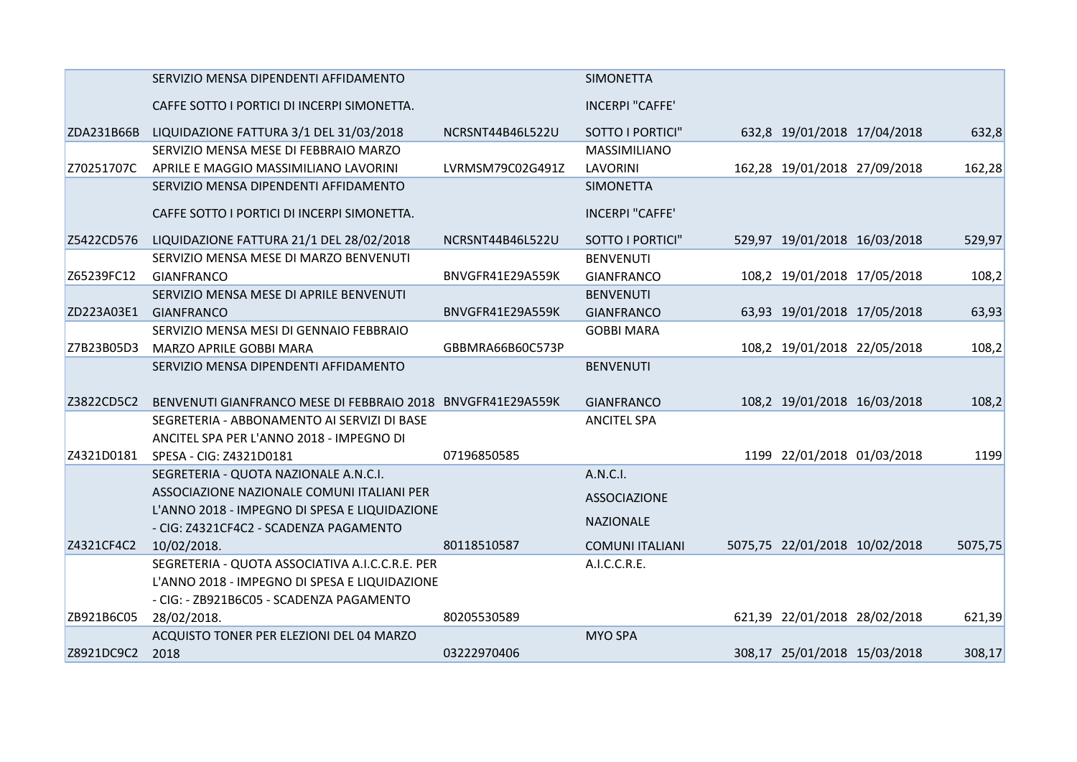|            | SERVIZIO MENSA DIPENDENTI AFFIDAMENTO                       |                  | <b>SIMONETTA</b>       |                               |         |
|------------|-------------------------------------------------------------|------------------|------------------------|-------------------------------|---------|
|            | CAFFE SOTTO I PORTICI DI INCERPI SIMONETTA.                 |                  | <b>INCERPI "CAFFE"</b> |                               |         |
| ZDA231B66B | LIQUIDAZIONE FATTURA 3/1 DEL 31/03/2018                     | NCRSNT44B46L522U | SOTTO I PORTICI"       | 632,8 19/01/2018 17/04/2018   | 632,8   |
|            | SERVIZIO MENSA MESE DI FEBBRAIO MARZO                       |                  | MASSIMILIANO           |                               |         |
| Z70251707C | APRILE E MAGGIO MASSIMILIANO LAVORINI                       | LVRMSM79C02G491Z | <b>LAVORINI</b>        | 162,28 19/01/2018 27/09/2018  | 162,28  |
|            | SERVIZIO MENSA DIPENDENTI AFFIDAMENTO                       |                  | <b>SIMONETTA</b>       |                               |         |
|            | CAFFE SOTTO I PORTICI DI INCERPI SIMONETTA.                 |                  | <b>INCERPI "CAFFE"</b> |                               |         |
| Z5422CD576 | LIQUIDAZIONE FATTURA 21/1 DEL 28/02/2018                    | NCRSNT44B46L522U | SOTTO I PORTICI"       | 529,97 19/01/2018 16/03/2018  | 529,97  |
|            | SERVIZIO MENSA MESE DI MARZO BENVENUTI                      |                  | <b>BENVENUTI</b>       |                               |         |
| Z65239FC12 | <b>GIANFRANCO</b>                                           | BNVGFR41E29A559K | <b>GIANFRANCO</b>      | 108,2 19/01/2018 17/05/2018   | 108,2   |
|            | SERVIZIO MENSA MESE DI APRILE BENVENUTI                     |                  | <b>BENVENUTI</b>       |                               |         |
|            | ZD223A03E1 GIANFRANCO                                       | BNVGFR41E29A559K | <b>GIANFRANCO</b>      | 63,93 19/01/2018 17/05/2018   | 63,93   |
|            | SERVIZIO MENSA MESI DI GENNAIO FEBBRAIO                     |                  | <b>GOBBI MARA</b>      |                               |         |
|            | Z7B23B05D3 MARZO APRILE GOBBI MARA                          | GBBMRA66B60C573P |                        | 108,2 19/01/2018 22/05/2018   | 108,2   |
|            | SERVIZIO MENSA DIPENDENTI AFFIDAMENTO                       |                  | <b>BENVENUTI</b>       |                               |         |
| Z3822CD5C2 | BENVENUTI GIANFRANCO MESE DI FEBBRAIO 2018 BNVGFR41E29A559K |                  | <b>GIANFRANCO</b>      | 108,2 19/01/2018 16/03/2018   | 108,2   |
|            | SEGRETERIA - ABBONAMENTO AI SERVIZI DI BASE                 |                  | <b>ANCITEL SPA</b>     |                               |         |
|            | ANCITEL SPA PER L'ANNO 2018 - IMPEGNO DI                    |                  |                        |                               |         |
| Z4321D0181 | SPESA - CIG: Z4321D0181                                     | 07196850585      |                        | 1199 22/01/2018 01/03/2018    | 1199    |
|            | SEGRETERIA - QUOTA NAZIONALE A.N.C.I.                       |                  | A.N.C.I.               |                               |         |
|            | ASSOCIAZIONE NAZIONALE COMUNI ITALIANI PER                  |                  | <b>ASSOCIAZIONE</b>    |                               |         |
|            | L'ANNO 2018 - IMPEGNO DI SPESA E LIQUIDAZIONE               |                  | <b>NAZIONALE</b>       |                               |         |
|            | - CIG: Z4321CF4C2 - SCADENZA PAGAMENTO                      |                  |                        |                               |         |
| Z4321CF4C2 | 10/02/2018.                                                 | 80118510587      | <b>COMUNI ITALIANI</b> | 5075,75 22/01/2018 10/02/2018 | 5075,75 |
|            | SEGRETERIA - QUOTA ASSOCIATIVA A.I.C.C.R.E. PER             |                  | A.I.C.C.R.E.           |                               |         |
|            | L'ANNO 2018 - IMPEGNO DI SPESA E LIQUIDAZIONE               |                  |                        |                               |         |
|            | - CIG: - ZB921B6C05 - SCADENZA PAGAMENTO                    |                  |                        |                               |         |
| ZB921B6C05 | 28/02/2018.                                                 | 80205530589      |                        | 621,39 22/01/2018 28/02/2018  | 621,39  |
|            | ACQUISTO TONER PER ELEZIONI DEL 04 MARZO                    |                  | <b>MYO SPA</b>         |                               |         |
| Z8921DC9C2 | 2018                                                        | 03222970406      |                        | 308,17 25/01/2018 15/03/2018  | 308,17  |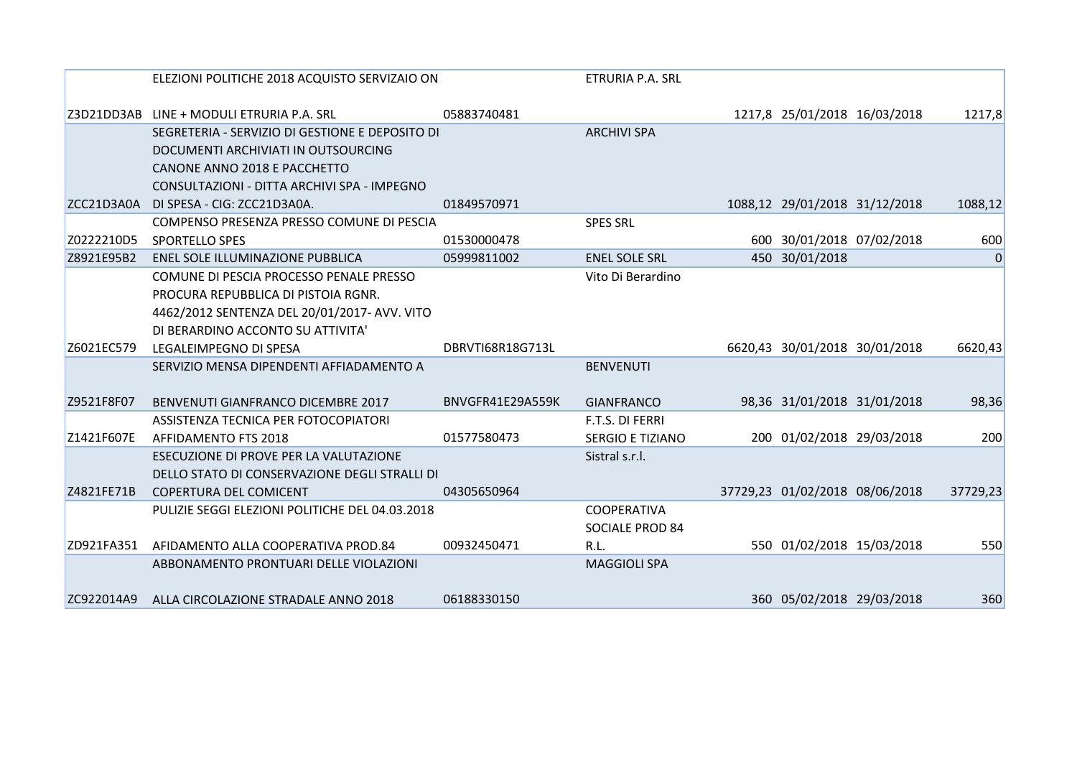|            | ELEZIONI POLITICHE 2018 ACQUISTO SERVIZAIO ON   |                  | ETRURIA P.A. SRL        |                                |          |
|------------|-------------------------------------------------|------------------|-------------------------|--------------------------------|----------|
|            |                                                 |                  |                         |                                |          |
|            | Z3D21DD3AB LINE + MODULI ETRURIA P.A. SRL       | 05883740481      |                         | 1217,8 25/01/2018 16/03/2018   | 1217,8   |
|            | SEGRETERIA - SERVIZIO DI GESTIONE E DEPOSITO DI |                  | <b>ARCHIVI SPA</b>      |                                |          |
|            | DOCUMENTI ARCHIVIATI IN OUTSOURCING             |                  |                         |                                |          |
|            | CANONE ANNO 2018 E PACCHETTO                    |                  |                         |                                |          |
|            | CONSULTAZIONI - DITTA ARCHIVI SPA - IMPEGNO     |                  |                         |                                |          |
|            | ZCC21D3A0A DI SPESA - CIG: ZCC21D3A0A.          | 01849570971      |                         | 1088,12 29/01/2018 31/12/2018  | 1088,12  |
|            | COMPENSO PRESENZA PRESSO COMUNE DI PESCIA       |                  | <b>SPES SRL</b>         |                                |          |
| Z0222210D5 | <b>SPORTELLO SPES</b>                           | 01530000478      |                         | 600 30/01/2018 07/02/2018      | 600      |
| Z8921E95B2 | ENEL SOLE ILLUMINAZIONE PUBBLICA                | 05999811002      | <b>ENEL SOLE SRL</b>    | 450 30/01/2018                 | $\Omega$ |
|            | COMUNE DI PESCIA PROCESSO PENALE PRESSO         |                  | Vito Di Berardino       |                                |          |
|            | PROCURA REPUBBLICA DI PISTOIA RGNR.             |                  |                         |                                |          |
|            | 4462/2012 SENTENZA DEL 20/01/2017- AVV. VITO    |                  |                         |                                |          |
|            | DI BERARDINO ACCONTO SU ATTIVITA'               |                  |                         |                                |          |
| Z6021EC579 | LEGALEIMPEGNO DI SPESA                          | DBRVTI68R18G713L |                         | 6620,43 30/01/2018 30/01/2018  | 6620,43  |
|            | SERVIZIO MENSA DIPENDENTI AFFIADAMENTO A        |                  | <b>BENVENUTI</b>        |                                |          |
|            |                                                 |                  |                         |                                |          |
| Z9521F8F07 | BENVENUTI GIANFRANCO DICEMBRE 2017              | BNVGFR41E29A559K | <b>GIANFRANCO</b>       | 98,36 31/01/2018 31/01/2018    | 98,36    |
|            | ASSISTENZA TECNICA PER FOTOCOPIATORI            |                  | F.T.S. DI FERRI         |                                |          |
| Z1421F607E | AFFIDAMENTO FTS 2018                            | 01577580473      | <b>SERGIO E TIZIANO</b> | 200 01/02/2018 29/03/2018      | 200      |
|            | ESECUZIONE DI PROVE PER LA VALUTAZIONE          |                  | Sistral s.r.l.          |                                |          |
|            | DELLO STATO DI CONSERVAZIONE DEGLI STRALLI DI   |                  |                         |                                |          |
| Z4821FE71B | <b>COPERTURA DEL COMICENT</b>                   | 04305650964      |                         | 37729,23 01/02/2018 08/06/2018 | 37729,23 |
|            | PULIZIE SEGGI ELEZIONI POLITICHE DEL 04.03.2018 |                  | <b>COOPERATIVA</b>      |                                |          |
|            |                                                 |                  | SOCIALE PROD 84         |                                |          |
| ZD921FA351 | AFIDAMENTO ALLA COOPERATIVA PROD.84             | 00932450471      | R.L.                    | 550 01/02/2018 15/03/2018      | 550      |
|            | ABBONAMENTO PRONTUARI DELLE VIOLAZIONI          |                  | <b>MAGGIOLI SPA</b>     |                                |          |
|            |                                                 |                  |                         |                                |          |
| ZC922014A9 | ALLA CIRCOLAZIONE STRADALE ANNO 2018            | 06188330150      |                         | 360 05/02/2018 29/03/2018      | 360      |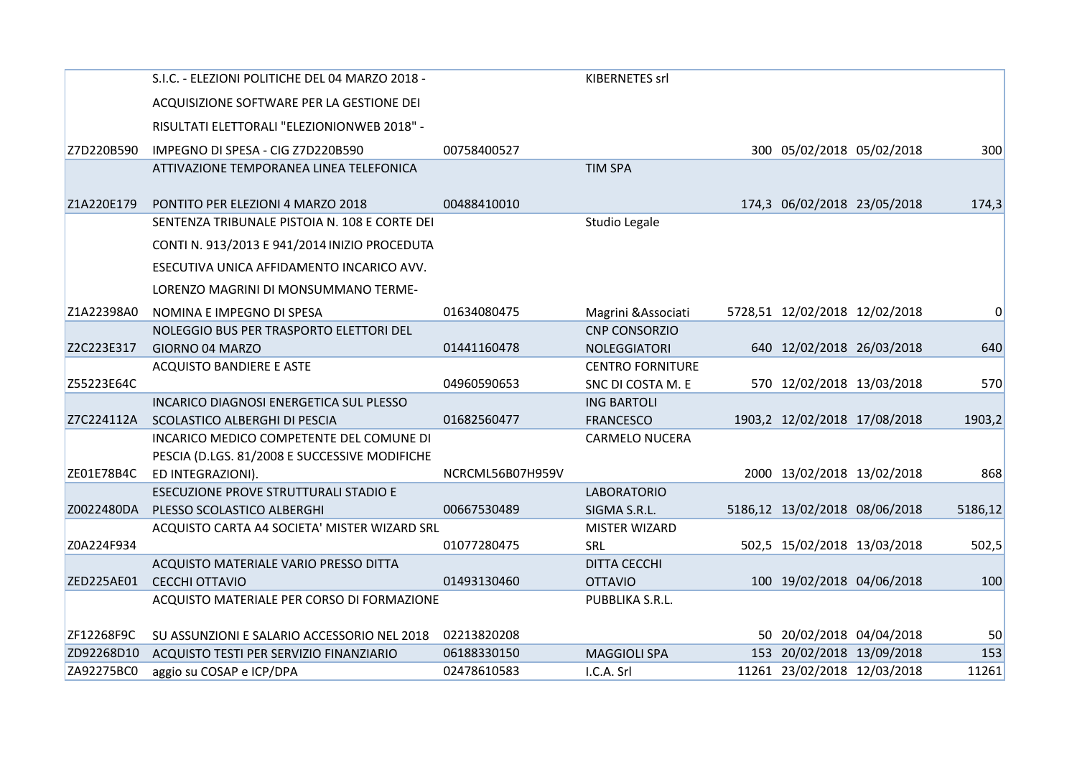|            | S.I.C. - ELEZIONI POLITICHE DEL 04 MARZO 2018 - |                  | <b>KIBERNETES srl</b>   |                               |         |
|------------|-------------------------------------------------|------------------|-------------------------|-------------------------------|---------|
|            | ACQUISIZIONE SOFTWARE PER LA GESTIONE DEI       |                  |                         |                               |         |
|            | RISULTATI ELETTORALI "ELEZIONIONWEB 2018" -     |                  |                         |                               |         |
| Z7D220B590 | IMPEGNO DI SPESA - CIG Z7D220B590               | 00758400527      |                         | 300 05/02/2018 05/02/2018     | 300     |
|            | ATTIVAZIONE TEMPORANEA LINEA TELEFONICA         |                  | <b>TIM SPA</b>          |                               |         |
|            |                                                 |                  |                         |                               |         |
| Z1A220E179 | PONTITO PER ELEZIONI 4 MARZO 2018               | 00488410010      |                         | 174,3 06/02/2018 23/05/2018   | 174,3   |
|            | SENTENZA TRIBUNALE PISTOIA N. 108 E CORTE DEI   |                  | Studio Legale           |                               |         |
|            | CONTI N. 913/2013 E 941/2014 INIZIO PROCEDUTA   |                  |                         |                               |         |
|            | ESECUTIVA UNICA AFFIDAMENTO INCARICO AVV.       |                  |                         |                               |         |
|            | LORENZO MAGRINI DI MONSUMMANO TERME-            |                  |                         |                               |         |
| Z1A22398A0 | NOMINA E IMPEGNO DI SPESA                       | 01634080475      | Magrini & Associati     | 5728,51 12/02/2018 12/02/2018 | 0       |
|            | NOLEGGIO BUS PER TRASPORTO ELETTORI DEL         |                  | <b>CNP CONSORZIO</b>    |                               |         |
| Z2C223E317 | GIORNO 04 MARZO                                 | 01441160478      | <b>NOLEGGIATORI</b>     | 640 12/02/2018 26/03/2018     | 640     |
|            | <b>ACQUISTO BANDIERE E ASTE</b>                 |                  | <b>CENTRO FORNITURE</b> |                               |         |
| Z55223E64C |                                                 | 04960590653      | SNC DI COSTA M. E       | 570 12/02/2018 13/03/2018     | 570     |
|            | <b>INCARICO DIAGNOSI ENERGETICA SUL PLESSO</b>  |                  | <b>ING BARTOLI</b>      |                               |         |
|            | Z7C224112A SCOLASTICO ALBERGHI DI PESCIA        | 01682560477      | <b>FRANCESCO</b>        | 1903,2 12/02/2018 17/08/2018  | 1903,2  |
|            | INCARICO MEDICO COMPETENTE DEL COMUNE DI        |                  | <b>CARMELO NUCERA</b>   |                               |         |
|            | PESCIA (D.LGS. 81/2008 E SUCCESSIVE MODIFICHE   |                  |                         |                               |         |
| ZE01E78B4C | ED INTEGRAZIONI).                               | NCRCML56B07H959V |                         | 2000 13/02/2018 13/02/2018    | 868     |
|            | ESECUZIONE PROVE STRUTTURALI STADIO E           |                  | <b>LABORATORIO</b>      |                               |         |
|            | Z0022480DA PLESSO SCOLASTICO ALBERGHI           | 00667530489      | SIGMA S.R.L.            | 5186,12 13/02/2018 08/06/2018 | 5186,12 |
|            | ACQUISTO CARTA A4 SOCIETA' MISTER WIZARD SRL    |                  | <b>MISTER WIZARD</b>    |                               |         |
| Z0A224F934 |                                                 | 01077280475      | SRL                     | 502,5 15/02/2018 13/03/2018   | 502,5   |
|            | ACQUISTO MATERIALE VARIO PRESSO DITTA           |                  | <b>DITTA CECCHI</b>     |                               |         |
|            | ZED225AE01 CECCHI OTTAVIO                       | 01493130460      | <b>OTTAVIO</b>          | 100 19/02/2018 04/06/2018     | 100     |
|            | ACQUISTO MATERIALE PER CORSO DI FORMAZIONE      |                  | PUBBLIKA S.R.L.         |                               |         |
| ZF12268F9C | SU ASSUNZIONI E SALARIO ACCESSORIO NEL 2018     | 02213820208      |                         | 50 20/02/2018 04/04/2018      | 50      |
| ZD92268D10 | ACQUISTO TESTI PER SERVIZIO FINANZIARIO         | 06188330150      | <b>MAGGIOLI SPA</b>     | 153 20/02/2018 13/09/2018     | 153     |
| ZA92275BC0 | aggio su COSAP e ICP/DPA                        | 02478610583      | I.C.A. Srl              | 11261 23/02/2018 12/03/2018   | 11261   |
|            |                                                 |                  |                         |                               |         |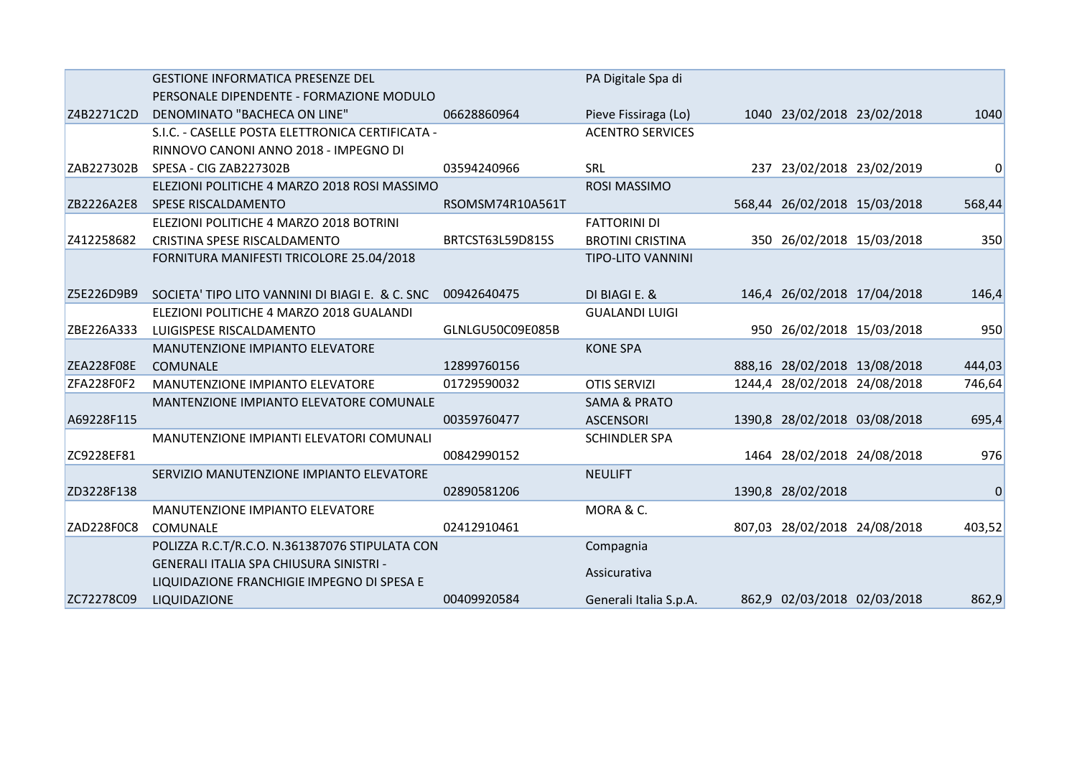|                   | <b>GESTIONE INFORMATICA PRESENZE DEL</b>         |                  | PA Digitale Spa di       |                              |        |
|-------------------|--------------------------------------------------|------------------|--------------------------|------------------------------|--------|
|                   | PERSONALE DIPENDENTE - FORMAZIONE MODULO         |                  |                          |                              |        |
| Z4B2271C2D        | DENOMINATO "BACHECA ON LINE"                     | 06628860964      | Pieve Fissiraga (Lo)     | 1040 23/02/2018 23/02/2018   | 1040   |
|                   | S.I.C. - CASELLE POSTA ELETTRONICA CERTIFICATA - |                  | <b>ACENTRO SERVICES</b>  |                              |        |
|                   | RINNOVO CANONI ANNO 2018 - IMPEGNO DI            |                  |                          |                              |        |
| ZAB227302B        | SPESA - CIG ZAB227302B                           | 03594240966      | SRL                      | 237 23/02/2018 23/02/2019    | 0      |
|                   | ELEZIONI POLITICHE 4 MARZO 2018 ROSI MASSIMO     |                  | <b>ROSI MASSIMO</b>      |                              |        |
| ZB2226A2E8        | SPESE RISCALDAMENTO                              | RSOMSM74R10A561T |                          | 568,44 26/02/2018 15/03/2018 | 568,44 |
|                   | ELEZIONI POLITICHE 4 MARZO 2018 BOTRINI          |                  | <b>FATTORINI DI</b>      |                              |        |
| Z412258682        | CRISTINA SPESE RISCALDAMENTO                     | BRTCST63L59D815S | <b>BROTINI CRISTINA</b>  | 350 26/02/2018 15/03/2018    | 350    |
|                   | FORNITURA MANIFESTI TRICOLORE 25.04/2018         |                  | <b>TIPO-LITO VANNINI</b> |                              |        |
|                   |                                                  |                  |                          |                              |        |
| Z5E226D9B9        | SOCIETA' TIPO LITO VANNINI DI BIAGI E. & C. SNC  | 00942640475      | DI BIAGI E. &            | 146,4 26/02/2018 17/04/2018  | 146,4  |
|                   | ELEZIONI POLITICHE 4 MARZO 2018 GUALANDI         |                  | <b>GUALANDI LUIGI</b>    |                              |        |
| ZBE226A333        | LUIGISPESE RISCALDAMENTO                         | GLNLGU50C09E085B |                          | 950 26/02/2018 15/03/2018    | 950    |
|                   | <b>MANUTENZIONE IMPIANTO ELEVATORE</b>           |                  | <b>KONE SPA</b>          |                              |        |
| <b>ZEA228F08E</b> | <b>COMUNALE</b>                                  | 12899760156      |                          | 888,16 28/02/2018 13/08/2018 | 444,03 |
| ZFA228F0F2        | <b>MANUTENZIONE IMPIANTO ELEVATORE</b>           | 01729590032      | <b>OTIS SERVIZI</b>      | 1244,4 28/02/2018 24/08/2018 | 746,64 |
|                   | MANTENZIONE IMPIANTO ELEVATORE COMUNALE          |                  | <b>SAMA &amp; PRATO</b>  |                              |        |
| A69228F115        |                                                  | 00359760477      | <b>ASCENSORI</b>         | 1390,8 28/02/2018 03/08/2018 | 695,4  |
|                   | MANUTENZIONE IMPIANTI ELEVATORI COMUNALI         |                  | <b>SCHINDLER SPA</b>     |                              |        |
| ZC9228EF81        |                                                  | 00842990152      |                          | 1464 28/02/2018 24/08/2018   | 976    |
|                   | SERVIZIO MANUTENZIONE IMPIANTO ELEVATORE         |                  | <b>NEULIFT</b>           |                              |        |
| ZD3228F138        |                                                  | 02890581206      |                          | 1390,8 28/02/2018            | 0      |
|                   | <b>MANUTENZIONE IMPIANTO ELEVATORE</b>           |                  | MORA & C.                |                              |        |
| ZAD228F0C8        | COMUNALE                                         | 02412910461      |                          | 807,03 28/02/2018 24/08/2018 | 403,52 |
|                   | POLIZZA R.C.T/R.C.O. N.361387076 STIPULATA CON   |                  | Compagnia                |                              |        |
|                   | GENERALI ITALIA SPA CHIUSURA SINISTRI -          |                  | Assicurativa             |                              |        |
|                   | LIQUIDAZIONE FRANCHIGIE IMPEGNO DI SPESA E       |                  |                          |                              |        |
| ZC72278C09        | <b>LIQUIDAZIONE</b>                              | 00409920584      | Generali Italia S.p.A.   | 862,9 02/03/2018 02/03/2018  | 862,9  |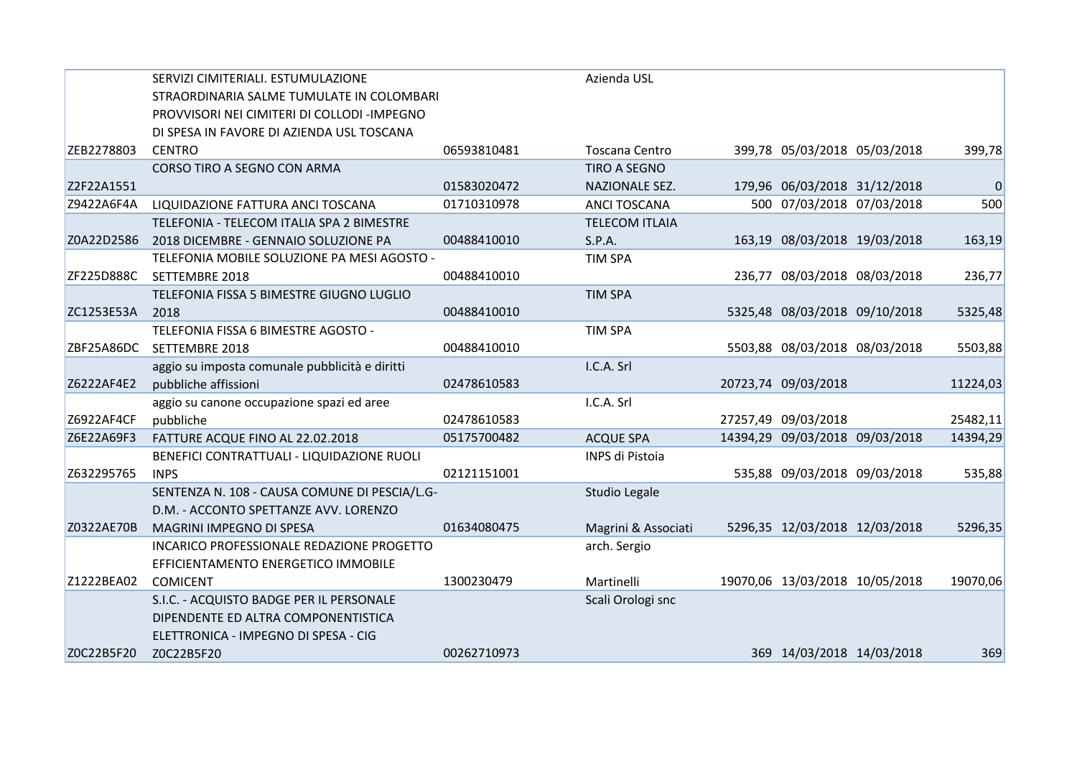|            | SERVIZI CIMITERIALI. ESTUMULAZIONE             |             | Azienda USL            |                                |             |
|------------|------------------------------------------------|-------------|------------------------|--------------------------------|-------------|
|            | STRAORDINARIA SALME TUMULATE IN COLOMBARI      |             |                        |                                |             |
|            | PROVVISORI NEI CIMITERI DI COLLODI -IMPEGNO    |             |                        |                                |             |
|            | DI SPESA IN FAVORE DI AZIENDA USL TOSCANA      |             |                        |                                |             |
| ZEB2278803 | <b>CENTRO</b>                                  | 06593810481 | <b>Toscana Centro</b>  | 399,78 05/03/2018 05/03/2018   | 399,78      |
|            | CORSO TIRO A SEGNO CON ARMA                    |             | TIRO A SEGNO           |                                |             |
| Z2F22A1551 |                                                | 01583020472 | NAZIONALE SEZ.         | 179,96 06/03/2018 31/12/2018   | $\mathbf 0$ |
| Z9422A6F4A | LIQUIDAZIONE FATTURA ANCI TOSCANA              | 01710310978 | <b>ANCI TOSCANA</b>    | 500 07/03/2018 07/03/2018      | 500         |
|            | TELEFONIA - TELECOM ITALIA SPA 2 BIMESTRE      |             | <b>TELECOM ITLAIA</b>  |                                |             |
| Z0A22D2586 | 2018 DICEMBRE - GENNAIO SOLUZIONE PA           | 00488410010 | S.P.A.                 | 163,19 08/03/2018 19/03/2018   | 163,19      |
|            | TELEFONIA MOBILE SOLUZIONE PA MESI AGOSTO -    |             | <b>TIM SPA</b>         |                                |             |
| ZF225D888C | SETTEMBRE 2018                                 | 00488410010 |                        | 236,77 08/03/2018 08/03/2018   | 236,77      |
|            | TELEFONIA FISSA 5 BIMESTRE GIUGNO LUGLIO       |             | <b>TIM SPA</b>         |                                |             |
| ZC1253E53A | 2018                                           | 00488410010 |                        | 5325,48 08/03/2018 09/10/2018  | 5325,48     |
|            | TELEFONIA FISSA 6 BIMESTRE AGOSTO -            |             | <b>TIM SPA</b>         |                                |             |
|            | ZBF25A86DC SETTEMBRE 2018                      | 00488410010 |                        | 5503,88 08/03/2018 08/03/2018  | 5503,88     |
|            | aggio su imposta comunale pubblicità e diritti |             | I.C.A. Srl             |                                |             |
| Z6222AF4E2 | pubbliche affissioni                           | 02478610583 |                        | 20723,74 09/03/2018            | 11224,03    |
|            | aggio su canone occupazione spazi ed aree      |             | I.C.A. Srl             |                                |             |
| Z6922AF4CF | pubbliche                                      | 02478610583 |                        | 27257,49 09/03/2018            | 25482,11    |
| Z6E22A69F3 | FATTURE ACQUE FINO AL 22.02.2018               | 05175700482 | <b>ACQUE SPA</b>       | 14394,29 09/03/2018 09/03/2018 | 14394,29    |
|            | BENEFICI CONTRATTUALI - LIQUIDAZIONE RUOLI     |             | <b>INPS di Pistoia</b> |                                |             |
| Z632295765 | <b>INPS</b>                                    | 02121151001 |                        | 535,88 09/03/2018 09/03/2018   | 535,88      |
|            | SENTENZA N. 108 - CAUSA COMUNE DI PESCIA/L.G-  |             | Studio Legale          |                                |             |
|            | D.M. - ACCONTO SPETTANZE AVV. LORENZO          |             |                        |                                |             |
| Z0322AE70B | MAGRINI IMPEGNO DI SPESA                       | 01634080475 | Magrini & Associati    | 5296,35 12/03/2018 12/03/2018  | 5296,35     |
|            | INCARICO PROFESSIONALE REDAZIONE PROGETTO      |             | arch. Sergio           |                                |             |
|            | EFFICIENTAMENTO ENERGETICO IMMOBILE            |             |                        |                                |             |
| Z1222BEA02 | <b>COMICENT</b>                                | 1300230479  | Martinelli             | 19070,06 13/03/2018 10/05/2018 | 19070,06    |
|            | S.I.C. - ACQUISTO BADGE PER IL PERSONALE       |             | Scali Orologi snc      |                                |             |
|            | DIPENDENTE ED ALTRA COMPONENTISTICA            |             |                        |                                |             |
|            | ELETTRONICA - IMPEGNO DI SPESA - CIG           |             |                        |                                |             |
| Z0C22B5F20 | Z0C22B5F20                                     | 00262710973 |                        | 369 14/03/2018 14/03/2018      | 369         |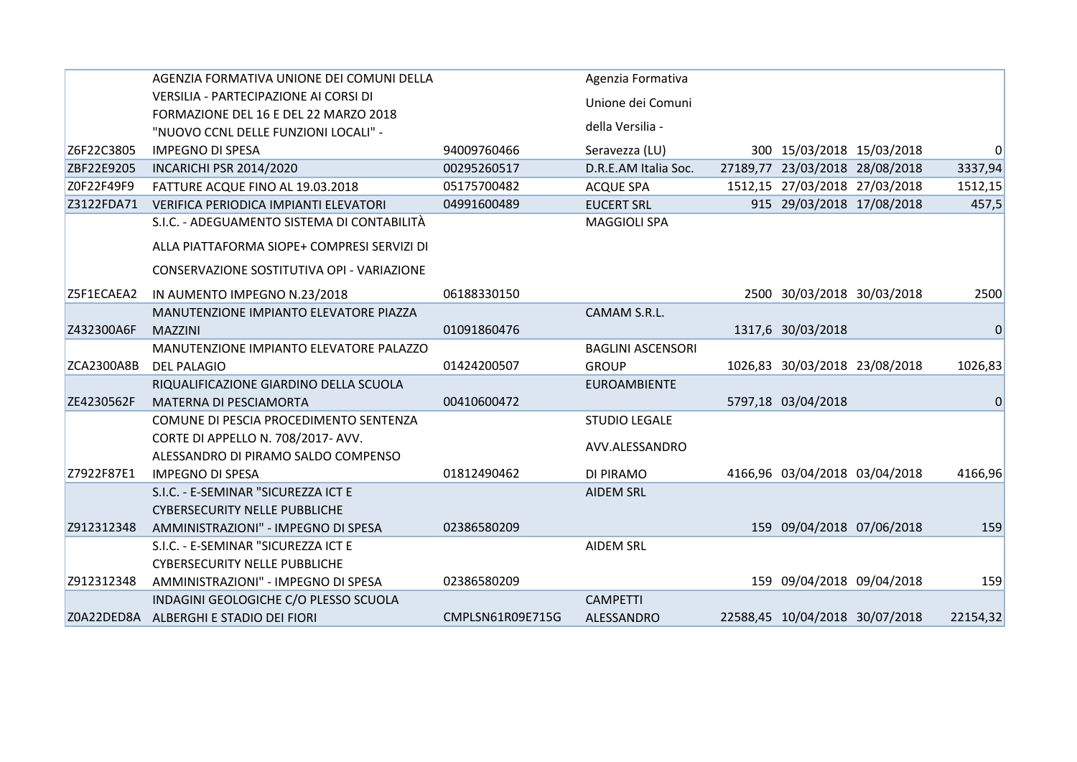|                   | AGENZIA FORMATIVA UNIONE DEI COMUNI DELLA   |                  | Agenzia Formativa        |                                |          |
|-------------------|---------------------------------------------|------------------|--------------------------|--------------------------------|----------|
|                   | VERSILIA - PARTECIPAZIONE AI CORSI DI       |                  | Unione dei Comuni        |                                |          |
|                   | FORMAZIONE DEL 16 E DEL 22 MARZO 2018       |                  |                          |                                |          |
|                   | "NUOVO CCNL DELLE FUNZIONI LOCALI" -        |                  | della Versilia -         |                                |          |
| Z6F22C3805        | <b>IMPEGNO DI SPESA</b>                     | 94009760466      | Seravezza (LU)           | 300 15/03/2018 15/03/2018      | 0        |
| ZBF22E9205        | <b>INCARICHI PSR 2014/2020</b>              | 00295260517      | D.R.E.AM Italia Soc.     | 27189,77 23/03/2018 28/08/2018 | 3337,94  |
| Z0F22F49F9        | FATTURE ACQUE FINO AL 19.03.2018            | 05175700482      | <b>ACQUE SPA</b>         | 1512,15 27/03/2018 27/03/2018  | 1512,15  |
| Z3122FDA71        | VERIFICA PERIODICA IMPIANTI ELEVATORI       | 04991600489      | <b>EUCERT SRL</b>        | 915 29/03/2018 17/08/2018      | 457,5    |
|                   | S.I.C. - ADEGUAMENTO SISTEMA DI CONTABILITÀ |                  | <b>MAGGIOLI SPA</b>      |                                |          |
|                   | ALLA PIATTAFORMA SIOPE+ COMPRESI SERVIZI DI |                  |                          |                                |          |
|                   | CONSERVAZIONE SOSTITUTIVA OPI - VARIAZIONE  |                  |                          |                                |          |
| Z5F1ECAEA2        | IN AUMENTO IMPEGNO N.23/2018                | 06188330150      |                          | 2500 30/03/2018 30/03/2018     | 2500     |
|                   | MANUTENZIONE IMPIANTO ELEVATORE PIAZZA      |                  | CAMAM S.R.L.             |                                |          |
| Z432300A6F        | <b>MAZZINI</b>                              | 01091860476      |                          | 1317,6 30/03/2018              | 0        |
|                   | MANUTENZIONE IMPIANTO ELEVATORE PALAZZO     |                  | <b>BAGLINI ASCENSORI</b> |                                |          |
| <b>ZCA2300A8B</b> | DEL PALAGIO                                 | 01424200507      | <b>GROUP</b>             | 1026,83 30/03/2018 23/08/2018  | 1026,83  |
|                   | RIQUALIFICAZIONE GIARDINO DELLA SCUOLA      |                  | <b>EUROAMBIENTE</b>      |                                |          |
| ZE4230562F        | MATERNA DI PESCIAMORTA                      | 00410600472      |                          | 5797,18 03/04/2018             | 0        |
|                   | COMUNE DI PESCIA PROCEDIMENTO SENTENZA      |                  | <b>STUDIO LEGALE</b>     |                                |          |
|                   | CORTE DI APPELLO N. 708/2017- AVV.          |                  | AVV.ALESSANDRO           |                                |          |
|                   | ALESSANDRO DI PIRAMO SALDO COMPENSO         |                  |                          |                                |          |
| Z7922F87E1        | <b>IMPEGNO DI SPESA</b>                     | 01812490462      | DI PIRAMO                | 4166,96 03/04/2018 03/04/2018  | 4166,96  |
|                   | S.I.C. - E-SEMINAR "SICUREZZA ICT E         |                  | <b>AIDEM SRL</b>         |                                |          |
|                   | <b>CYBERSECURITY NELLE PUBBLICHE</b>        |                  |                          |                                |          |
| Z912312348        | AMMINISTRAZIONI" - IMPEGNO DI SPESA         | 02386580209      |                          | 159 09/04/2018 07/06/2018      | 159      |
|                   | S.I.C. - E-SEMINAR "SICUREZZA ICT E         |                  | <b>AIDEM SRL</b>         |                                |          |
|                   | <b>CYBERSECURITY NELLE PUBBLICHE</b>        |                  |                          |                                |          |
| Z912312348        | AMMINISTRAZIONI" - IMPEGNO DI SPESA         | 02386580209      |                          | 159 09/04/2018 09/04/2018      | 159      |
|                   | INDAGINI GEOLOGICHE C/O PLESSO SCUOLA       |                  | <b>CAMPETTI</b>          |                                |          |
|                   | Z0A22DED8A ALBERGHI E STADIO DEI FIORI      | CMPLSN61R09E715G | ALESSANDRO               | 22588,45 10/04/2018 30/07/2018 | 22154,32 |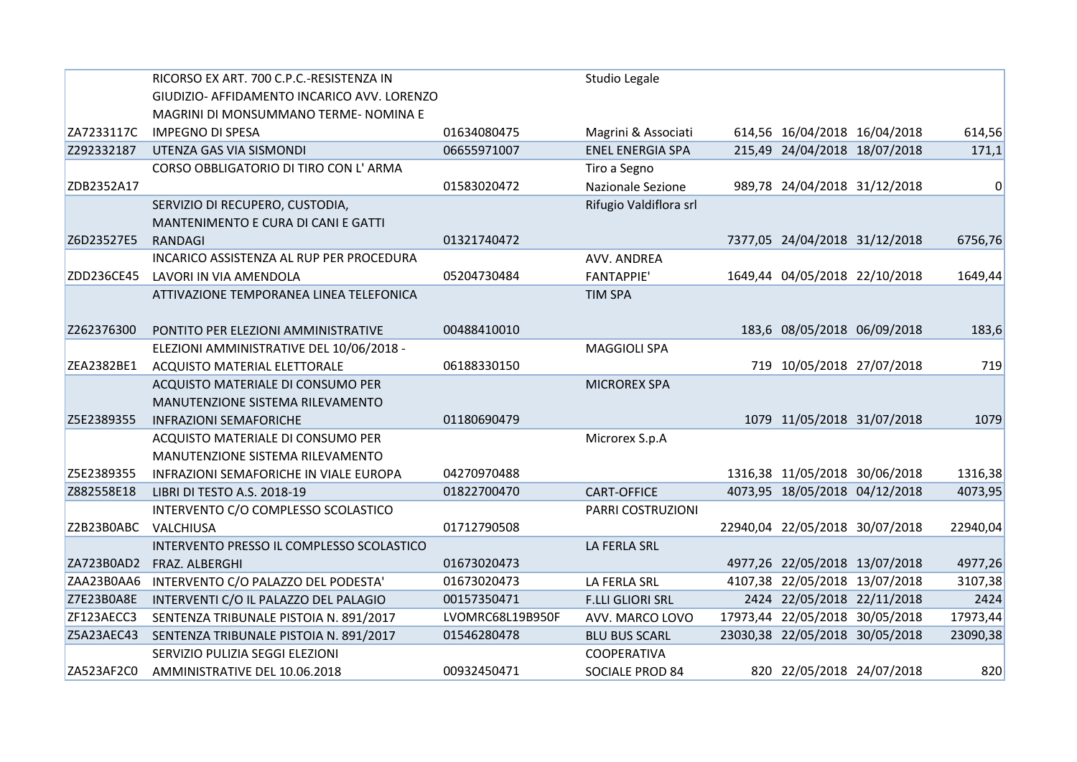|                      | RICORSO EX ART. 700 C.P.C.-RESISTENZA IN    |                  | Studio Legale           |                                |          |
|----------------------|---------------------------------------------|------------------|-------------------------|--------------------------------|----------|
|                      | GIUDIZIO- AFFIDAMENTO INCARICO AVV. LORENZO |                  |                         |                                |          |
|                      | MAGRINI DI MONSUMMANO TERME- NOMINA E       |                  |                         |                                |          |
| ZA7233117C           | <b>IMPEGNO DI SPESA</b>                     | 01634080475      | Magrini & Associati     | 614,56 16/04/2018 16/04/2018   | 614,56   |
| Z292332187           | UTENZA GAS VIA SISMONDI                     | 06655971007      | <b>ENEL ENERGIA SPA</b> | 215,49 24/04/2018 18/07/2018   | 171,1    |
|                      | CORSO OBBLIGATORIO DI TIRO CON L' ARMA      |                  | Tiro a Segno            |                                |          |
| ZDB2352A17           |                                             | 01583020472      | Nazionale Sezione       | 989,78 24/04/2018 31/12/2018   | $\Omega$ |
|                      | SERVIZIO DI RECUPERO, CUSTODIA,             |                  | Rifugio Valdiflora srl  |                                |          |
|                      | MANTENIMENTO E CURA DI CANI E GATTI         |                  |                         |                                |          |
| Z6D23527E5           | RANDAGI                                     | 01321740472      |                         | 7377,05 24/04/2018 31/12/2018  | 6756,76  |
|                      | INCARICO ASSISTENZA AL RUP PER PROCEDURA    |                  | AVV. ANDREA             |                                |          |
| ZDD236CE45           | LAVORI IN VIA AMENDOLA                      | 05204730484      | <b>FANTAPPIE'</b>       | 1649,44 04/05/2018 22/10/2018  | 1649,44  |
|                      | ATTIVAZIONE TEMPORANEA LINEA TELEFONICA     |                  | <b>TIM SPA</b>          |                                |          |
|                      |                                             |                  |                         |                                |          |
| Z262376300           | PONTITO PER ELEZIONI AMMINISTRATIVE         | 00488410010      |                         | 183,6 08/05/2018 06/09/2018    | 183,6    |
|                      | ELEZIONI AMMINISTRATIVE DEL 10/06/2018 -    |                  | <b>MAGGIOLI SPA</b>     |                                |          |
| ZEA2382BE1           | ACQUISTO MATERIAL ELETTORALE                | 06188330150      |                         | 719 10/05/2018 27/07/2018      | 719      |
|                      | ACQUISTO MATERIALE DI CONSUMO PER           |                  | <b>MICROREX SPA</b>     |                                |          |
|                      | MANUTENZIONE SISTEMA RILEVAMENTO            |                  |                         |                                |          |
| Z5E2389355           | <b>INFRAZIONI SEMAFORICHE</b>               | 01180690479      |                         | 1079 11/05/2018 31/07/2018     | 1079     |
|                      | ACQUISTO MATERIALE DI CONSUMO PER           |                  | Microrex S.p.A          |                                |          |
|                      | MANUTENZIONE SISTEMA RILEVAMENTO            |                  |                         |                                |          |
| Z5E2389355           | INFRAZIONI SEMAFORICHE IN VIALE EUROPA      | 04270970488      |                         | 1316,38 11/05/2018 30/06/2018  | 1316,38  |
| Z882558E18           | LIBRI DI TESTO A.S. 2018-19                 | 01822700470      | <b>CART-OFFICE</b>      | 4073,95 18/05/2018 04/12/2018  | 4073,95  |
|                      | INTERVENTO C/O COMPLESSO SCOLASTICO         |                  | PARRI COSTRUZIONI       |                                |          |
| Z2B23B0ABC VALCHIUSA |                                             | 01712790508      |                         | 22940,04 22/05/2018 30/07/2018 | 22940,04 |
|                      | INTERVENTO PRESSO IL COMPLESSO SCOLASTICO   |                  | LA FERLA SRL            |                                |          |
| ZA723B0AD2           | FRAZ. ALBERGHI                              | 01673020473      |                         | 4977,26 22/05/2018 13/07/2018  | 4977,26  |
| ZAA23B0AA6           | INTERVENTO C/O PALAZZO DEL PODESTA'         | 01673020473      | LA FERLA SRL            | 4107,38 22/05/2018 13/07/2018  | 3107,38  |
| Z7E23B0A8E           | INTERVENTI C/O IL PALAZZO DEL PALAGIO       | 00157350471      | <b>F.LLI GLIORI SRL</b> | 2424 22/05/2018 22/11/2018     | 2424     |
| ZF123AECC3           | SENTENZA TRIBUNALE PISTOIA N. 891/2017      | LVOMRC68L19B950F | AVV. MARCO LOVO         | 17973,44 22/05/2018 30/05/2018 | 17973,44 |
| Z5A23AEC43           | SENTENZA TRIBUNALE PISTOIA N. 891/2017      | 01546280478      | <b>BLU BUS SCARL</b>    | 23030,38 22/05/2018 30/05/2018 | 23090,38 |
|                      | SERVIZIO PULIZIA SEGGI ELEZIONI             |                  | COOPERATIVA             |                                |          |
| ZA523AF2C0           | AMMINISTRATIVE DEL 10.06.2018               | 00932450471      | SOCIALE PROD 84         | 820 22/05/2018 24/07/2018      | 820      |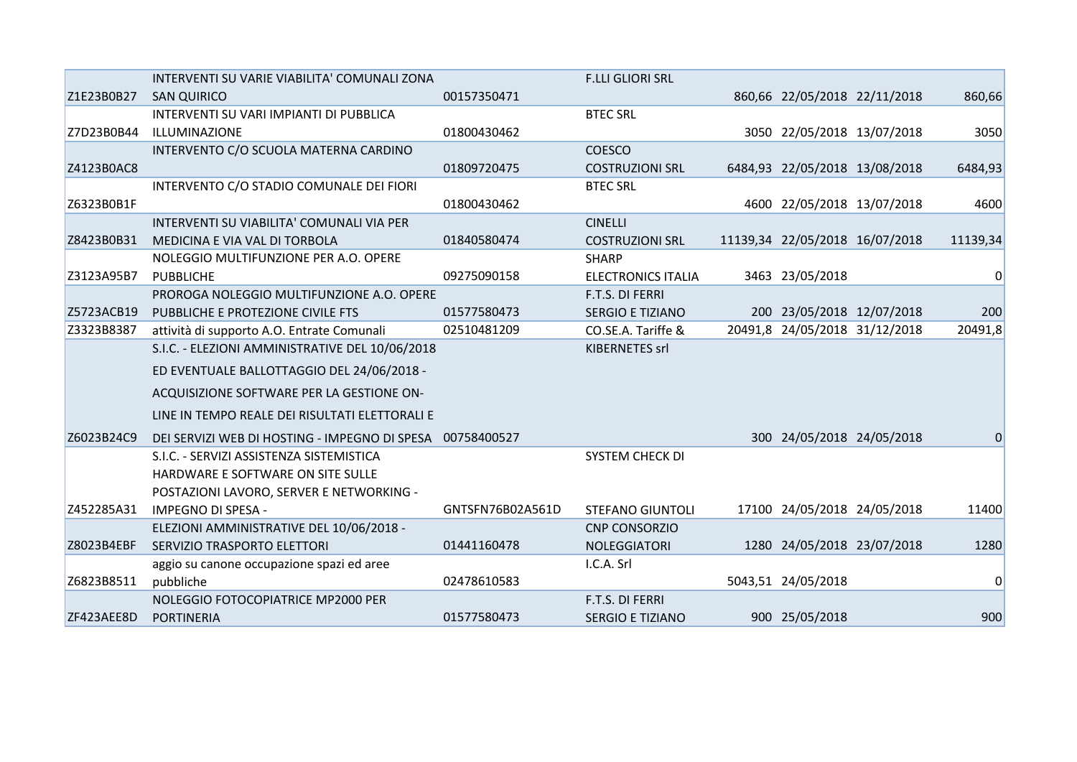|            | INTERVENTI SU VARIE VIABILITA' COMUNALI ZONA              |                  | <b>F.LLI GLIORI SRL</b>   |                                |          |
|------------|-----------------------------------------------------------|------------------|---------------------------|--------------------------------|----------|
| Z1E23B0B27 | <b>SAN QUIRICO</b>                                        | 00157350471      |                           | 860,66 22/05/2018 22/11/2018   | 860,66   |
|            | INTERVENTI SU VARI IMPIANTI DI PUBBLICA                   |                  | <b>BTEC SRL</b>           |                                |          |
| Z7D23B0B44 | ILLUMINAZIONE                                             | 01800430462      |                           | 3050 22/05/2018 13/07/2018     | 3050     |
|            | INTERVENTO C/O SCUOLA MATERNA CARDINO                     |                  | <b>COESCO</b>             |                                |          |
| Z4123B0AC8 |                                                           | 01809720475      | <b>COSTRUZIONI SRL</b>    | 6484,93 22/05/2018 13/08/2018  | 6484,93  |
|            | INTERVENTO C/O STADIO COMUNALE DEI FIORI                  |                  | <b>BTEC SRL</b>           |                                |          |
| Z6323B0B1F |                                                           | 01800430462      |                           | 4600 22/05/2018 13/07/2018     | 4600     |
|            | INTERVENTI SU VIABILITA' COMUNALI VIA PER                 |                  | <b>CINELLI</b>            |                                |          |
| Z8423B0B31 | MEDICINA E VIA VAL DI TORBOLA                             | 01840580474      | <b>COSTRUZIONI SRL</b>    | 11139,34 22/05/2018 16/07/2018 | 11139,34 |
|            | NOLEGGIO MULTIFUNZIONE PER A.O. OPERE                     |                  | <b>SHARP</b>              |                                |          |
| Z3123A95B7 | <b>PUBBLICHE</b>                                          | 09275090158      | <b>ELECTRONICS ITALIA</b> | 3463 23/05/2018                | 0        |
|            | PROROGA NOLEGGIO MULTIFUNZIONE A.O. OPERE                 |                  | F.T.S. DI FERRI           |                                |          |
| Z5723ACB19 | PUBBLICHE E PROTEZIONE CIVILE FTS                         | 01577580473      | <b>SERGIO E TIZIANO</b>   | 200 23/05/2018 12/07/2018      | 200      |
| Z3323B8387 | attività di supporto A.O. Entrate Comunali                | 02510481209      | CO.SE.A. Tariffe &        | 20491,8 24/05/2018 31/12/2018  | 20491,8  |
|            | S.I.C. - ELEZIONI AMMINISTRATIVE DEL 10/06/2018           |                  | <b>KIBERNETES srl</b>     |                                |          |
|            | ED EVENTUALE BALLOTTAGGIO DEL 24/06/2018 -                |                  |                           |                                |          |
|            | ACQUISIZIONE SOFTWARE PER LA GESTIONE ON-                 |                  |                           |                                |          |
|            | LINE IN TEMPO REALE DEI RISULTATI ELETTORALI E            |                  |                           |                                |          |
| Z6023B24C9 | DEI SERVIZI WEB DI HOSTING - IMPEGNO DI SPESA 00758400527 |                  |                           | 300 24/05/2018 24/05/2018      | 0        |
|            | S.I.C. - SERVIZI ASSISTENZA SISTEMISTICA                  |                  | SYSTEM CHECK DI           |                                |          |
|            | HARDWARE E SOFTWARE ON SITE SULLE                         |                  |                           |                                |          |
|            | POSTAZIONI LAVORO, SERVER E NETWORKING -                  |                  |                           |                                |          |
| Z452285A31 | <b>IMPEGNO DI SPESA -</b>                                 | GNTSFN76B02A561D | <b>STEFANO GIUNTOLI</b>   | 17100 24/05/2018 24/05/2018    | 11400    |
|            | ELEZIONI AMMINISTRATIVE DEL 10/06/2018 -                  |                  | <b>CNP CONSORZIO</b>      |                                |          |
| Z8023B4EBF | SERVIZIO TRASPORTO ELETTORI                               | 01441160478      | <b>NOLEGGIATORI</b>       | 1280 24/05/2018 23/07/2018     | 1280     |
|            | aggio su canone occupazione spazi ed aree                 |                  | I.C.A. Srl                |                                |          |
| Z6823B8511 | pubbliche                                                 | 02478610583      |                           | 5043,51 24/05/2018             | 0        |
|            | NOLEGGIO FOTOCOPIATRICE MP2000 PER                        |                  | F.T.S. DI FERRI           |                                |          |
| ZF423AEE8D | <b>PORTINERIA</b>                                         | 01577580473      | <b>SERGIO E TIZIANO</b>   | 900 25/05/2018                 | 900      |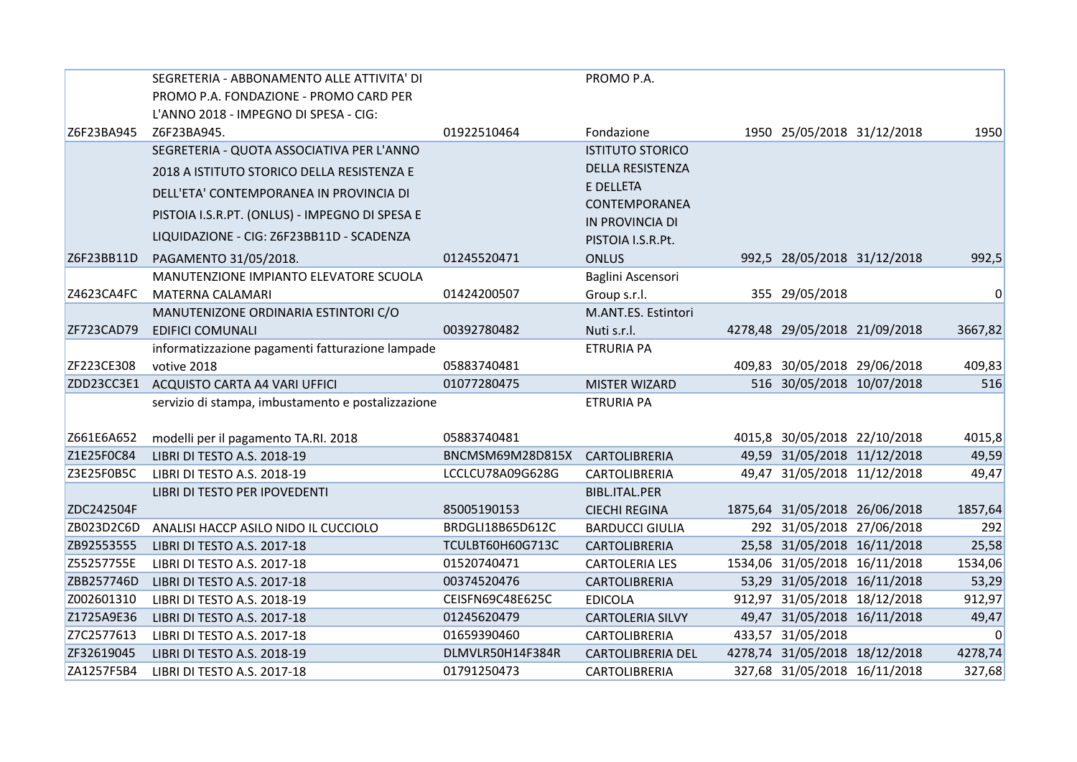|            | SEGRETERIA - ABBONAMENTO ALLE ATTIVITA' DI         |                                | PROMO P.A.                                  |                               |                |
|------------|----------------------------------------------------|--------------------------------|---------------------------------------------|-------------------------------|----------------|
|            | PROMO P.A. FONDAZIONE - PROMO CARD PER             |                                |                                             |                               |                |
|            | L'ANNO 2018 - IMPEGNO DI SPESA - CIG:              |                                |                                             |                               |                |
| Z6F23BA945 | Z6F23BA945.                                        | 01922510464                    | Fondazione                                  | 1950 25/05/2018 31/12/2018    | 1950           |
|            | SEGRETERIA - QUOTA ASSOCIATIVA PER L'ANNO          |                                | <b>ISTITUTO STORICO</b>                     |                               |                |
|            | 2018 A ISTITUTO STORICO DELLA RESISTENZA E         |                                | <b>DELLA RESISTENZA</b>                     |                               |                |
|            | DELL'ETA' CONTEMPORANEA IN PROVINCIA DI            |                                | E DELLETA                                   |                               |                |
|            | PISTOIA I.S.R.PT. (ONLUS) - IMPEGNO DI SPESA E     |                                | CONTEMPORANEA                               |                               |                |
|            | LIQUIDAZIONE - CIG: Z6F23BB11D - SCADENZA          |                                | <b>IN PROVINCIA DI</b><br>PISTOIA I.S.R.Pt. |                               |                |
| Z6F23BB11D | PAGAMENTO 31/05/2018.                              | 01245520471                    | <b>ONLUS</b>                                | 992,5 28/05/2018 31/12/2018   | 992,5          |
|            | MANUTENZIONE IMPIANTO ELEVATORE SCUOLA             |                                | Baglini Ascensori                           |                               |                |
| Z4623CA4FC | <b>MATERNA CALAMARI</b>                            | 01424200507                    | Group s.r.l.                                | 355 29/05/2018                | $\overline{0}$ |
|            | MANUTENIZONE ORDINARIA ESTINTORI C/O               |                                | M.ANT.ES. Estintori                         |                               |                |
| ZF723CAD79 | <b>EDIFICI COMUNALI</b>                            | 00392780482                    | Nuti s.r.l.                                 | 4278,48 29/05/2018 21/09/2018 | 3667,82        |
|            | informatizzazione pagamenti fatturazione lampade   |                                | <b>ETRURIA PA</b>                           |                               |                |
| ZF223CE308 | votive 2018                                        | 05883740481                    |                                             | 409,83 30/05/2018 29/06/2018  | 409,83         |
|            | ZDD23CC3E1 ACQUISTO CARTA A4 VARI UFFICI           | 01077280475                    | MISTER WIZARD                               | 516 30/05/2018 10/07/2018     | 516            |
|            | servizio di stampa, imbustamento e postalizzazione |                                | <b>ETRURIA PA</b>                           |                               |                |
|            |                                                    |                                |                                             |                               |                |
| Z661E6A652 | modelli per il pagamento TA.RI. 2018               | 05883740481                    |                                             | 4015,8 30/05/2018 22/10/2018  | 4015,8         |
| Z1E25F0C84 | LIBRI DI TESTO A.S. 2018-19                        | BNCMSM69M28D815X CARTOLIBRERIA |                                             | 49,59 31/05/2018 11/12/2018   | 49,59          |
| Z3E25F0B5C | LIBRI DI TESTO A.S. 2018-19                        | LCCLCU78A09G628G               | CARTOLIBRERIA                               | 49,47 31/05/2018 11/12/2018   | 49,47          |
|            | LIBRI DI TESTO PER IPOVEDENTI                      |                                | BIBL.ITAL.PER                               |                               |                |
| ZDC242504F |                                                    | 85005190153                    | <b>CIECHI REGINA</b>                        | 1875,64 31/05/2018 26/06/2018 | 1857,64        |
| ZB023D2C6D | ANALISI HACCP ASILO NIDO IL CUCCIOLO               | BRDGLI18B65D612C               | <b>BARDUCCI GIULIA</b>                      | 292 31/05/2018 27/06/2018     | 292            |
| ZB92553555 | LIBRI DI TESTO A.S. 2017-18                        | TCULBT60H60G713C               | CARTOLIBRERIA                               | 25,58 31/05/2018 16/11/2018   | 25,58          |
| Z55257755E | LIBRI DI TESTO A.S. 2017-18                        | 01520740471                    | <b>CARTOLERIA LES</b>                       | 1534,06 31/05/2018 16/11/2018 | 1534,06        |
| ZBB257746D | LIBRI DI TESTO A.S. 2017-18                        | 00374520476                    | <b>CARTOLIBRERIA</b>                        | 53,29 31/05/2018 16/11/2018   | 53,29          |
| Z002601310 | LIBRI DI TESTO A.S. 2018-19                        | CEISFN69C48E625C               | <b>EDICOLA</b>                              | 912,97 31/05/2018 18/12/2018  | 912,97         |
| Z1725A9E36 | LIBRI DI TESTO A.S. 2017-18                        | 01245620479                    | <b>CARTOLERIA SILVY</b>                     | 49,47 31/05/2018 16/11/2018   | 49,47          |
| Z7C2577613 | LIBRI DI TESTO A.S. 2017-18                        | 01659390460                    | CARTOLIBRERIA                               | 433,57 31/05/2018             | $\Omega$       |
| ZF32619045 | LIBRI DI TESTO A.S. 2018-19                        | DLMVLR50H14F384R               | <b>CARTOLIBRERIA DEL</b>                    | 4278,74 31/05/2018 18/12/2018 | 4278,74        |
| ZA1257F5B4 | LIBRI DI TESTO A.S. 2017-18                        | 01791250473                    | <b>CARTOLIBRERIA</b>                        | 327,68 31/05/2018 16/11/2018  | 327,68         |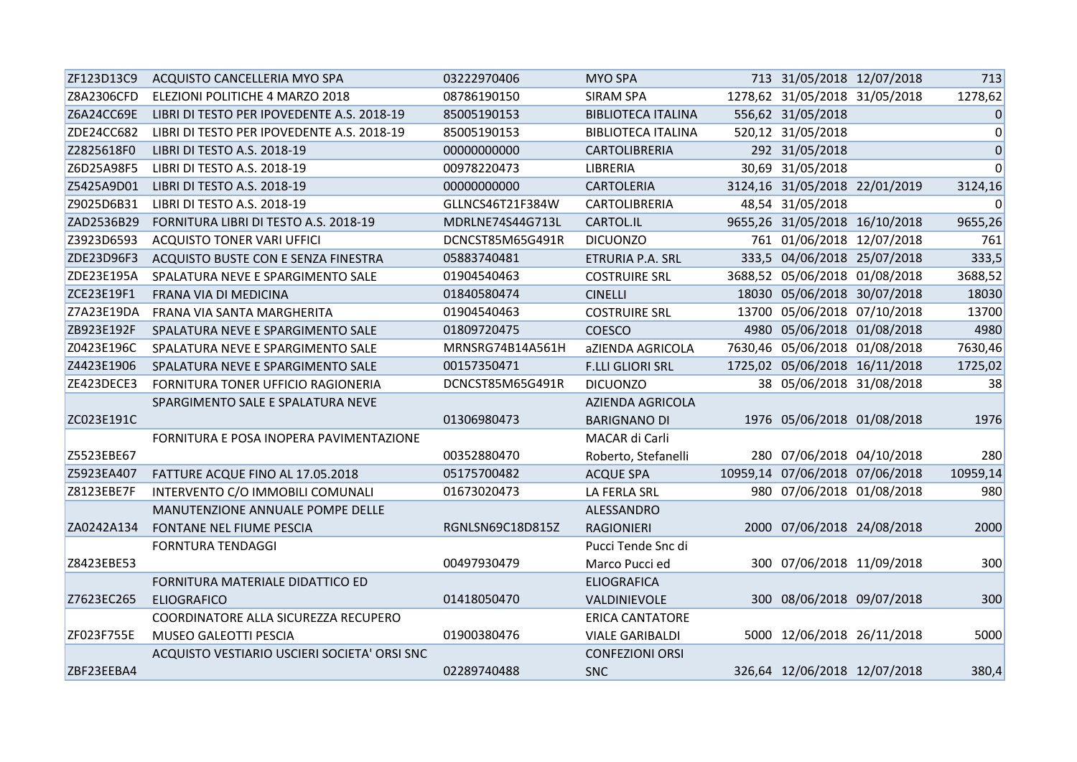| ZF123D13C9 | ACQUISTO CANCELLERIA MYO SPA                 | 03222970406      | <b>MYO SPA</b>            | 713 31/05/2018 12/07/2018      | 713          |
|------------|----------------------------------------------|------------------|---------------------------|--------------------------------|--------------|
| Z8A2306CFD | ELEZIONI POLITICHE 4 MARZO 2018              | 08786190150      | <b>SIRAM SPA</b>          | 1278,62 31/05/2018 31/05/2018  | 1278,62      |
| Z6A24CC69E | LIBRI DI TESTO PER IPOVEDENTE A.S. 2018-19   | 85005190153      | <b>BIBLIOTECA ITALINA</b> | 556,62 31/05/2018              | 0            |
| ZDE24CC682 | LIBRI DI TESTO PER IPOVEDENTE A.S. 2018-19   | 85005190153      | <b>BIBLIOTECA ITALINA</b> | 520,12 31/05/2018              | 0            |
| Z2825618F0 | LIBRI DI TESTO A.S. 2018-19                  | 00000000000      | CARTOLIBRERIA             | 292 31/05/2018                 | $\mathbf 0$  |
| Z6D25A98F5 | LIBRI DI TESTO A.S. 2018-19                  | 00978220473      | LIBRERIA                  | 30,69 31/05/2018               | $\mathbf{0}$ |
| Z5425A9D01 | LIBRI DI TESTO A.S. 2018-19                  | 00000000000      | <b>CARTOLERIA</b>         | 3124,16 31/05/2018 22/01/2019  | 3124,16      |
| Z9025D6B31 | LIBRI DI TESTO A.S. 2018-19                  | GLLNCS46T21F384W | CARTOLIBRERIA             | 48,54 31/05/2018               | $\mathbf{0}$ |
| ZAD2536B29 | FORNITURA LIBRI DI TESTO A.S. 2018-19        | MDRLNE74S44G713L | <b>CARTOL.IL</b>          | 9655,26 31/05/2018 16/10/2018  | 9655,26      |
| Z3923D6593 | <b>ACQUISTO TONER VARI UFFICI</b>            | DCNCST85M65G491R | <b>DICUONZO</b>           | 761 01/06/2018 12/07/2018      | 761          |
| ZDE23D96F3 | ACQUISTO BUSTE CON E SENZA FINESTRA          | 05883740481      | ETRURIA P.A. SRL          | 333,5 04/06/2018 25/07/2018    | 333,5        |
| ZDE23E195A | SPALATURA NEVE E SPARGIMENTO SALE            | 01904540463      | <b>COSTRUIRE SRL</b>      | 3688,52 05/06/2018 01/08/2018  | 3688,52      |
| ZCE23E19F1 | FRANA VIA DI MEDICINA                        | 01840580474      | <b>CINELLI</b>            | 18030 05/06/2018 30/07/2018    | 18030        |
| Z7A23E19DA | FRANA VIA SANTA MARGHERITA                   | 01904540463      | <b>COSTRUIRE SRL</b>      | 13700 05/06/2018 07/10/2018    | 13700        |
| ZB923E192F | SPALATURA NEVE E SPARGIMENTO SALE            | 01809720475      | COESCO                    | 4980 05/06/2018 01/08/2018     | 4980         |
| Z0423E196C | SPALATURA NEVE E SPARGIMENTO SALE            | MRNSRG74B14A561H | aZIENDA AGRICOLA          | 7630,46 05/06/2018 01/08/2018  | 7630,46      |
| Z4423E1906 | SPALATURA NEVE E SPARGIMENTO SALE            | 00157350471      | <b>F.LLI GLIORI SRL</b>   | 1725,02 05/06/2018 16/11/2018  | 1725,02      |
| ZE423DECE3 | FORNITURA TONER UFFICIO RAGIONERIA           | DCNCST85M65G491R | <b>DICUONZO</b>           | 38 05/06/2018 31/08/2018       | 38           |
|            | SPARGIMENTO SALE E SPALATURA NEVE            |                  | AZIENDA AGRICOLA          |                                |              |
| ZC023E191C |                                              | 01306980473      | <b>BARIGNANO DI</b>       | 1976 05/06/2018 01/08/2018     | 1976         |
|            | FORNITURA E POSA INOPERA PAVIMENTAZIONE      |                  | MACAR di Carli            |                                |              |
| Z5523EBE67 |                                              | 00352880470      | Roberto, Stefanelli       | 280 07/06/2018 04/10/2018      | 280          |
| Z5923EA407 | FATTURE ACQUE FINO AL 17.05.2018             | 05175700482      | <b>ACQUE SPA</b>          | 10959,14 07/06/2018 07/06/2018 | 10959,14     |
| Z8123EBE7F | INTERVENTO C/O IMMOBILI COMUNALI             | 01673020473      | LA FERLA SRL              | 980 07/06/2018 01/08/2018      | 980          |
|            | MANUTENZIONE ANNUALE POMPE DELLE             |                  | ALESSANDRO                |                                |              |
| ZA0242A134 | FONTANE NEL FIUME PESCIA                     | RGNLSN69C18D815Z | <b>RAGIONIERI</b>         | 2000 07/06/2018 24/08/2018     | 2000         |
|            | <b>FORNTURA TENDAGGI</b>                     |                  | Pucci Tende Snc di        |                                |              |
| Z8423EBE53 |                                              | 00497930479      | Marco Pucci ed            | 300 07/06/2018 11/09/2018      | 300          |
|            | FORNITURA MATERIALE DIDATTICO ED             |                  | <b>ELIOGRAFICA</b>        |                                |              |
| Z7623EC265 | <b>ELIOGRAFICO</b>                           | 01418050470      | VALDINIEVOLE              | 300 08/06/2018 09/07/2018      | 300          |
|            | COORDINATORE ALLA SICUREZZA RECUPERO         |                  | <b>ERICA CANTATORE</b>    |                                |              |
| ZF023F755E | MUSEO GALEOTTI PESCIA                        | 01900380476      | <b>VIALE GARIBALDI</b>    | 5000 12/06/2018 26/11/2018     | 5000         |
|            | ACQUISTO VESTIARIO USCIERI SOCIETA' ORSI SNC |                  | <b>CONFEZIONI ORSI</b>    |                                |              |
| ZBF23EEBA4 |                                              | 02289740488      | <b>SNC</b>                | 326,64 12/06/2018 12/07/2018   | 380,4        |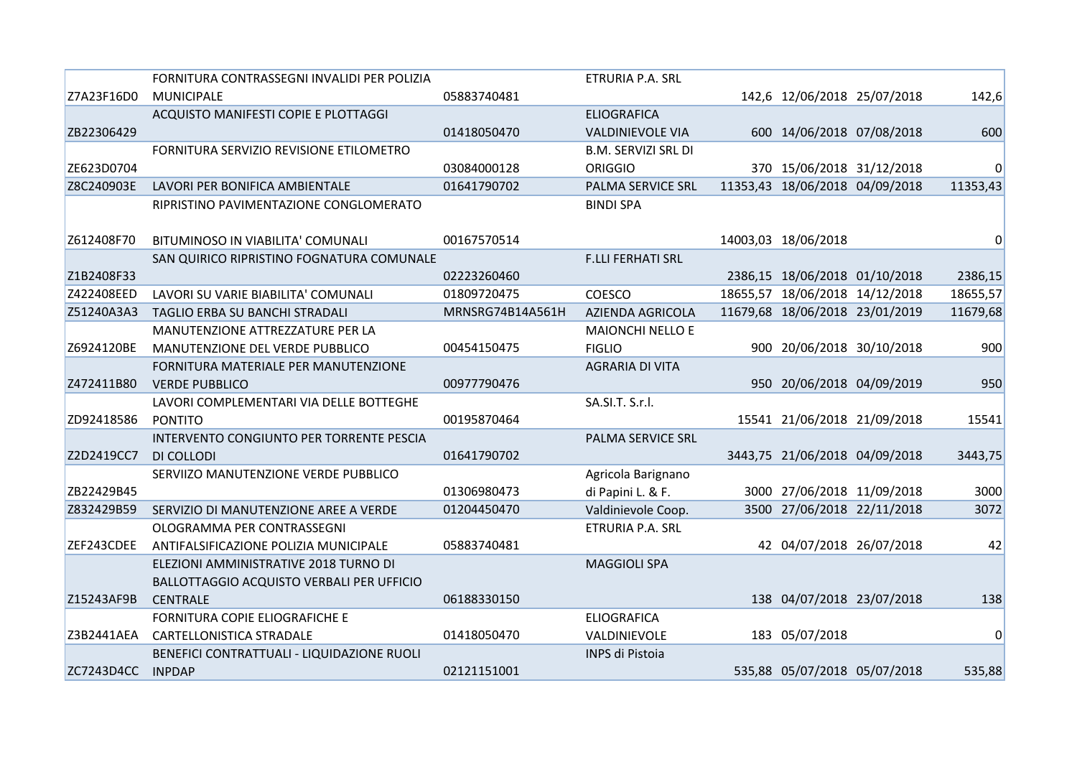|                   | FORNITURA CONTRASSEGNI INVALIDI PER POLIZIA |                  | ETRURIA P.A. SRL           |                                |                |
|-------------------|---------------------------------------------|------------------|----------------------------|--------------------------------|----------------|
| Z7A23F16D0        | <b>MUNICIPALE</b>                           | 05883740481      |                            | 142,6 12/06/2018 25/07/2018    | 142,6          |
|                   | ACQUISTO MANIFESTI COPIE E PLOTTAGGI        |                  | <b>ELIOGRAFICA</b>         |                                |                |
| ZB22306429        |                                             | 01418050470      | <b>VALDINIEVOLE VIA</b>    | 600 14/06/2018 07/08/2018      | 600            |
|                   | FORNITURA SERVIZIO REVISIONE ETILOMETRO     |                  | <b>B.M. SERVIZI SRL DI</b> |                                |                |
| ZE623D0704        |                                             | 03084000128      | <b>ORIGGIO</b>             | 370 15/06/2018 31/12/2018      | 0              |
| Z8C240903E        | LAVORI PER BONIFICA AMBIENTALE              | 01641790702      | PALMA SERVICE SRL          | 11353,43 18/06/2018 04/09/2018 | 11353,43       |
|                   | RIPRISTINO PAVIMENTAZIONE CONGLOMERATO      |                  | <b>BINDI SPA</b>           |                                |                |
|                   |                                             |                  |                            |                                |                |
| Z612408F70        | BITUMINOSO IN VIABILITA' COMUNALI           | 00167570514      |                            | 14003,03 18/06/2018            |                |
|                   | SAN QUIRICO RIPRISTINO FOGNATURA COMUNALE   |                  | <b>F.LLI FERHATI SRL</b>   |                                |                |
| Z1B2408F33        |                                             | 02223260460      |                            | 2386,15 18/06/2018 01/10/2018  | 2386,15        |
| Z422408EED        | LAVORI SU VARIE BIABILITA' COMUNALI         | 01809720475      | COESCO                     | 18655,57 18/06/2018 14/12/2018 | 18655,57       |
| Z51240A3A3        | TAGLIO ERBA SU BANCHI STRADALI              | MRNSRG74B14A561H | AZIENDA AGRICOLA           | 11679,68 18/06/2018 23/01/2019 | 11679,68       |
|                   | MANUTENZIONE ATTREZZATURE PER LA            |                  | <b>MAIONCHI NELLO E</b>    |                                |                |
| Z6924120BE        | MANUTENZIONE DEL VERDE PUBBLICO             | 00454150475      | <b>FIGLIO</b>              | 900 20/06/2018 30/10/2018      | 900            |
|                   | FORNITURA MATERIALE PER MANUTENZIONE        |                  | <b>AGRARIA DI VITA</b>     |                                |                |
| Z472411B80        | <b>VERDE PUBBLICO</b>                       | 00977790476      |                            | 950 20/06/2018 04/09/2019      | 950            |
|                   | LAVORI COMPLEMENTARI VIA DELLE BOTTEGHE     |                  | SA.SI.T. S.r.l.            |                                |                |
| ZD92418586        | <b>PONTITO</b>                              | 00195870464      |                            | 15541 21/06/2018 21/09/2018    | 15541          |
|                   | INTERVENTO CONGIUNTO PER TORRENTE PESCIA    |                  | PALMA SERVICE SRL          |                                |                |
| Z2D2419CC7        | DI COLLODI                                  | 01641790702      |                            | 3443,75 21/06/2018 04/09/2018  | 3443,75        |
|                   | SERVIIZO MANUTENZIONE VERDE PUBBLICO        |                  | Agricola Barignano         |                                |                |
| ZB22429B45        |                                             | 01306980473      | di Papini L. & F.          | 3000 27/06/2018 11/09/2018     | 3000           |
| Z832429B59        | SERVIZIO DI MANUTENZIONE AREE A VERDE       | 01204450470      | Valdinievole Coop.         | 3500 27/06/2018 22/11/2018     | 3072           |
|                   | OLOGRAMMA PER CONTRASSEGNI                  |                  | ETRURIA P.A. SRL           |                                |                |
| ZEF243CDEE        | ANTIFALSIFICAZIONE POLIZIA MUNICIPALE       | 05883740481      |                            | 42 04/07/2018 26/07/2018       | 42             |
|                   | ELEZIONI AMMINISTRATIVE 2018 TURNO DI       |                  | <b>MAGGIOLI SPA</b>        |                                |                |
|                   | BALLOTTAGGIO ACQUISTO VERBALI PER UFFICIO   |                  |                            |                                |                |
| Z15243AF9B        | <b>CENTRALE</b>                             | 06188330150      |                            | 138 04/07/2018 23/07/2018      | 138            |
|                   | FORNITURA COPIE ELIOGRAFICHE E              |                  | <b>ELIOGRAFICA</b>         |                                |                |
| Z3B2441AEA        | CARTELLONISTICA STRADALE                    | 01418050470      | VALDINIEVOLE               | 183 05/07/2018                 | $\overline{0}$ |
|                   | BENEFICI CONTRATTUALI - LIQUIDAZIONE RUOLI  |                  | INPS di Pistoia            |                                |                |
| ZC7243D4CC INPDAP |                                             | 02121151001      |                            | 535,88 05/07/2018 05/07/2018   | 535,88         |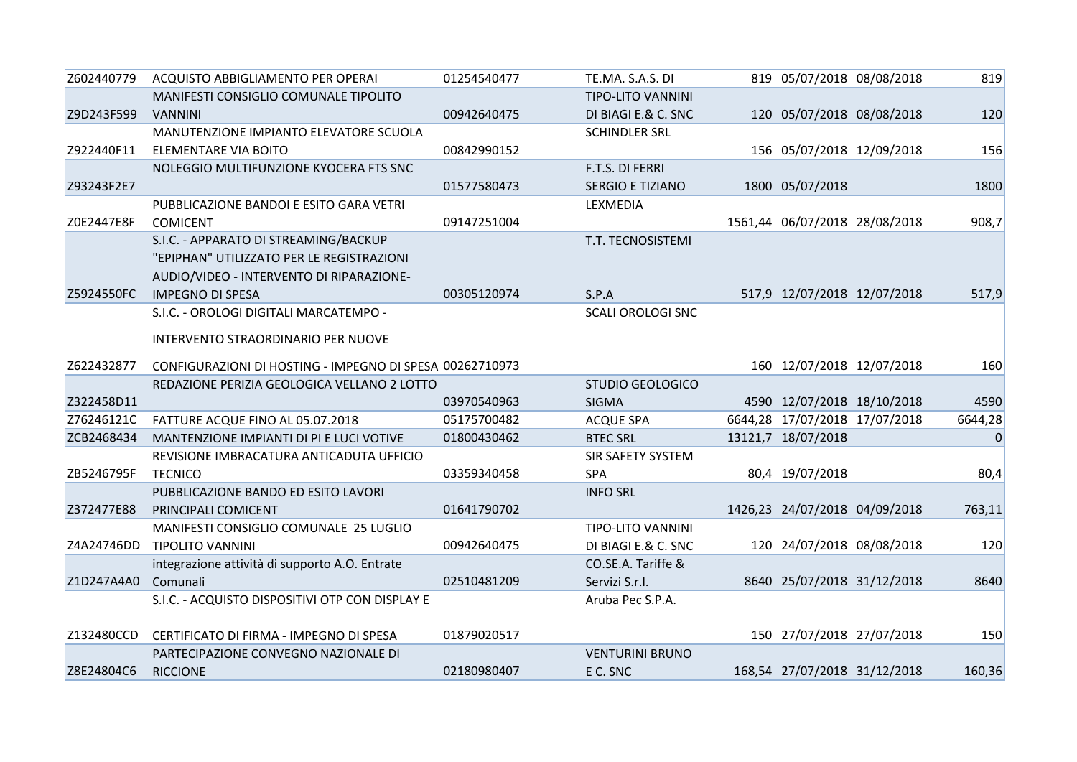| Z602440779 | ACQUISTO ABBIGLIAMENTO PER OPERAI                        | 01254540477 | TE.MA. S.A.S. DI         | 819 05/07/2018 08/08/2018     | 819      |
|------------|----------------------------------------------------------|-------------|--------------------------|-------------------------------|----------|
|            | MANIFESTI CONSIGLIO COMUNALE TIPOLITO                    |             | <b>TIPO-LITO VANNINI</b> |                               |          |
| Z9D243F599 | <b>VANNINI</b>                                           | 00942640475 | DI BIAGI E.& C. SNC      | 120 05/07/2018 08/08/2018     | 120      |
|            | MANUTENZIONE IMPIANTO ELEVATORE SCUOLA                   |             | <b>SCHINDLER SRL</b>     |                               |          |
| Z922440F11 | ELEMENTARE VIA BOITO                                     | 00842990152 |                          | 156 05/07/2018 12/09/2018     | 156      |
|            | NOLEGGIO MULTIFUNZIONE KYOCERA FTS SNC                   |             | F.T.S. DI FERRI          |                               |          |
| Z93243F2E7 |                                                          | 01577580473 | SERGIO E TIZIANO         | 1800 05/07/2018               | 1800     |
|            | PUBBLICAZIONE BANDOI E ESITO GARA VETRI                  |             | LEXMEDIA                 |                               |          |
| Z0E2447E8F | <b>COMICENT</b>                                          | 09147251004 |                          | 1561,44 06/07/2018 28/08/2018 | 908,7    |
|            | S.I.C. - APPARATO DI STREAMING/BACKUP                    |             | T.T. TECNOSISTEMI        |                               |          |
|            | "EPIPHAN" UTILIZZATO PER LE REGISTRAZIONI                |             |                          |                               |          |
|            | AUDIO/VIDEO - INTERVENTO DI RIPARAZIONE-                 |             |                          |                               |          |
| Z5924550FC | <b>IMPEGNO DI SPESA</b>                                  | 00305120974 | S.P.A                    | 517,9 12/07/2018 12/07/2018   | 517,9    |
|            | S.I.C. - OROLOGI DIGITALI MARCATEMPO -                   |             | <b>SCALI OROLOGI SNC</b> |                               |          |
|            | INTERVENTO STRAORDINARIO PER NUOVE                       |             |                          |                               |          |
|            |                                                          |             |                          |                               |          |
| Z622432877 | CONFIGURAZIONI DI HOSTING - IMPEGNO DI SPESA 00262710973 |             |                          | 160 12/07/2018 12/07/2018     | 160      |
|            | REDAZIONE PERIZIA GEOLOGICA VELLANO 2 LOTTO              |             | <b>STUDIO GEOLOGICO</b>  |                               |          |
| Z322458D11 |                                                          | 03970540963 | <b>SIGMA</b>             | 4590 12/07/2018 18/10/2018    | 4590     |
| Z76246121C | FATTURE ACQUE FINO AL 05.07.2018                         | 05175700482 | <b>ACQUE SPA</b>         | 6644,28 17/07/2018 17/07/2018 | 6644,28  |
| ZCB2468434 | MANTENZIONE IMPIANTI DI PI E LUCI VOTIVE                 | 01800430462 | <b>BTEC SRL</b>          | 13121,7 18/07/2018            | $\Omega$ |
|            | REVISIONE IMBRACATURA ANTICADUTA UFFICIO                 |             | SIR SAFETY SYSTEM        |                               |          |
| ZB5246795F | <b>TECNICO</b>                                           | 03359340458 | <b>SPA</b>               | 80,4 19/07/2018               | 80,4     |
|            | PUBBLICAZIONE BANDO ED ESITO LAVORI                      |             | <b>INFO SRL</b>          |                               |          |
| Z372477E88 | PRINCIPALI COMICENT                                      | 01641790702 |                          | 1426,23 24/07/2018 04/09/2018 | 763,11   |
|            | MANIFESTI CONSIGLIO COMUNALE 25 LUGLIO                   |             | <b>TIPO-LITO VANNINI</b> |                               |          |
| Z4A24746DD | <b>TIPOLITO VANNINI</b>                                  | 00942640475 | DI BIAGI E.& C. SNC      | 120 24/07/2018 08/08/2018     | 120      |
|            | integrazione attività di supporto A.O. Entrate           |             | CO.SE.A. Tariffe &       |                               |          |
| Z1D247A4A0 | Comunali                                                 | 02510481209 | Servizi S.r.l.           | 8640 25/07/2018 31/12/2018    | 8640     |
|            | S.I.C. - ACQUISTO DISPOSITIVI OTP CON DISPLAY E          |             | Aruba Pec S.P.A.         |                               |          |
|            |                                                          |             |                          |                               |          |
| Z132480CCD | CERTIFICATO DI FIRMA - IMPEGNO DI SPESA                  | 01879020517 |                          | 150 27/07/2018 27/07/2018     | 150      |
|            | PARTECIPAZIONE CONVEGNO NAZIONALE DI                     |             | <b>VENTURINI BRUNO</b>   |                               |          |
| Z8E24804C6 | <b>RICCIONE</b>                                          | 02180980407 | E C. SNC                 | 168,54 27/07/2018 31/12/2018  | 160,36   |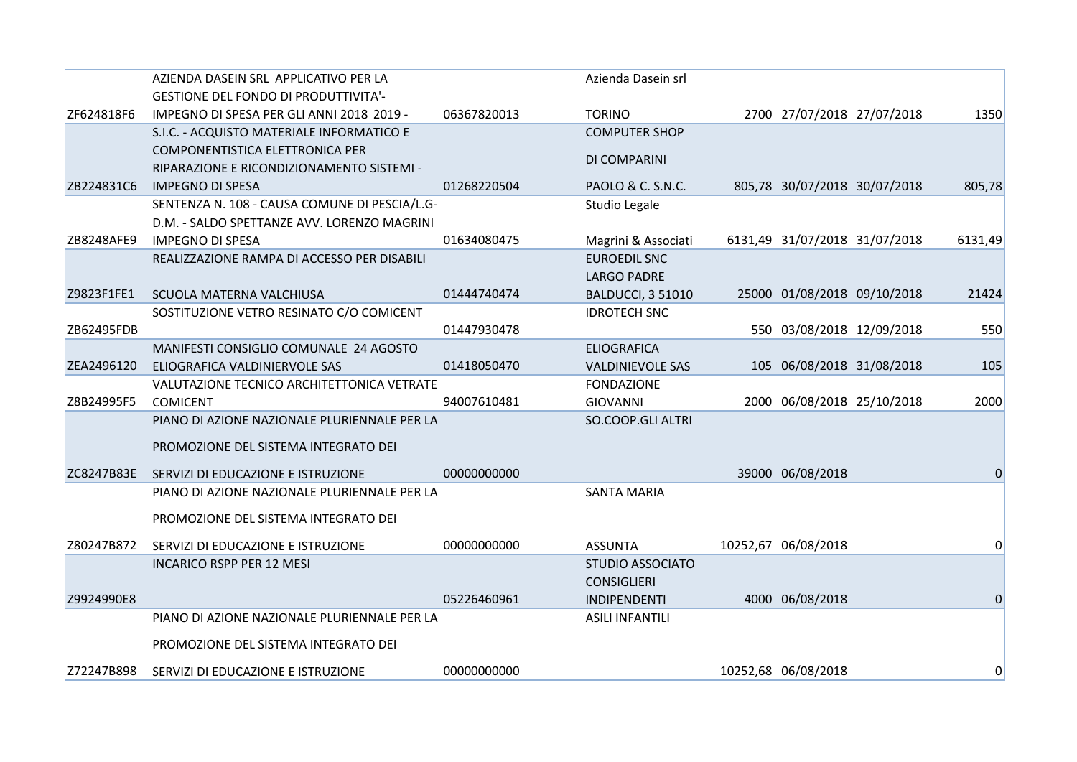|            | AZIENDA DASEIN SRL APPLICATIVO PER LA         |             | Azienda Dasein srl      |                               |                 |
|------------|-----------------------------------------------|-------------|-------------------------|-------------------------------|-----------------|
|            | <b>GESTIONE DEL FONDO DI PRODUTTIVITA'-</b>   |             |                         |                               |                 |
| ZF624818F6 | IMPEGNO DI SPESA PER GLI ANNI 2018 2019 -     | 06367820013 | <b>TORINO</b>           | 2700 27/07/2018 27/07/2018    | 1350            |
|            | S.I.C. - ACQUISTO MATERIALE INFORMATICO E     |             | <b>COMPUTER SHOP</b>    |                               |                 |
|            | COMPONENTISTICA ELETTRONICA PER               |             | DI COMPARINI            |                               |                 |
|            | RIPARAZIONE E RICONDIZIONAMENTO SISTEMI -     |             |                         |                               |                 |
| ZB224831C6 | <b>IMPEGNO DI SPESA</b>                       | 01268220504 | PAOLO & C. S.N.C.       | 805,78 30/07/2018 30/07/2018  | 805,78          |
|            | SENTENZA N. 108 - CAUSA COMUNE DI PESCIA/L.G- |             | Studio Legale           |                               |                 |
|            | D.M. - SALDO SPETTANZE AVV. LORENZO MAGRINI   |             |                         |                               |                 |
| ZB8248AFE9 | <b>IMPEGNO DI SPESA</b>                       | 01634080475 | Magrini & Associati     | 6131,49 31/07/2018 31/07/2018 | 6131,49         |
|            | REALIZZAZIONE RAMPA DI ACCESSO PER DISABILI   |             | <b>EUROEDIL SNC</b>     |                               |                 |
|            |                                               |             | <b>LARGO PADRE</b>      |                               |                 |
| Z9823F1FE1 | SCUOLA MATERNA VALCHIUSA                      | 01444740474 | BALDUCCI, 3 51010       | 25000 01/08/2018 09/10/2018   | 21424           |
|            | SOSTITUZIONE VETRO RESINATO C/O COMICENT      |             | <b>IDROTECH SNC</b>     |                               |                 |
| ZB62495FDB |                                               | 01447930478 |                         | 550 03/08/2018 12/09/2018     | 550             |
|            | MANIFESTI CONSIGLIO COMUNALE 24 AGOSTO        |             | <b>ELIOGRAFICA</b>      |                               |                 |
| ZEA2496120 | ELIOGRAFICA VALDINIERVOLE SAS                 | 01418050470 | <b>VALDINIEVOLE SAS</b> | 105 06/08/2018 31/08/2018     | 105             |
|            | VALUTAZIONE TECNICO ARCHITETTONICA VETRATE    |             | <b>FONDAZIONE</b>       |                               |                 |
| Z8B24995F5 | <b>COMICENT</b>                               | 94007610481 | <b>GIOVANNI</b>         | 2000 06/08/2018 25/10/2018    | 2000            |
|            | PIANO DI AZIONE NAZIONALE PLURIENNALE PER LA  |             | SO.COOP.GLI ALTRI       |                               |                 |
|            | PROMOZIONE DEL SISTEMA INTEGRATO DEI          |             |                         |                               |                 |
|            |                                               |             |                         |                               |                 |
| ZC8247B83E | SERVIZI DI EDUCAZIONE E ISTRUZIONE            | 00000000000 |                         | 39000 06/08/2018              | $\overline{0}$  |
|            | PIANO DI AZIONE NAZIONALE PLURIENNALE PER LA  |             | <b>SANTA MARIA</b>      |                               |                 |
|            | PROMOZIONE DEL SISTEMA INTEGRATO DEI          |             |                         |                               |                 |
|            |                                               |             |                         |                               |                 |
| Z80247B872 | SERVIZI DI EDUCAZIONE E ISTRUZIONE            | 00000000000 | <b>ASSUNTA</b>          | 10252,67 06/08/2018           | 0               |
|            | <b>INCARICO RSPP PER 12 MESI</b>              |             | <b>STUDIO ASSOCIATO</b> |                               |                 |
|            |                                               |             | <b>CONSIGLIERI</b>      |                               |                 |
| Z9924990E8 |                                               | 05226460961 | <b>INDIPENDENTI</b>     | 4000 06/08/2018               | $\Omega$        |
|            | PIANO DI AZIONE NAZIONALE PLURIENNALE PER LA  |             | <b>ASILI INFANTILI</b>  |                               |                 |
|            | PROMOZIONE DEL SISTEMA INTEGRATO DEI          |             |                         |                               |                 |
| Z72247B898 | SERVIZI DI EDUCAZIONE E ISTRUZIONE            | 00000000000 |                         | 10252,68 06/08/2018           | $\vert 0 \vert$ |
|            |                                               |             |                         |                               |                 |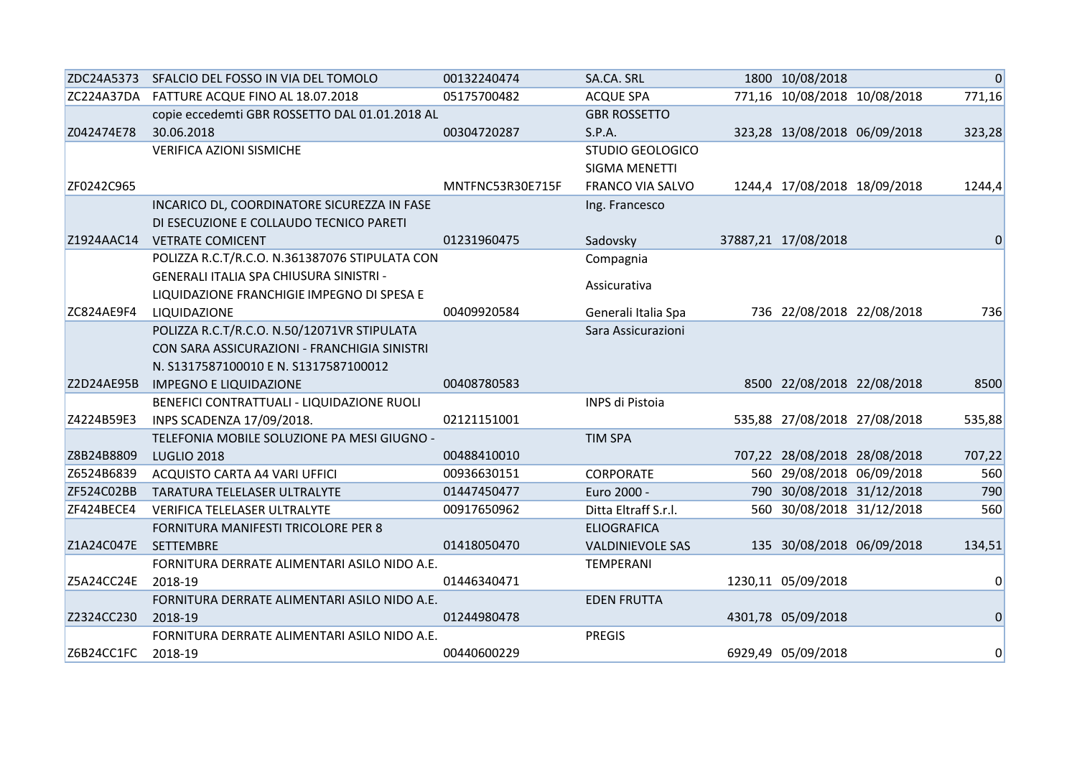| ZDC24A5373 | SFALCIO DEL FOSSO IN VIA DEL TOMOLO            | 00132240474      | SA.CA. SRL              | 1800 10/08/2018              | $\Omega$        |
|------------|------------------------------------------------|------------------|-------------------------|------------------------------|-----------------|
|            | ZC224A37DA FATTURE ACQUE FINO AL 18.07.2018    | 05175700482      | <b>ACQUE SPA</b>        | 771,16 10/08/2018 10/08/2018 | 771,16          |
|            | copie eccedemti GBR ROSSETTO DAL 01.01.2018 AL |                  | <b>GBR ROSSETTO</b>     |                              |                 |
| Z042474E78 | 30.06.2018                                     | 00304720287      | S.P.A.                  | 323,28 13/08/2018 06/09/2018 | 323,28          |
|            | <b>VERIFICA AZIONI SISMICHE</b>                |                  | <b>STUDIO GEOLOGICO</b> |                              |                 |
|            |                                                |                  | SIGMA MENETTI           |                              |                 |
| ZF0242C965 |                                                | MNTFNC53R30E715F | <b>FRANCO VIA SALVO</b> | 1244,4 17/08/2018 18/09/2018 | 1244,4          |
|            | INCARICO DL, COORDINATORE SICUREZZA IN FASE    |                  | Ing. Francesco          |                              |                 |
|            | DI ESECUZIONE E COLLAUDO TECNICO PARETI        |                  |                         |                              |                 |
| Z1924AAC14 | <b>VETRATE COMICENT</b>                        | 01231960475      | Sadovsky                | 37887,21 17/08/2018          | $\Omega$        |
|            | POLIZZA R.C.T/R.C.O. N.361387076 STIPULATA CON |                  | Compagnia               |                              |                 |
|            | GENERALI ITALIA SPA CHIUSURA SINISTRI -        |                  |                         |                              |                 |
|            | LIQUIDAZIONE FRANCHIGIE IMPEGNO DI SPESA E     |                  | Assicurativa            |                              |                 |
| ZC824AE9F4 | LIQUIDAZIONE                                   | 00409920584      | Generali Italia Spa     | 736 22/08/2018 22/08/2018    | 736             |
|            | POLIZZA R.C.T/R.C.O. N.50/12071VR STIPULATA    |                  | Sara Assicurazioni      |                              |                 |
|            | CON SARA ASSICURAZIONI - FRANCHIGIA SINISTRI   |                  |                         |                              |                 |
|            | N. S1317587100010 E N. S1317587100012          |                  |                         |                              |                 |
| Z2D24AE95B | <b>IMPEGNO E LIQUIDAZIONE</b>                  | 00408780583      |                         | 8500 22/08/2018 22/08/2018   | 8500            |
|            | BENEFICI CONTRATTUALI - LIQUIDAZIONE RUOLI     |                  | INPS di Pistoia         |                              |                 |
| Z4224B59E3 | INPS SCADENZA 17/09/2018.                      | 02121151001      |                         | 535,88 27/08/2018 27/08/2018 | 535,88          |
|            | TELEFONIA MOBILE SOLUZIONE PA MESI GIUGNO -    |                  | <b>TIM SPA</b>          |                              |                 |
| Z8B24B8809 | <b>LUGLIO 2018</b>                             | 00488410010      |                         | 707,22 28/08/2018 28/08/2018 | 707,22          |
| Z6524B6839 | ACQUISTO CARTA A4 VARI UFFICI                  | 00936630151      | <b>CORPORATE</b>        | 560 29/08/2018 06/09/2018    | 560             |
| ZF524C02BB | TARATURA TELELASER ULTRALYTE                   | 01447450477      | Euro 2000 -             | 790 30/08/2018 31/12/2018    | 790             |
| ZF424BECE4 | VERIFICA TELELASER ULTRALYTE                   | 00917650962      | Ditta Eltraff S.r.l.    | 560 30/08/2018 31/12/2018    | 560             |
|            | FORNITURA MANIFESTI TRICOLORE PER 8            |                  | <b>ELIOGRAFICA</b>      |                              |                 |
| Z1A24C047E | SETTEMBRE                                      | 01418050470      | <b>VALDINIEVOLE SAS</b> | 135 30/08/2018 06/09/2018    | 134,51          |
|            | FORNITURA DERRATE ALIMENTARI ASILO NIDO A.E.   |                  | <b>TEMPERANI</b>        |                              |                 |
| Z5A24CC24E | 2018-19                                        | 01446340471      |                         | 1230,11 05/09/2018           | $\vert 0 \vert$ |
|            | FORNITURA DERRATE ALIMENTARI ASILO NIDO A.E.   |                  | <b>EDEN FRUTTA</b>      |                              |                 |
| Z2324CC230 | 2018-19                                        | 01244980478      |                         | 4301,78 05/09/2018           | $\overline{0}$  |
|            | FORNITURA DERRATE ALIMENTARI ASILO NIDO A.E.   |                  | <b>PREGIS</b>           |                              |                 |
| Z6B24CC1FC | 2018-19                                        | 00440600229      |                         | 6929,49 05/09/2018           | 0               |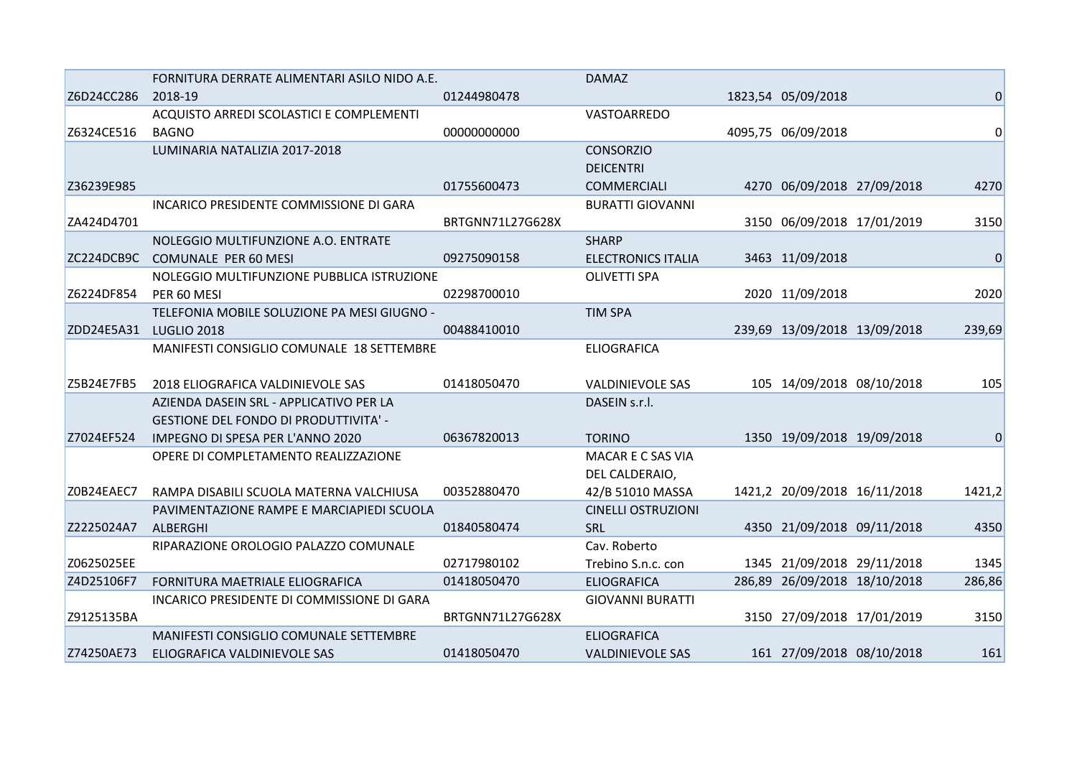|                        | FORNITURA DERRATE ALIMENTARI ASILO NIDO A.E.  |                  | <b>DAMAZ</b>              |                              |                 |
|------------------------|-----------------------------------------------|------------------|---------------------------|------------------------------|-----------------|
| Z6D24CC286             | 2018-19                                       | 01244980478      |                           | 1823,54 05/09/2018           | 0               |
|                        | ACQUISTO ARREDI SCOLASTICI E COMPLEMENTI      |                  | VASTOARREDO               |                              |                 |
| Z6324CE516             | <b>BAGNO</b>                                  | 00000000000      |                           | 4095,75 06/09/2018           | $\overline{0}$  |
|                        | LUMINARIA NATALIZIA 2017-2018                 |                  | <b>CONSORZIO</b>          |                              |                 |
|                        |                                               |                  | <b>DEICENTRI</b>          |                              |                 |
| Z36239E985             |                                               | 01755600473      | <b>COMMERCIALI</b>        | 4270 06/09/2018 27/09/2018   | 4270            |
|                        | INCARICO PRESIDENTE COMMISSIONE DI GARA       |                  | <b>BURATTI GIOVANNI</b>   |                              |                 |
| ZA424D4701             |                                               | BRTGNN71L27G628X |                           | 3150 06/09/2018 17/01/2019   | 3150            |
|                        | NOLEGGIO MULTIFUNZIONE A.O. ENTRATE           |                  | <b>SHARP</b>              |                              |                 |
|                        | ZC224DCB9C COMUNALE PER 60 MESI               | 09275090158      | <b>ELECTRONICS ITALIA</b> | 3463 11/09/2018              | $\vert 0 \vert$ |
|                        | NOLEGGIO MULTIFUNZIONE PUBBLICA ISTRUZIONE    |                  | <b>OLIVETTI SPA</b>       |                              |                 |
| Z6224DF854             | PER 60 MESI                                   | 02298700010      |                           | 2020 11/09/2018              | 2020            |
|                        | TELEFONIA MOBILE SOLUZIONE PA MESI GIUGNO -   |                  | <b>TIM SPA</b>            |                              |                 |
| ZDD24E5A31 LUGLIO 2018 |                                               | 00488410010      |                           | 239,69 13/09/2018 13/09/2018 | 239,69          |
|                        | MANIFESTI CONSIGLIO COMUNALE 18 SETTEMBRE     |                  | <b>ELIOGRAFICA</b>        |                              |                 |
|                        |                                               |                  |                           |                              |                 |
| Z5B24E7FB5             | 2018 ELIOGRAFICA VALDINIEVOLE SAS             | 01418050470      | <b>VALDINIEVOLE SAS</b>   | 105 14/09/2018 08/10/2018    | 105             |
|                        | AZIENDA DASEIN SRL - APPLICATIVO PER LA       |                  | DASEIN s.r.l.             |                              |                 |
|                        | <b>GESTIONE DEL FONDO DI PRODUTTIVITA' -</b>  |                  |                           |                              |                 |
| Z7024EF524             | IMPEGNO DI SPESA PER L'ANNO 2020              | 06367820013      | <b>TORINO</b>             | 1350 19/09/2018 19/09/2018   | $\Omega$        |
|                        | OPERE DI COMPLETAMENTO REALIZZAZIONE          |                  | MACAR E C SAS VIA         |                              |                 |
|                        |                                               |                  | DEL CALDERAIO,            |                              |                 |
| Z0B24EAEC7             | RAMPA DISABILI SCUOLA MATERNA VALCHIUSA       | 00352880470      | 42/B 51010 MASSA          | 1421,2 20/09/2018 16/11/2018 | 1421,2          |
|                        | PAVIMENTAZIONE RAMPE E MARCIAPIEDI SCUOLA     |                  | <b>CINELLI OSTRUZIONI</b> |                              |                 |
| Z2225024A7             | ALBERGHI                                      | 01840580474      | <b>SRL</b>                | 4350 21/09/2018 09/11/2018   | 4350            |
|                        | RIPARAZIONE OROLOGIO PALAZZO COMUNALE         |                  | Cav. Roberto              |                              |                 |
| Z0625025EE             |                                               | 02717980102      | Trebino S.n.c. con        | 1345 21/09/2018 29/11/2018   | 1345            |
| Z4D25106F7             | FORNITURA MAETRIALE ELIOGRAFICA               | 01418050470      | <b>ELIOGRAFICA</b>        | 286,89 26/09/2018 18/10/2018 | 286,86          |
|                        | INCARICO PRESIDENTE DI COMMISSIONE DI GARA    |                  | <b>GIOVANNI BURATTI</b>   |                              |                 |
| Z9125135BA             |                                               | BRTGNN71L27G628X |                           | 3150 27/09/2018 17/01/2019   | 3150            |
|                        | <b>MANIFESTI CONSIGLIO COMUNALE SETTEMBRE</b> |                  | <b>ELIOGRAFICA</b>        |                              |                 |
| Z74250AE73             | ELIOGRAFICA VALDINIEVOLE SAS                  | 01418050470      | <b>VALDINIEVOLE SAS</b>   | 161 27/09/2018 08/10/2018    | 161             |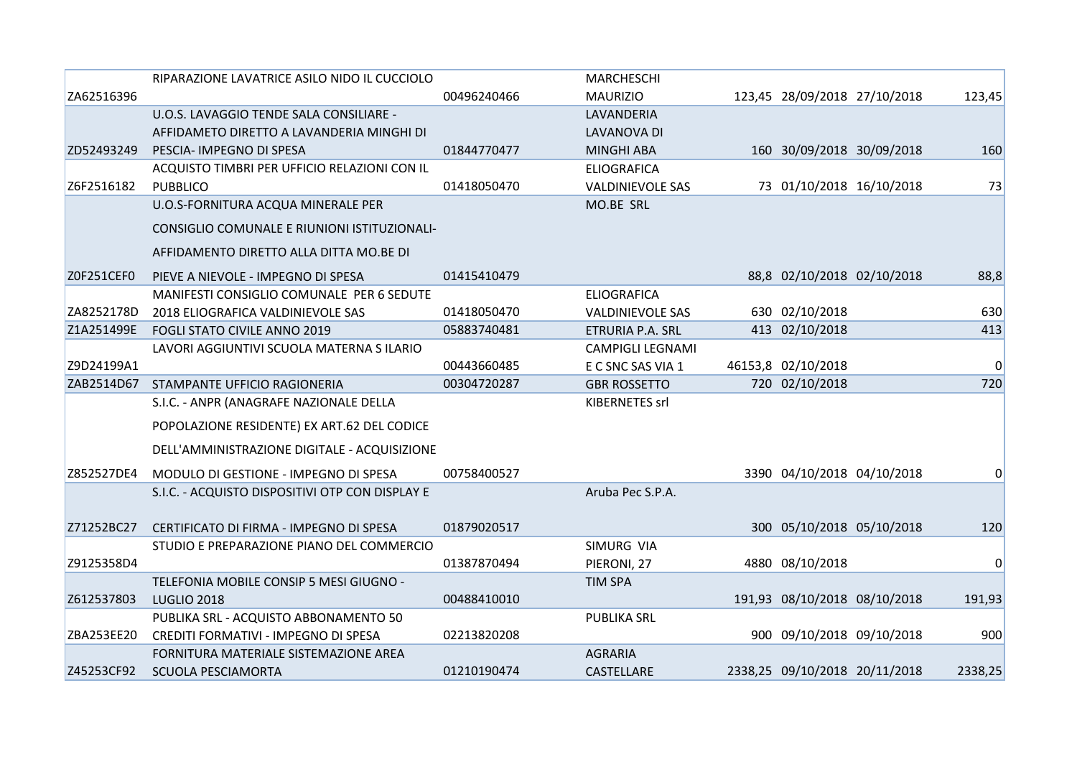|            | RIPARAZIONE LAVATRICE ASILO NIDO IL CUCCIOLO    |             | <b>MARCHESCHI</b>       |                               |              |
|------------|-------------------------------------------------|-------------|-------------------------|-------------------------------|--------------|
| ZA62516396 |                                                 | 00496240466 | <b>MAURIZIO</b>         | 123,45 28/09/2018 27/10/2018  | 123,45       |
|            | U.O.S. LAVAGGIO TENDE SALA CONSILIARE -         |             | LAVANDERIA              |                               |              |
|            | AFFIDAMETO DIRETTO A LAVANDERIA MINGHI DI       |             | LAVANOVA DI             |                               |              |
| ZD52493249 | PESCIA- IMPEGNO DI SPESA                        | 01844770477 | <b>MINGHI ABA</b>       | 160 30/09/2018 30/09/2018     | 160          |
|            | ACQUISTO TIMBRI PER UFFICIO RELAZIONI CON IL    |             | <b>ELIOGRAFICA</b>      |                               |              |
| Z6F2516182 | <b>PUBBLICO</b>                                 | 01418050470 | <b>VALDINIEVOLE SAS</b> | 73 01/10/2018 16/10/2018      | 73           |
|            | U.O.S-FORNITURA ACQUA MINERALE PER              |             | MO.BE SRL               |                               |              |
|            | CONSIGLIO COMUNALE E RIUNIONI ISTITUZIONALI-    |             |                         |                               |              |
|            | AFFIDAMENTO DIRETTO ALLA DITTA MO.BE DI         |             |                         |                               |              |
| Z0F251CEF0 | PIEVE A NIEVOLE - IMPEGNO DI SPESA              | 01415410479 |                         | 88,8 02/10/2018 02/10/2018    | 88,8         |
|            | MANIFESTI CONSIGLIO COMUNALE PER 6 SEDUTE       |             | <b>ELIOGRAFICA</b>      |                               |              |
| ZA8252178D | 2018 ELIOGRAFICA VALDINIEVOLE SAS               | 01418050470 | <b>VALDINIEVOLE SAS</b> | 630 02/10/2018                | 630          |
| Z1A251499E | FOGLI STATO CIVILE ANNO 2019                    | 05883740481 | ETRURIA P.A. SRL        | 413 02/10/2018                | 413          |
|            | LAVORI AGGIUNTIVI SCUOLA MATERNA SILARIO        |             | <b>CAMPIGLI LEGNAMI</b> |                               |              |
| Z9D24199A1 |                                                 | 00443660485 | E C SNC SAS VIA 1       | 46153,8 02/10/2018            | $\mathbf{0}$ |
|            | ZAB2514D67 STAMPANTE UFFICIO RAGIONERIA         | 00304720287 | <b>GBR ROSSETTO</b>     | 720 02/10/2018                | 720          |
|            | S.I.C. - ANPR (ANAGRAFE NAZIONALE DELLA         |             | KIBERNETES srl          |                               |              |
|            | POPOLAZIONE RESIDENTE) EX ART.62 DEL CODICE     |             |                         |                               |              |
|            | DELL'AMMINISTRAZIONE DIGITALE - ACQUISIZIONE    |             |                         |                               |              |
| Z852527DE4 | MODULO DI GESTIONE - IMPEGNO DI SPESA           | 00758400527 |                         | 3390 04/10/2018 04/10/2018    | 0            |
|            | S.I.C. - ACQUISTO DISPOSITIVI OTP CON DISPLAY E |             | Aruba Pec S.P.A.        |                               |              |
| Z71252BC27 | CERTIFICATO DI FIRMA - IMPEGNO DI SPESA         | 01879020517 |                         | 300 05/10/2018 05/10/2018     | 120          |
|            | STUDIO E PREPARAZIONE PIANO DEL COMMERCIO       |             | SIMURG VIA              |                               |              |
| Z9125358D4 |                                                 | 01387870494 | PIERONI, 27             | 4880 08/10/2018               | 0            |
|            | TELEFONIA MOBILE CONSIP 5 MESI GIUGNO -         |             | <b>TIM SPA</b>          |                               |              |
| Z612537803 | <b>LUGLIO 2018</b>                              | 00488410010 |                         | 191,93 08/10/2018 08/10/2018  | 191,93       |
|            | PUBLIKA SRL - ACQUISTO ABBONAMENTO 50           |             | <b>PUBLIKA SRL</b>      |                               |              |
| ZBA253EE20 | CREDITI FORMATIVI - IMPEGNO DI SPESA            | 02213820208 |                         | 900 09/10/2018 09/10/2018     | 900          |
|            | FORNITURA MATERIALE SISTEMAZIONE AREA           |             | <b>AGRARIA</b>          |                               |              |
| Z45253CF92 | <b>SCUOLA PESCIAMORTA</b>                       | 01210190474 | CASTELLARE              | 2338,25 09/10/2018 20/11/2018 | 2338,25      |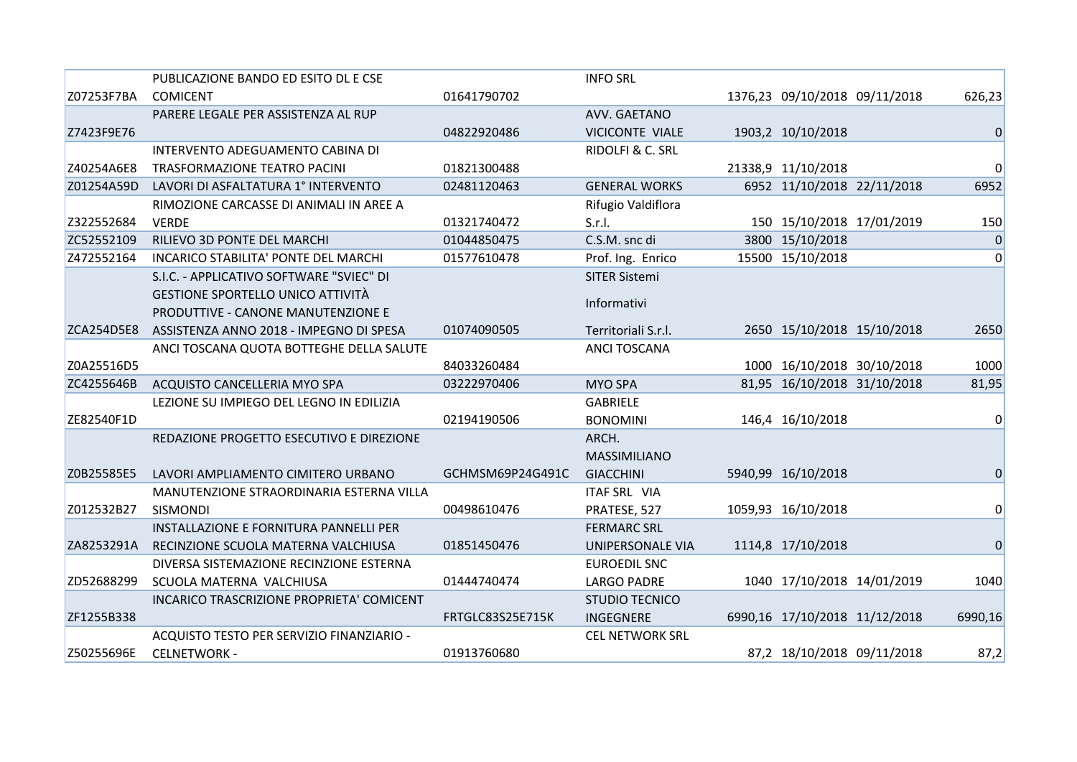|            | PUBLICAZIONE BANDO ED ESITO DL E CSE      |                  | <b>INFO SRL</b>        |                               |                |
|------------|-------------------------------------------|------------------|------------------------|-------------------------------|----------------|
| Z07253F7BA | <b>COMICENT</b>                           | 01641790702      |                        | 1376,23 09/10/2018 09/11/2018 | 626,23         |
|            | PARERE LEGALE PER ASSISTENZA AL RUP       |                  | AVV. GAETANO           |                               |                |
| Z7423F9E76 |                                           | 04822920486      | VICICONTE VIALE        | 1903,2 10/10/2018             | $\overline{0}$ |
|            | INTERVENTO ADEGUAMENTO CABINA DI          |                  | RIDOLFI & C. SRL       |                               |                |
| Z40254A6E8 | TRASFORMAZIONE TEATRO PACINI              | 01821300488      |                        | 21338,9 11/10/2018            | 0              |
| Z01254A59D | LAVORI DI ASFALTATURA 1º INTERVENTO       | 02481120463      | <b>GENERAL WORKS</b>   | 6952 11/10/2018 22/11/2018    | 6952           |
|            | RIMOZIONE CARCASSE DI ANIMALI IN AREE A   |                  | Rifugio Valdiflora     |                               |                |
| Z322552684 | <b>VERDE</b>                              | 01321740472      | S.r.I.                 | 150 15/10/2018 17/01/2019     | 150            |
| ZC52552109 | RILIEVO 3D PONTE DEL MARCHI               | 01044850475      | C.S.M. snc di          | 3800 15/10/2018               | 0              |
| Z472552164 | INCARICO STABILITA' PONTE DEL MARCHI      | 01577610478      | Prof. Ing. Enrico      | 15500 15/10/2018              | 0              |
|            | S.I.C. - APPLICATIVO SOFTWARE "SVIEC" DI  |                  | <b>SITER Sistemi</b>   |                               |                |
|            | <b>GESTIONE SPORTELLO UNICO ATTIVITÀ</b>  |                  |                        |                               |                |
|            | PRODUTTIVE - CANONE MANUTENZIONE E        |                  | Informativi            |                               |                |
| ZCA254D5E8 | ASSISTENZA ANNO 2018 - IMPEGNO DI SPESA   | 01074090505      | Territoriali S.r.l.    | 2650 15/10/2018 15/10/2018    | 2650           |
|            | ANCI TOSCANA QUOTA BOTTEGHE DELLA SALUTE  |                  | <b>ANCI TOSCANA</b>    |                               |                |
| Z0A25516D5 |                                           | 84033260484      |                        | 1000 16/10/2018 30/10/2018    | 1000           |
| ZC4255646B | ACQUISTO CANCELLERIA MYO SPA              | 03222970406      | <b>MYO SPA</b>         | 81,95 16/10/2018 31/10/2018   | 81,95          |
|            | LEZIONE SU IMPIEGO DEL LEGNO IN EDILIZIA  |                  | <b>GABRIELE</b>        |                               |                |
| ZE82540F1D |                                           | 02194190506      | <b>BONOMINI</b>        | 146,4 16/10/2018              | $\Omega$       |
|            | REDAZIONE PROGETTO ESECUTIVO E DIREZIONE  |                  | ARCH.                  |                               |                |
|            |                                           |                  | MASSIMILIANO           |                               |                |
| Z0B25585E5 | LAVORI AMPLIAMENTO CIMITERO URBANO        | GCHMSM69P24G491C | <b>GIACCHINI</b>       | 5940,99 16/10/2018            | $\Omega$       |
|            | MANUTENZIONE STRAORDINARIA ESTERNA VILLA  |                  | ITAF SRL VIA           |                               |                |
| Z012532B27 | SISMONDI                                  | 00498610476      | PRATESE, 527           | 1059,93 16/10/2018            | 0              |
|            | INSTALLAZIONE E FORNITURA PANNELLI PER    |                  | <b>FERMARC SRL</b>     |                               |                |
| ZA8253291A | RECINZIONE SCUOLA MATERNA VALCHIUSA       | 01851450476      | UNIPERSONALE VIA       | 1114,8 17/10/2018             | $\mathbf 0$    |
|            | DIVERSA SISTEMAZIONE RECINZIONE ESTERNA   |                  | <b>EUROEDIL SNC</b>    |                               |                |
| ZD52688299 | SCUOLA MATERNA VALCHIUSA                  | 01444740474      | <b>LARGO PADRE</b>     | 1040 17/10/2018 14/01/2019    | 1040           |
|            | INCARICO TRASCRIZIONE PROPRIETA' COMICENT |                  | <b>STUDIO TECNICO</b>  |                               |                |
| ZF1255B338 |                                           | FRTGLC83S25E715K | INGEGNERE              | 6990,16 17/10/2018 11/12/2018 | 6990,16        |
|            | ACQUISTO TESTO PER SERVIZIO FINANZIARIO - |                  | <b>CEL NETWORK SRL</b> |                               |                |
| Z50255696E | <b>CELNETWORK -</b>                       | 01913760680      |                        | 87,2 18/10/2018 09/11/2018    | 87,2           |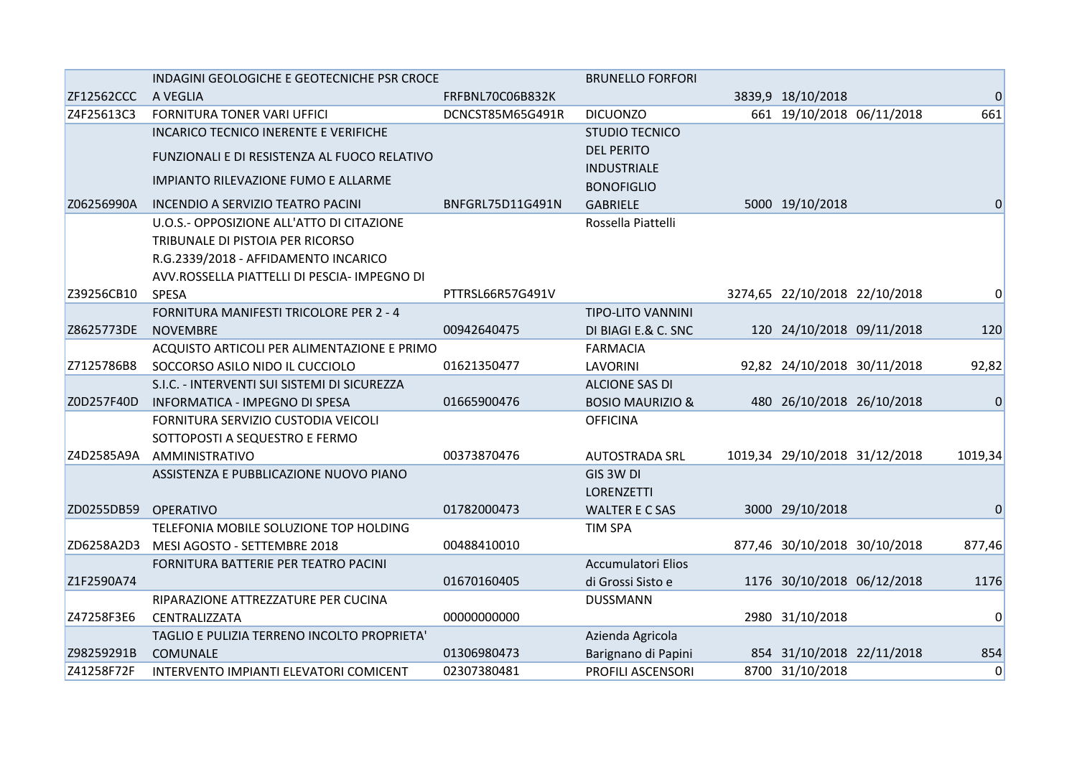|            | INDAGINI GEOLOGICHE E GEOTECNICHE PSR CROCE  |                  | <b>BRUNELLO FORFORI</b>                 |                               |                 |
|------------|----------------------------------------------|------------------|-----------------------------------------|-------------------------------|-----------------|
| ZF12562CCC | A VEGLIA                                     | FRFBNL70C06B832K |                                         | 3839,9 18/10/2018             | $\vert 0 \vert$ |
| Z4F25613C3 | <b>FORNITURA TONER VARI UFFICI</b>           | DCNCST85M65G491R | <b>DICUONZO</b>                         | 661 19/10/2018 06/11/2018     | 661             |
|            | <b>INCARICO TECNICO INERENTE E VERIFICHE</b> |                  | <b>STUDIO TECNICO</b>                   |                               |                 |
|            | FUNZIONALI E DI RESISTENZA AL FUOCO RELATIVO |                  | <b>DEL PERITO</b>                       |                               |                 |
|            | IMPIANTO RILEVAZIONE FUMO E ALLARME          |                  | <b>INDUSTRIALE</b><br><b>BONOFIGLIO</b> |                               |                 |
| Z06256990A | INCENDIO A SERVIZIO TEATRO PACINI            | BNFGRL75D11G491N | <b>GABRIELE</b>                         | 5000 19/10/2018               | $\Omega$        |
|            | U.O.S.- OPPOSIZIONE ALL'ATTO DI CITAZIONE    |                  | Rossella Piattelli                      |                               |                 |
|            | TRIBUNALE DI PISTOIA PER RICORSO             |                  |                                         |                               |                 |
|            | R.G.2339/2018 - AFFIDAMENTO INCARICO         |                  |                                         |                               |                 |
|            | AVV.ROSSELLA PIATTELLI DI PESCIA- IMPEGNO DI |                  |                                         |                               |                 |
| Z39256CB10 | <b>SPESA</b>                                 | PTTRSL66R57G491V |                                         | 3274,65 22/10/2018 22/10/2018 | $\overline{0}$  |
|            | FORNITURA MANIFESTI TRICOLORE PER 2 - 4      |                  | <b>TIPO-LITO VANNINI</b>                |                               |                 |
| Z8625773DE | NOVEMBRE                                     | 00942640475      | DI BIAGI E.& C. SNC                     | 120 24/10/2018 09/11/2018     | 120             |
|            | ACQUISTO ARTICOLI PER ALIMENTAZIONE E PRIMO  |                  | <b>FARMACIA</b>                         |                               |                 |
| Z7125786B8 | SOCCORSO ASILO NIDO IL CUCCIOLO              | 01621350477      | LAVORINI                                | 92,82 24/10/2018 30/11/2018   | 92,82           |
|            | S.I.C. - INTERVENTI SUI SISTEMI DI SICUREZZA |                  | <b>ALCIONE SAS DI</b>                   |                               |                 |
| Z0D257F40D | INFORMATICA - IMPEGNO DI SPESA               | 01665900476      | <b>BOSIO MAURIZIO &amp;</b>             | 480 26/10/2018 26/10/2018     | $\Omega$        |
|            | FORNITURA SERVIZIO CUSTODIA VEICOLI          |                  | <b>OFFICINA</b>                         |                               |                 |
|            | SOTTOPOSTI A SEQUESTRO E FERMO               |                  |                                         |                               |                 |
|            | Z4D2585A9A AMMINISTRATIVO                    | 00373870476      | <b>AUTOSTRADA SRL</b>                   | 1019,34 29/10/2018 31/12/2018 | 1019,34         |
|            | ASSISTENZA E PUBBLICAZIONE NUOVO PIANO       |                  | GIS 3W DI                               |                               |                 |
|            |                                              |                  | <b>LORENZETTI</b>                       |                               |                 |
| ZD0255DB59 | <b>OPERATIVO</b>                             | 01782000473      | <b>WALTER E C SAS</b>                   | 3000 29/10/2018               |                 |
|            | TELEFONIA MOBILE SOLUZIONE TOP HOLDING       |                  | <b>TIM SPA</b>                          |                               |                 |
|            | ZD6258A2D3 MESI AGOSTO - SETTEMBRE 2018      | 00488410010      |                                         | 877,46 30/10/2018 30/10/2018  | 877,46          |
|            | FORNITURA BATTERIE PER TEATRO PACINI         |                  | Accumulatori Elios                      |                               |                 |
| Z1F2590A74 |                                              | 01670160405      | di Grossi Sisto e                       | 1176 30/10/2018 06/12/2018    | 1176            |
|            | RIPARAZIONE ATTREZZATURE PER CUCINA          |                  | <b>DUSSMANN</b>                         |                               |                 |
| Z47258F3E6 | CENTRALIZZATA                                | 00000000000      |                                         | 2980 31/10/2018               | 0               |
|            | TAGLIO E PULIZIA TERRENO INCOLTO PROPRIETA'  |                  | Azienda Agricola                        |                               |                 |
| Z98259291B | <b>COMUNALE</b>                              | 01306980473      | Barignano di Papini                     | 854 31/10/2018 22/11/2018     | 854             |
| Z41258F72F | INTERVENTO IMPIANTI ELEVATORI COMICENT       | 02307380481      | PROFILI ASCENSORI                       | 8700 31/10/2018               | 0               |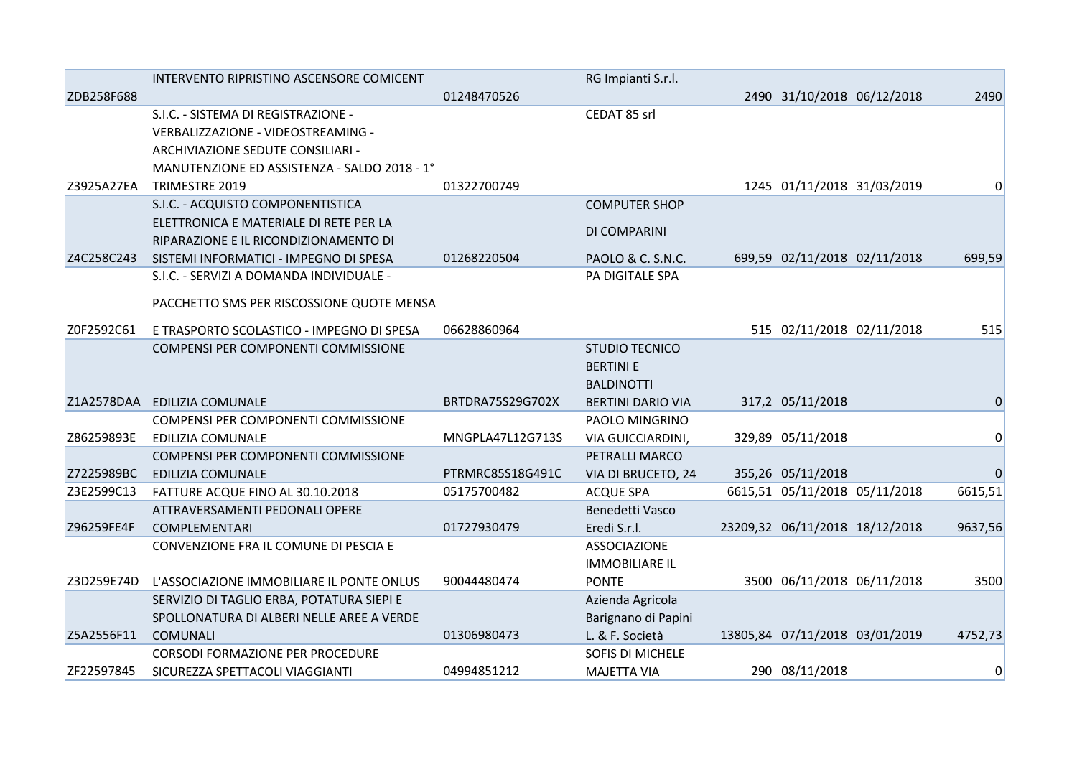| ZDB258F688 | INTERVENTO RIPRISTINO ASCENSORE COMICENT     | 01248470526      | RG Impianti S.r.l.       | 2490 31/10/2018 06/12/2018     | 2490     |
|------------|----------------------------------------------|------------------|--------------------------|--------------------------------|----------|
|            | S.I.C. - SISTEMA DI REGISTRAZIONE -          |                  | CEDAT 85 srl             |                                |          |
|            | VERBALIZZAZIONE - VIDEOSTREAMING -           |                  |                          |                                |          |
|            | ARCHIVIAZIONE SEDUTE CONSILIARI -            |                  |                          |                                |          |
|            | MANUTENZIONE ED ASSISTENZA - SALDO 2018 - 1° |                  |                          |                                |          |
| Z3925A27EA | TRIMESTRE 2019                               | 01322700749      |                          | 1245 01/11/2018 31/03/2019     |          |
|            | S.I.C. - ACQUISTO COMPONENTISTICA            |                  | <b>COMPUTER SHOP</b>     |                                |          |
|            | ELETTRONICA E MATERIALE DI RETE PER LA       |                  |                          |                                |          |
|            | RIPARAZIONE E IL RICONDIZIONAMENTO DI        |                  | DI COMPARINI             |                                |          |
| Z4C258C243 | SISTEMI INFORMATICI - IMPEGNO DI SPESA       | 01268220504      | PAOLO & C. S.N.C.        | 699,59 02/11/2018 02/11/2018   | 699,59   |
|            | S.I.C. - SERVIZI A DOMANDA INDIVIDUALE -     |                  | PA DIGITALE SPA          |                                |          |
|            |                                              |                  |                          |                                |          |
|            | PACCHETTO SMS PER RISCOSSIONE QUOTE MENSA    |                  |                          |                                |          |
| Z0F2592C61 | E TRASPORTO SCOLASTICO - IMPEGNO DI SPESA    | 06628860964      |                          | 515 02/11/2018 02/11/2018      | 515      |
|            | <b>COMPENSI PER COMPONENTI COMMISSIONE</b>   |                  | <b>STUDIO TECNICO</b>    |                                |          |
|            |                                              |                  | <b>BERTINIE</b>          |                                |          |
|            |                                              |                  | <b>BALDINOTTI</b>        |                                |          |
|            | Z1A2578DAA EDILIZIA COMUNALE                 | BRTDRA75S29G702X | <b>BERTINI DARIO VIA</b> | 317,2 05/11/2018               | 0        |
|            | <b>COMPENSI PER COMPONENTI COMMISSIONE</b>   |                  | PAOLO MINGRINO           |                                |          |
| Z86259893E | <b>EDILIZIA COMUNALE</b>                     | MNGPLA47L12G713S | VIA GUICCIARDINI,        | 329,89 05/11/2018              | 0        |
|            | COMPENSI PER COMPONENTI COMMISSIONE          |                  | PETRALLI MARCO           |                                |          |
|            | Z7225989BC EDILIZIA COMUNALE                 | PTRMRC85S18G491C | VIA DI BRUCETO, 24       | 355,26 05/11/2018              | $\Omega$ |
| Z3E2599C13 | FATTURE ACQUE FINO AL 30.10.2018             | 05175700482      | <b>ACQUE SPA</b>         | 6615,51 05/11/2018 05/11/2018  | 6615,51  |
|            | ATTRAVERSAMENTI PEDONALI OPERE               |                  | Benedetti Vasco          |                                |          |
| Z96259FE4F | <b>COMPLEMENTARI</b>                         | 01727930479      | Eredi S.r.l.             | 23209,32 06/11/2018 18/12/2018 | 9637,56  |
|            | CONVENZIONE FRA IL COMUNE DI PESCIA E        |                  | <b>ASSOCIAZIONE</b>      |                                |          |
|            |                                              |                  | <b>IMMOBILIARE IL</b>    |                                |          |
| Z3D259E74D | L'ASSOCIAZIONE IMMOBILIARE IL PONTE ONLUS    | 90044480474      | <b>PONTE</b>             | 3500 06/11/2018 06/11/2018     | 3500     |
|            | SERVIZIO DI TAGLIO ERBA, POTATURA SIEPI E    |                  | Azienda Agricola         |                                |          |
|            | SPOLLONATURA DI ALBERI NELLE AREE A VERDE    |                  | Barignano di Papini      |                                |          |
| Z5A2556F11 | COMUNALI                                     | 01306980473      | L. & F. Società          | 13805,84 07/11/2018 03/01/2019 | 4752,73  |
|            | <b>CORSODI FORMAZIONE PER PROCEDURE</b>      |                  | SOFIS DI MICHELE         |                                |          |
| ZF22597845 | SICUREZZA SPETTACOLI VIAGGIANTI              | 04994851212      | <b>MAJETTA VIA</b>       | 290 08/11/2018                 | 0        |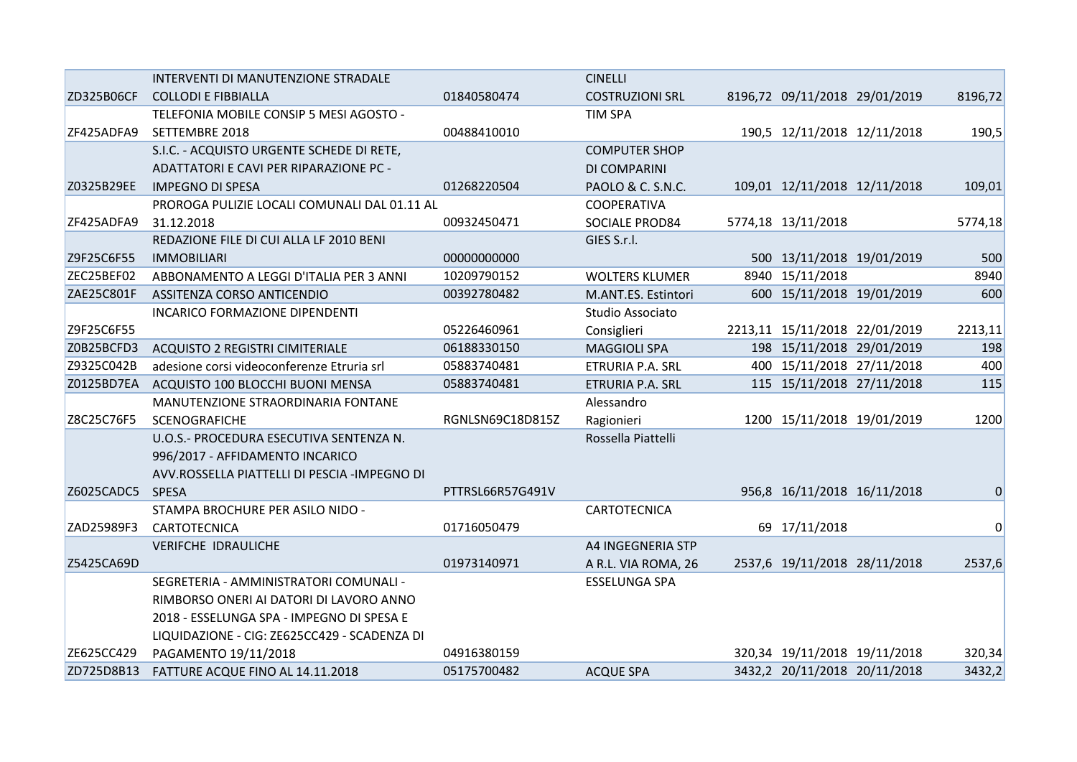|            | INTERVENTI DI MANUTENZIONE STRADALE          |                  | <b>CINELLI</b>         |                               |          |
|------------|----------------------------------------------|------------------|------------------------|-------------------------------|----------|
| ZD325B06CF | <b>COLLODI E FIBBIALLA</b>                   | 01840580474      | <b>COSTRUZIONI SRL</b> | 8196,72 09/11/2018 29/01/2019 | 8196,72  |
|            | TELEFONIA MOBILE CONSIP 5 MESI AGOSTO -      |                  | <b>TIM SPA</b>         |                               |          |
| ZF425ADFA9 | SETTEMBRE 2018                               | 00488410010      |                        | 190,5 12/11/2018 12/11/2018   | 190,5    |
|            | S.I.C. - ACQUISTO URGENTE SCHEDE DI RETE,    |                  | <b>COMPUTER SHOP</b>   |                               |          |
|            | ADATTATORI E CAVI PER RIPARAZIONE PC -       |                  | DI COMPARINI           |                               |          |
| Z0325B29EE | <b>IMPEGNO DI SPESA</b>                      | 01268220504      | PAOLO & C. S.N.C.      | 109,01 12/11/2018 12/11/2018  | 109,01   |
|            | PROROGA PULIZIE LOCALI COMUNALI DAL 01.11 AL |                  | <b>COOPERATIVA</b>     |                               |          |
| ZF425ADFA9 | 31.12.2018                                   | 00932450471      | SOCIALE PROD84         | 5774,18 13/11/2018            | 5774,18  |
|            | REDAZIONE FILE DI CUI ALLA LF 2010 BENI      |                  | GIES S.r.l.            |                               |          |
| Z9F25C6F55 | <b>IMMOBILIARI</b>                           | 00000000000      |                        | 500 13/11/2018 19/01/2019     | 500      |
| ZEC25BEF02 | ABBONAMENTO A LEGGI D'ITALIA PER 3 ANNI      | 10209790152      | <b>WOLTERS KLUMER</b>  | 8940 15/11/2018               | 8940     |
| ZAE25C801F | ASSITENZA CORSO ANTICENDIO                   | 00392780482      | M.ANT.ES. Estintori    | 600 15/11/2018 19/01/2019     | 600      |
|            | INCARICO FORMAZIONE DIPENDENTI               |                  | Studio Associato       |                               |          |
| Z9F25C6F55 |                                              | 05226460961      | Consiglieri            | 2213,11 15/11/2018 22/01/2019 | 2213,11  |
| Z0B25BCFD3 | <b>ACQUISTO 2 REGISTRI CIMITERIALE</b>       | 06188330150      | <b>MAGGIOLI SPA</b>    | 198 15/11/2018 29/01/2019     | 198      |
| Z9325C042B | adesione corsi videoconferenze Etruria srl   | 05883740481      | ETRURIA P.A. SRL       | 400 15/11/2018 27/11/2018     | 400      |
| Z0125BD7EA | ACQUISTO 100 BLOCCHI BUONI MENSA             | 05883740481      | ETRURIA P.A. SRL       | 115 15/11/2018 27/11/2018     | 115      |
|            | MANUTENZIONE STRAORDINARIA FONTANE           |                  | Alessandro             |                               |          |
| Z8C25C76F5 | <b>SCENOGRAFICHE</b>                         | RGNLSN69C18D815Z | Ragionieri             | 1200 15/11/2018 19/01/2019    | 1200     |
|            | U.O.S.- PROCEDURA ESECUTIVA SENTENZA N.      |                  | Rossella Piattelli     |                               |          |
|            | 996/2017 - AFFIDAMENTO INCARICO              |                  |                        |                               |          |
|            | AVV.ROSSELLA PIATTELLI DI PESCIA -IMPEGNO DI |                  |                        |                               |          |
| Z6025CADC5 | <b>SPESA</b>                                 | PTTRSL66R57G491V |                        | 956,8 16/11/2018 16/11/2018   | $\Omega$ |
|            | STAMPA BROCHURE PER ASILO NIDO -             |                  | CARTOTECNICA           |                               |          |
| ZAD25989F3 | CARTOTECNICA                                 | 01716050479      |                        | 69 17/11/2018                 | $\Omega$ |
|            | <b>VERIFCHE IDRAULICHE</b>                   |                  | A4 INGEGNERIA STP      |                               |          |
| Z5425CA69D |                                              | 01973140971      | A R.L. VIA ROMA, 26    | 2537,6 19/11/2018 28/11/2018  | 2537,6   |
|            | SEGRETERIA - AMMINISTRATORI COMUNALI -       |                  | <b>ESSELUNGA SPA</b>   |                               |          |
|            | RIMBORSO ONERI AI DATORI DI LAVORO ANNO      |                  |                        |                               |          |
|            | 2018 - ESSELUNGA SPA - IMPEGNO DI SPESA E    |                  |                        |                               |          |
|            | LIQUIDAZIONE - CIG: ZE625CC429 - SCADENZA DI |                  |                        |                               |          |
| ZE625CC429 | PAGAMENTO 19/11/2018                         | 04916380159      |                        | 320,34 19/11/2018 19/11/2018  | 320,34   |
| ZD725D8B13 | FATTURE ACQUE FINO AL 14.11.2018             | 05175700482      | <b>ACQUE SPA</b>       | 3432,2 20/11/2018 20/11/2018  | 3432,2   |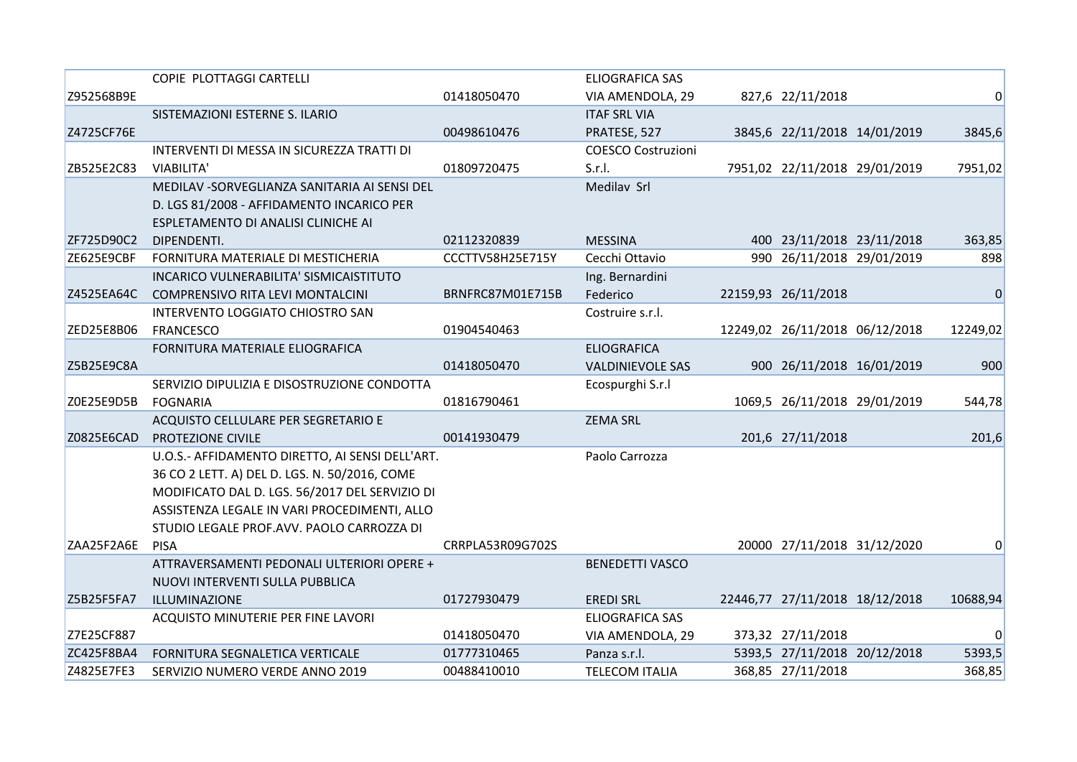|                   | COPIE PLOTTAGGI CARTELLI                        |                  | <b>ELIOGRAFICA SAS</b>    |                                |             |
|-------------------|-------------------------------------------------|------------------|---------------------------|--------------------------------|-------------|
| Z952568B9E        |                                                 | 01418050470      | VIA AMENDOLA, 29          | 827,6 22/11/2018               | 0           |
|                   | SISTEMAZIONI ESTERNE S. ILARIO                  |                  | <b>ITAF SRL VIA</b>       |                                |             |
| Z4725CF76E        |                                                 | 00498610476      | PRATESE, 527              | 3845,6 22/11/2018 14/01/2019   | 3845,6      |
|                   | INTERVENTI DI MESSA IN SICUREZZA TRATTI DI      |                  | <b>COESCO Costruzioni</b> |                                |             |
| ZB525E2C83        | <b>VIABILITA'</b>                               | 01809720475      | S.r.l.                    | 7951,02 22/11/2018 29/01/2019  | 7951,02     |
|                   | MEDILAV - SORVEGLIANZA SANITARIA AI SENSI DEL   |                  | Medilav Srl               |                                |             |
|                   | D. LGS 81/2008 - AFFIDAMENTO INCARICO PER       |                  |                           |                                |             |
|                   | ESPLETAMENTO DI ANALISI CLINICHE AI             |                  |                           |                                |             |
| ZF725D90C2        | DIPENDENTI.                                     | 02112320839      | <b>MESSINA</b>            | 400 23/11/2018 23/11/2018      | 363,85      |
| ZE625E9CBF        | FORNITURA MATERIALE DI MESTICHERIA              | CCCTTV58H25E715Y | Cecchi Ottavio            | 990 26/11/2018 29/01/2019      | 898         |
|                   | INCARICO VULNERABILITA' SISMICAISTITUTO         |                  | Ing. Bernardini           |                                |             |
| Z4525EA64C        | COMPRENSIVO RITA LEVI MONTALCINI                | BRNFRC87M01E715B | Federico                  | 22159,93 26/11/2018            | $\mathbf 0$ |
|                   | <b>INTERVENTO LOGGIATO CHIOSTRO SAN</b>         |                  | Costruire s.r.l.          |                                |             |
| <b>ZED25E8B06</b> | <b>FRANCESCO</b>                                | 01904540463      |                           | 12249,02 26/11/2018 06/12/2018 | 12249,02    |
|                   | FORNITURA MATERIALE ELIOGRAFICA                 |                  | <b>ELIOGRAFICA</b>        |                                |             |
| Z5B25E9C8A        |                                                 | 01418050470      | <b>VALDINIEVOLE SAS</b>   | 900 26/11/2018 16/01/2019      | 900         |
|                   | SERVIZIO DIPULIZIA E DISOSTRUZIONE CONDOTTA     |                  | Ecospurghi S.r.l          |                                |             |
| Z0E25E9D5B        | <b>FOGNARIA</b>                                 | 01816790461      |                           | 1069,5 26/11/2018 29/01/2019   | 544,78      |
|                   | ACQUISTO CELLULARE PER SEGRETARIO E             |                  | <b>ZEMA SRL</b>           |                                |             |
| Z0825E6CAD        | PROTEZIONE CIVILE                               | 00141930479      |                           | 201,6 27/11/2018               | 201,6       |
|                   | U.O.S.- AFFIDAMENTO DIRETTO, AI SENSI DELL'ART. |                  | Paolo Carrozza            |                                |             |
|                   | 36 CO 2 LETT. A) DEL D. LGS. N. 50/2016, COME   |                  |                           |                                |             |
|                   | MODIFICATO DAL D. LGS. 56/2017 DEL SERVIZIO DI  |                  |                           |                                |             |
|                   | ASSISTENZA LEGALE IN VARI PROCEDIMENTI, ALLO    |                  |                           |                                |             |
|                   | STUDIO LEGALE PROF.AVV. PAOLO CARROZZA DI       |                  |                           |                                |             |
| ZAA25F2A6E        | <b>PISA</b>                                     | CRRPLA53R09G702S |                           | 20000 27/11/2018 31/12/2020    |             |
|                   | ATTRAVERSAMENTI PEDONALI ULTERIORI OPERE +      |                  | <b>BENEDETTI VASCO</b>    |                                |             |
|                   | NUOVI INTERVENTI SULLA PUBBLICA                 |                  |                           |                                |             |
| Z5B25F5FA7        | ILLUMINAZIONE                                   | 01727930479      | <b>EREDI SRL</b>          | 22446,77 27/11/2018 18/12/2018 | 10688,94    |
|                   | ACQUISTO MINUTERIE PER FINE LAVORI              |                  | <b>ELIOGRAFICA SAS</b>    |                                |             |
| Z7E25CF887        |                                                 | 01418050470      | VIA AMENDOLA, 29          | 373,32 27/11/2018              | $\Omega$    |
| ZC425F8BA4        | FORNITURA SEGNALETICA VERTICALE                 | 01777310465      | Panza s.r.l.              | 5393,5 27/11/2018 20/12/2018   | 5393,5      |
| Z4825E7FE3        | SERVIZIO NUMERO VERDE ANNO 2019                 | 00488410010      | <b>TELECOM ITALIA</b>     | 368,85 27/11/2018              | 368,85      |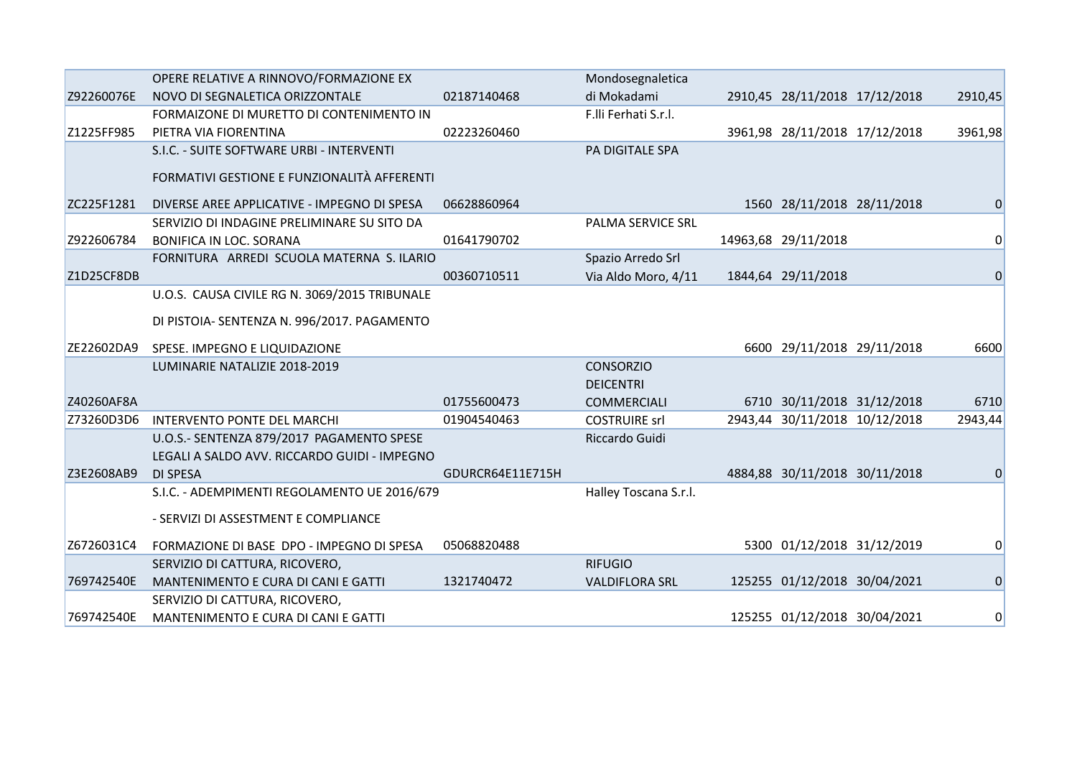|            | OPERE RELATIVE A RINNOVO/FORMAZIONE EX        |                  | Mondosegnaletica      |                               |          |
|------------|-----------------------------------------------|------------------|-----------------------|-------------------------------|----------|
| Z92260076E | NOVO DI SEGNALETICA ORIZZONTALE               | 02187140468      | di Mokadami           | 2910,45 28/11/2018 17/12/2018 | 2910,45  |
|            | FORMAIZONE DI MURETTO DI CONTENIMENTO IN      |                  | F.lli Ferhati S.r.l.  |                               |          |
| Z1225FF985 | PIETRA VIA FIORENTINA                         | 02223260460      |                       | 3961,98 28/11/2018 17/12/2018 | 3961,98  |
|            | S.I.C. - SUITE SOFTWARE URBI - INTERVENTI     |                  | PA DIGITALE SPA       |                               |          |
|            | FORMATIVI GESTIONE E FUNZIONALITÀ AFFERENTI   |                  |                       |                               |          |
| ZC225F1281 | DIVERSE AREE APPLICATIVE - IMPEGNO DI SPESA   | 06628860964      |                       | 1560 28/11/2018 28/11/2018    | 0        |
|            | SERVIZIO DI INDAGINE PRELIMINARE SU SITO DA   |                  | PALMA SERVICE SRL     |                               |          |
| Z922606784 | <b>BONIFICA IN LOC. SORANA</b>                | 01641790702      |                       | 14963,68 29/11/2018           | 0        |
|            | FORNITURA ARREDI SCUOLA MATERNA S. ILARIO     |                  | Spazio Arredo Srl     |                               |          |
| Z1D25CF8DB |                                               | 00360710511      | Via Aldo Moro, 4/11   | 1844,64 29/11/2018            | $\Omega$ |
|            | U.O.S. CAUSA CIVILE RG N. 3069/2015 TRIBUNALE |                  |                       |                               |          |
|            | DI PISTOIA- SENTENZA N. 996/2017. PAGAMENTO   |                  |                       |                               |          |
| ZE22602DA9 | SPESE. IMPEGNO E LIQUIDAZIONE                 |                  |                       | 6600 29/11/2018 29/11/2018    | 6600     |
|            | LUMINARIE NATALIZIE 2018-2019                 |                  | <b>CONSORZIO</b>      |                               |          |
|            |                                               |                  | <b>DEICENTRI</b>      |                               |          |
| Z40260AF8A |                                               | 01755600473      | <b>COMMERCIALI</b>    | 6710 30/11/2018 31/12/2018    | 6710     |
| Z73260D3D6 | <b>INTERVENTO PONTE DEL MARCHI</b>            | 01904540463      | <b>COSTRUIRE srl</b>  | 2943,44 30/11/2018 10/12/2018 | 2943,44  |
|            | U.O.S.- SENTENZA 879/2017 PAGAMENTO SPESE     |                  | Riccardo Guidi        |                               |          |
|            | LEGALI A SALDO AVV. RICCARDO GUIDI - IMPEGNO  |                  |                       |                               |          |
| Z3E2608AB9 | <b>DI SPESA</b>                               | GDURCR64E11E715H |                       | 4884,88 30/11/2018 30/11/2018 | 0        |
|            | S.I.C. - ADEMPIMENTI REGOLAMENTO UE 2016/679  |                  | Halley Toscana S.r.l. |                               |          |
|            | - SERVIZI DI ASSESTMENT E COMPLIANCE          |                  |                       |                               |          |
| Z6726031C4 | FORMAZIONE DI BASE DPO - IMPEGNO DI SPESA     | 05068820488      |                       | 5300 01/12/2018 31/12/2019    |          |
|            | SERVIZIO DI CATTURA, RICOVERO,                |                  | <b>RIFUGIO</b>        |                               |          |
| 769742540E | MANTENIMENTO E CURA DI CANI E GATTI           | 1321740472       | <b>VALDIFLORA SRL</b> | 125255 01/12/2018 30/04/2021  | 0        |
|            | SERVIZIO DI CATTURA, RICOVERO,                |                  |                       |                               |          |
| 769742540E | MANTENIMENTO E CURA DI CANI E GATTI           |                  |                       | 125255 01/12/2018 30/04/2021  | 0        |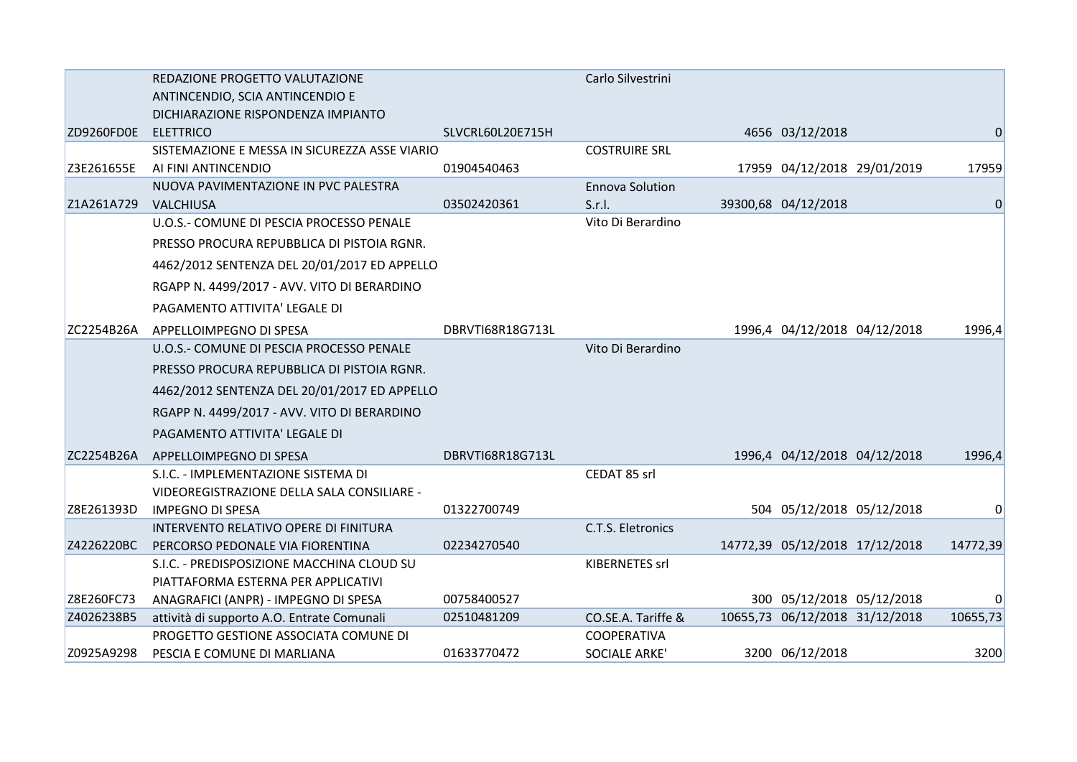|            | REDAZIONE PROGETTO VALUTAZIONE                |                  | Carlo Silvestrini      |                                |          |
|------------|-----------------------------------------------|------------------|------------------------|--------------------------------|----------|
|            | ANTINCENDIO, SCIA ANTINCENDIO E               |                  |                        |                                |          |
|            | DICHIARAZIONE RISPONDENZA IMPIANTO            |                  |                        |                                |          |
| ZD9260FD0E | <b>ELETTRICO</b>                              | SLVCRL60L20E715H |                        | 4656 03/12/2018                |          |
|            | SISTEMAZIONE E MESSA IN SICUREZZA ASSE VIARIO |                  | <b>COSTRUIRE SRL</b>   |                                |          |
| Z3E261655E | AI FINI ANTINCENDIO                           | 01904540463      |                        | 17959 04/12/2018 29/01/2019    | 17959    |
|            | NUOVA PAVIMENTAZIONE IN PVC PALESTRA          |                  | <b>Ennova Solution</b> |                                |          |
| Z1A261A729 | VALCHIUSA                                     | 03502420361      | S.r.l.                 | 39300,68 04/12/2018            | 0        |
|            | U.O.S.- COMUNE DI PESCIA PROCESSO PENALE      |                  | Vito Di Berardino      |                                |          |
|            | PRESSO PROCURA REPUBBLICA DI PISTOIA RGNR.    |                  |                        |                                |          |
|            | 4462/2012 SENTENZA DEL 20/01/2017 ED APPELLO  |                  |                        |                                |          |
|            | RGAPP N. 4499/2017 - AVV. VITO DI BERARDINO   |                  |                        |                                |          |
|            | PAGAMENTO ATTIVITA' LEGALE DI                 |                  |                        |                                |          |
| ZC2254B26A | APPELLOIMPEGNO DI SPESA                       | DBRVTI68R18G713L |                        | 1996,4 04/12/2018 04/12/2018   | 1996,4   |
|            | U.O.S.- COMUNE DI PESCIA PROCESSO PENALE      |                  | Vito Di Berardino      |                                |          |
|            | PRESSO PROCURA REPUBBLICA DI PISTOIA RGNR.    |                  |                        |                                |          |
|            | 4462/2012 SENTENZA DEL 20/01/2017 ED APPELLO  |                  |                        |                                |          |
|            | RGAPP N. 4499/2017 - AVV. VITO DI BERARDINO   |                  |                        |                                |          |
|            | PAGAMENTO ATTIVITA' LEGALE DI                 |                  |                        |                                |          |
|            | ZC2254B26A APPELLOIMPEGNO DI SPESA            | DBRVTI68R18G713L |                        | 1996,4 04/12/2018 04/12/2018   | 1996,4   |
|            | S.I.C. - IMPLEMENTAZIONE SISTEMA DI           |                  | CEDAT 85 srl           |                                |          |
|            | VIDEOREGISTRAZIONE DELLA SALA CONSILIARE -    |                  |                        |                                |          |
| Z8E261393D | <b>IMPEGNO DI SPESA</b>                       | 01322700749      |                        | 504 05/12/2018 05/12/2018      | 0        |
|            | INTERVENTO RELATIVO OPERE DI FINITURA         |                  | C.T.S. Eletronics      |                                |          |
| Z4226220BC | PERCORSO PEDONALE VIA FIORENTINA              | 02234270540      |                        | 14772,39 05/12/2018 17/12/2018 | 14772,39 |
|            | S.I.C. - PREDISPOSIZIONE MACCHINA CLOUD SU    |                  | <b>KIBERNETES srl</b>  |                                |          |
|            | PIATTAFORMA ESTERNA PER APPLICATIVI           |                  |                        |                                |          |
| Z8E260FC73 | ANAGRAFICI (ANPR) - IMPEGNO DI SPESA          | 00758400527      |                        | 300 05/12/2018 05/12/2018      | 0        |
| Z4026238B5 | attività di supporto A.O. Entrate Comunali    | 02510481209      | CO.SE.A. Tariffe &     | 10655,73 06/12/2018 31/12/2018 | 10655,73 |
|            | PROGETTO GESTIONE ASSOCIATA COMUNE DI         |                  | <b>COOPERATIVA</b>     |                                |          |
| Z0925A9298 | PESCIA E COMUNE DI MARLIANA                   | 01633770472      | SOCIALE ARKE'          | 3200 06/12/2018                | 3200     |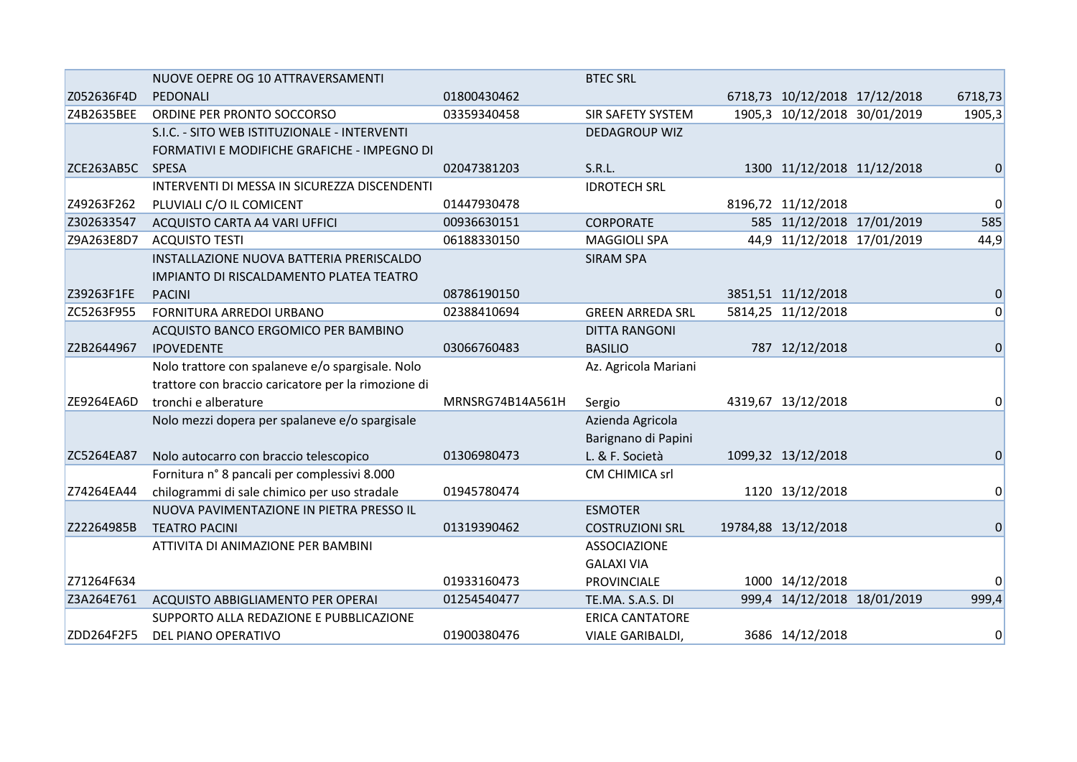|                  | NUOVE OEPRE OG 10 ATTRAVERSAMENTI                   |                  | <b>BTEC SRL</b>         |                               |                 |
|------------------|-----------------------------------------------------|------------------|-------------------------|-------------------------------|-----------------|
| Z052636F4D       | PEDONALI                                            | 01800430462      |                         | 6718,73 10/12/2018 17/12/2018 | 6718,73         |
| Z4B2635BEE       | ORDINE PER PRONTO SOCCORSO                          | 03359340458      | SIR SAFETY SYSTEM       | 1905,3 10/12/2018 30/01/2019  | 1905,3          |
|                  | S.I.C. - SITO WEB ISTITUZIONALE - INTERVENTI        |                  | <b>DEDAGROUP WIZ</b>    |                               |                 |
|                  | FORMATIVI E MODIFICHE GRAFICHE - IMPEGNO DI         |                  |                         |                               |                 |
| ZCE263AB5C SPESA |                                                     | 02047381203      | S.R.L.                  | 1300 11/12/2018 11/12/2018    | 0               |
|                  | INTERVENTI DI MESSA IN SICUREZZA DISCENDENTI        |                  | <b>IDROTECH SRL</b>     |                               |                 |
| Z49263F262       | PLUVIALI C/O IL COMICENT                            | 01447930478      |                         | 8196,72 11/12/2018            | 0               |
| Z302633547       | ACQUISTO CARTA A4 VARI UFFICI                       | 00936630151      | <b>CORPORATE</b>        | 585 11/12/2018 17/01/2019     | 585             |
| Z9A263E8D7       | <b>ACQUISTO TESTI</b>                               | 06188330150      | <b>MAGGIOLI SPA</b>     | 44,9 11/12/2018 17/01/2019    | 44,9            |
|                  | INSTALLAZIONE NUOVA BATTERIA PRERISCALDO            |                  | <b>SIRAM SPA</b>        |                               |                 |
|                  | IMPIANTO DI RISCALDAMENTO PLATEA TEATRO             |                  |                         |                               |                 |
| Z39263F1FE       | <b>PACINI</b>                                       | 08786190150      |                         | 3851,51 11/12/2018            | 0               |
| ZC5263F955       | FORNITURA ARREDOI URBANO                            | 02388410694      | <b>GREEN ARREDA SRL</b> | 5814,25 11/12/2018            | 0               |
|                  | ACQUISTO BANCO ERGOMICO PER BAMBINO                 |                  | <b>DITTA RANGONI</b>    |                               |                 |
| Z2B2644967       | <b>IPOVEDENTE</b>                                   | 03066760483      | <b>BASILIO</b>          | 787 12/12/2018                | 0               |
|                  | Nolo trattore con spalaneve e/o spargisale. Nolo    |                  | Az. Agricola Mariani    |                               |                 |
|                  | trattore con braccio caricatore per la rimozione di |                  |                         |                               |                 |
| ZE9264EA6D       | tronchi e alberature                                | MRNSRG74B14A561H | Sergio                  | 4319,67 13/12/2018            | 0               |
|                  | Nolo mezzi dopera per spalaneve e/o spargisale      |                  | Azienda Agricola        |                               |                 |
|                  |                                                     |                  | Barignano di Papini     |                               |                 |
| ZC5264EA87       | Nolo autocarro con braccio telescopico              | 01306980473      | L. & F. Società         | 1099,32 13/12/2018            | 0               |
|                  | Fornitura n° 8 pancali per complessivi 8.000        |                  | <b>CM CHIMICA srl</b>   |                               |                 |
| Z74264EA44       | chilogrammi di sale chimico per uso stradale        | 01945780474      |                         | 1120 13/12/2018               | $\Omega$        |
|                  | NUOVA PAVIMENTAZIONE IN PIETRA PRESSO IL            |                  | <b>ESMOTER</b>          |                               |                 |
| Z22264985B       | <b>TEATRO PACINI</b>                                | 01319390462      | <b>COSTRUZIONI SRL</b>  | 19784,88 13/12/2018           | $\mathbf 0$     |
|                  | ATTIVITA DI ANIMAZIONE PER BAMBINI                  |                  | <b>ASSOCIAZIONE</b>     |                               |                 |
|                  |                                                     |                  | <b>GALAXI VIA</b>       |                               |                 |
| Z71264F634       |                                                     | 01933160473      | <b>PROVINCIALE</b>      | 1000 14/12/2018               | 0               |
| Z3A264E761       | ACQUISTO ABBIGLIAMENTO PER OPERAI                   | 01254540477      | TE.MA. S.A.S. DI        | 999,4 14/12/2018 18/01/2019   | 999,4           |
|                  | SUPPORTO ALLA REDAZIONE E PUBBLICAZIONE             |                  | <b>ERICA CANTATORE</b>  |                               |                 |
| ZDD264F2F5       | DEL PIANO OPERATIVO                                 | 01900380476      | VIALE GARIBALDI,        | 3686 14/12/2018               | $\vert 0 \vert$ |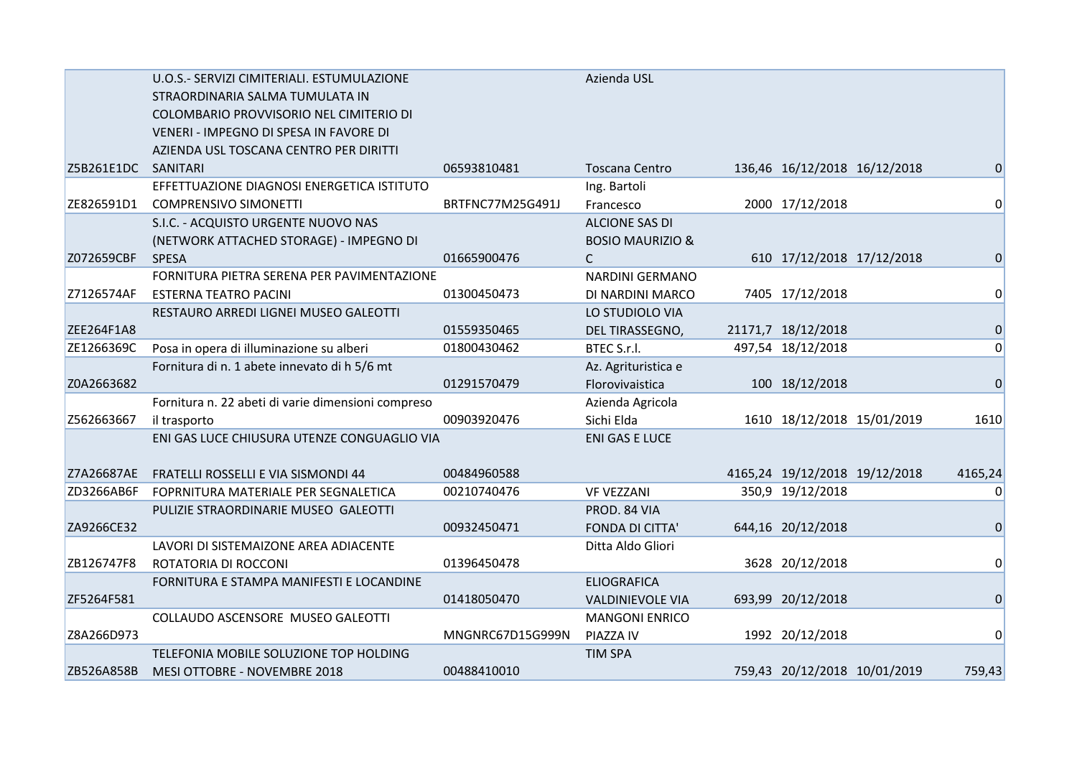|                     | U.O.S.- SERVIZI CIMITERIALI. ESTUMULAZIONE         |                  | Azienda USL                 |                               |                |
|---------------------|----------------------------------------------------|------------------|-----------------------------|-------------------------------|----------------|
|                     | STRAORDINARIA SALMA TUMULATA IN                    |                  |                             |                               |                |
|                     | COLOMBARIO PROVVISORIO NEL CIMITERIO DI            |                  |                             |                               |                |
|                     | VENERI - IMPEGNO DI SPESA IN FAVORE DI             |                  |                             |                               |                |
|                     | AZIENDA USL TOSCANA CENTRO PER DIRITTI             |                  |                             |                               |                |
| Z5B261E1DC SANITARI |                                                    | 06593810481      | <b>Toscana Centro</b>       | 136,46 16/12/2018 16/12/2018  | 0              |
|                     | EFFETTUAZIONE DIAGNOSI ENERGETICA ISTITUTO         |                  | Ing. Bartoli                |                               |                |
| ZE826591D1          | <b>COMPRENSIVO SIMONETTI</b>                       | BRTFNC77M25G491J | Francesco                   | 2000 17/12/2018               | $\Omega$       |
|                     | S.I.C. - ACQUISTO URGENTE NUOVO NAS                |                  | ALCIONE SAS DI              |                               |                |
|                     | (NETWORK ATTACHED STORAGE) - IMPEGNO DI            |                  | <b>BOSIO MAURIZIO &amp;</b> |                               |                |
| Z072659CBF          | <b>SPESA</b>                                       | 01665900476      | C.                          | 610 17/12/2018 17/12/2018     | $\overline{0}$ |
|                     | FORNITURA PIETRA SERENA PER PAVIMENTAZIONE         |                  | <b>NARDINI GERMANO</b>      |                               |                |
| Z7126574AF          | <b>ESTERNA TEATRO PACINI</b>                       | 01300450473      | DI NARDINI MARCO            | 7405 17/12/2018               | 0              |
|                     | RESTAURO ARREDI LIGNEI MUSEO GALEOTTI              |                  | LO STUDIOLO VIA             |                               |                |
| ZEE264F1A8          |                                                    | 01559350465      | DEL TIRASSEGNO,             | 21171,7 18/12/2018            | $\overline{0}$ |
| ZE1266369C          | Posa in opera di illuminazione su alberi           | 01800430462      | BTEC S.r.l.                 | 497,54 18/12/2018             | 0              |
|                     | Fornitura di n. 1 abete innevato di h 5/6 mt       |                  | Az. Agrituristica e         |                               |                |
| Z0A2663682          |                                                    | 01291570479      | Florovivaistica             | 100 18/12/2018                | $\Omega$       |
|                     | Fornitura n. 22 abeti di varie dimensioni compreso |                  | Azienda Agricola            |                               |                |
| Z562663667          | il trasporto                                       | 00903920476      | Sichi Elda                  | 1610 18/12/2018 15/01/2019    | 1610           |
|                     | ENI GAS LUCE CHIUSURA UTENZE CONGUAGLIO VIA        |                  | <b>ENI GAS E LUCE</b>       |                               |                |
|                     |                                                    |                  |                             |                               |                |
| Z7A26687AE          | FRATELLI ROSSELLI E VIA SISMONDI 44                | 00484960588      |                             | 4165,24 19/12/2018 19/12/2018 | 4165,24        |
| ZD3266AB6F          | FOPRNITURA MATERIALE PER SEGNALETICA               | 00210740476      | <b>VF VEZZANI</b>           | 350,9 19/12/2018              | $\overline{0}$ |
|                     | PULIZIE STRAORDINARIE MUSEO GALEOTTI               |                  | PROD. 84 VIA                |                               |                |
| ZA9266CE32          |                                                    | 00932450471      | <b>FONDA DI CITTA'</b>      | 644,16 20/12/2018             | $\Omega$       |
|                     | LAVORI DI SISTEMAIZONE AREA ADIACENTE              |                  | Ditta Aldo Gliori           |                               |                |
| ZB126747F8          | ROTATORIA DI ROCCONI                               | 01396450478      |                             | 3628 20/12/2018               | $\overline{0}$ |
|                     | FORNITURA E STAMPA MANIFESTI E LOCANDINE           |                  | <b>ELIOGRAFICA</b>          |                               |                |
| ZF5264F581          |                                                    | 01418050470      | <b>VALDINIEVOLE VIA</b>     | 693,99 20/12/2018             | $\overline{0}$ |
|                     | COLLAUDO ASCENSORE MUSEO GALEOTTI                  |                  | <b>MANGONI ENRICO</b>       |                               |                |
| Z8A266D973          |                                                    | MNGNRC67D15G999N | PIAZZA IV                   | 1992 20/12/2018               | 0              |
|                     | TELEFONIA MOBILE SOLUZIONE TOP HOLDING             |                  | <b>TIM SPA</b>              |                               |                |
| ZB526A858B          | MESI OTTOBRE - NOVEMBRE 2018                       | 00488410010      |                             | 759,43 20/12/2018 10/01/2019  | 759,43         |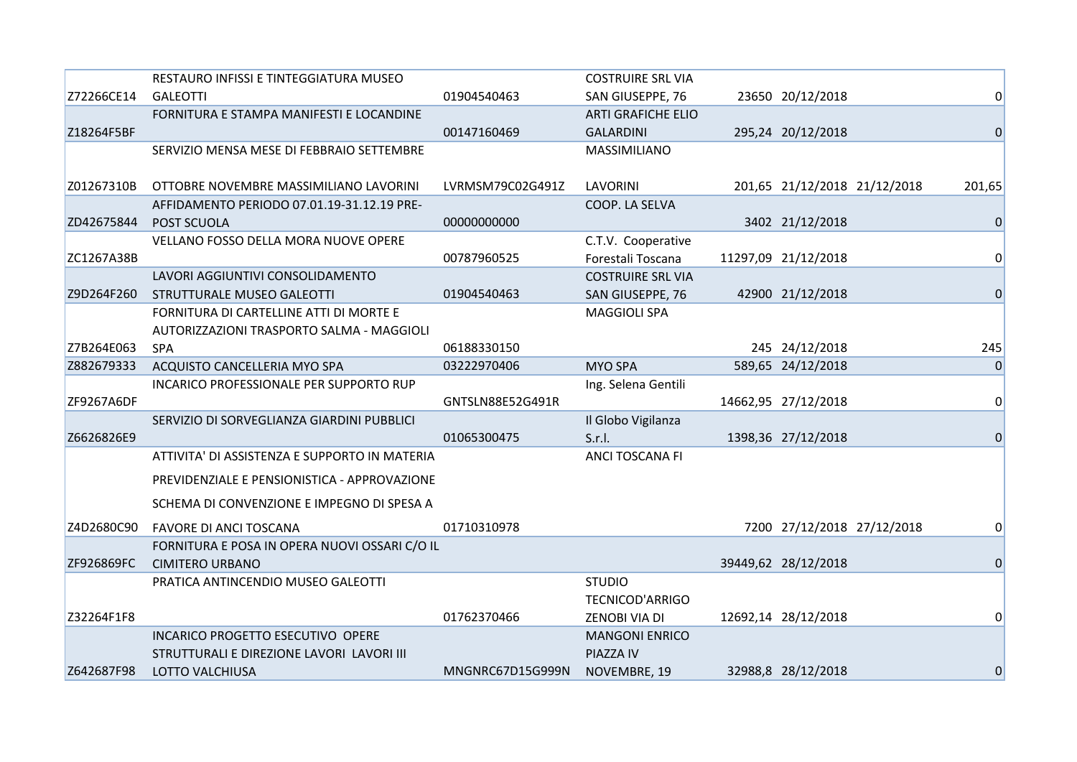|            | RESTAURO INFISSI E TINTEGGIATURA MUSEO                                  |                  | <b>COSTRUIRE SRL VIA</b>  |                              |                 |
|------------|-------------------------------------------------------------------------|------------------|---------------------------|------------------------------|-----------------|
| Z72266CE14 | <b>GALEOTTI</b>                                                         | 01904540463      | SAN GIUSEPPE, 76          | 23650 20/12/2018             | $\overline{0}$  |
|            | FORNITURA E STAMPA MANIFESTI E LOCANDINE                                |                  | <b>ARTI GRAFICHE ELIO</b> |                              |                 |
| Z18264F5BF |                                                                         | 00147160469      | <b>GALARDINI</b>          | 295,24 20/12/2018            | $\overline{0}$  |
|            | SERVIZIO MENSA MESE DI FEBBRAIO SETTEMBRE                               |                  | MASSIMILIANO              |                              |                 |
|            |                                                                         |                  |                           |                              |                 |
| Z01267310B | OTTOBRE NOVEMBRE MASSIMILIANO LAVORINI                                  | LVRMSM79C02G491Z | LAVORINI                  | 201,65 21/12/2018 21/12/2018 | 201,65          |
|            | AFFIDAMENTO PERIODO 07.01.19-31.12.19 PRE-                              |                  | COOP. LA SELVA            |                              |                 |
| ZD42675844 | POST SCUOLA                                                             | 00000000000      |                           | 3402 21/12/2018              | $\Omega$        |
|            | VELLANO FOSSO DELLA MORA NUOVE OPERE                                    |                  | C.T.V. Cooperative        |                              |                 |
| ZC1267A38B |                                                                         | 00787960525      | Forestali Toscana         | 11297,09 21/12/2018          | $\overline{0}$  |
|            | LAVORI AGGIUNTIVI CONSOLIDAMENTO                                        |                  | <b>COSTRUIRE SRL VIA</b>  |                              |                 |
| Z9D264F260 | STRUTTURALE MUSEO GALEOTTI                                              | 01904540463      | SAN GIUSEPPE, 76          | 42900 21/12/2018             | $\overline{0}$  |
|            | FORNITURA DI CARTELLINE ATTI DI MORTE E                                 |                  | <b>MAGGIOLI SPA</b>       |                              |                 |
|            | AUTORIZZAZIONI TRASPORTO SALMA - MAGGIOLI                               |                  |                           |                              |                 |
| Z7B264E063 | <b>SPA</b>                                                              | 06188330150      |                           | 245 24/12/2018               | 245             |
| Z882679333 | ACQUISTO CANCELLERIA MYO SPA                                            | 03222970406      | <b>MYO SPA</b>            | 589,65 24/12/2018            | $\vert 0 \vert$ |
|            | INCARICO PROFESSIONALE PER SUPPORTO RUP                                 |                  | Ing. Selena Gentili       |                              |                 |
| ZF9267A6DF |                                                                         | GNTSLN88E52G491R |                           | 14662,95 27/12/2018          | $\overline{0}$  |
|            | SERVIZIO DI SORVEGLIANZA GIARDINI PUBBLICI                              |                  | Il Globo Vigilanza        |                              |                 |
| Z6626826E9 |                                                                         | 01065300475      | S.r.l.                    | 1398,36 27/12/2018           | $\Omega$        |
|            | ATTIVITA' DI ASSISTENZA E SUPPORTO IN MATERIA                           |                  | <b>ANCI TOSCANA FI</b>    |                              |                 |
|            | PREVIDENZIALE E PENSIONISTICA - APPROVAZIONE                            |                  |                           |                              |                 |
|            | SCHEMA DI CONVENZIONE E IMPEGNO DI SPESA A                              |                  |                           |                              |                 |
|            |                                                                         | 01710310978      |                           |                              |                 |
| Z4D2680C90 | FAVORE DI ANCI TOSCANA<br>FORNITURA E POSA IN OPERA NUOVI OSSARI C/O IL |                  |                           | 7200 27/12/2018 27/12/2018   |                 |
| ZF926869FC | <b>CIMITERO URBANO</b>                                                  |                  |                           | 39449,62 28/12/2018          | $\Omega$        |
|            | PRATICA ANTINCENDIO MUSEO GALEOTTI                                      |                  | <b>STUDIO</b>             |                              |                 |
|            |                                                                         |                  | TECNICOD'ARRIGO           |                              |                 |
| Z32264F1F8 |                                                                         | 01762370466      | ZENOBI VIA DI             | 12692,14 28/12/2018          | 0               |
|            | INCARICO PROGETTO ESECUTIVO OPERE                                       |                  | <b>MANGONI ENRICO</b>     |                              |                 |
|            | STRUTTURALI E DIREZIONE LAVORI LAVORI III                               |                  | PIAZZA IV                 |                              |                 |
| Z642687F98 | LOTTO VALCHIUSA                                                         | MNGNRC67D15G999N | NOVEMBRE, 19              | 32988,8 28/12/2018           | 0               |
|            |                                                                         |                  |                           |                              |                 |